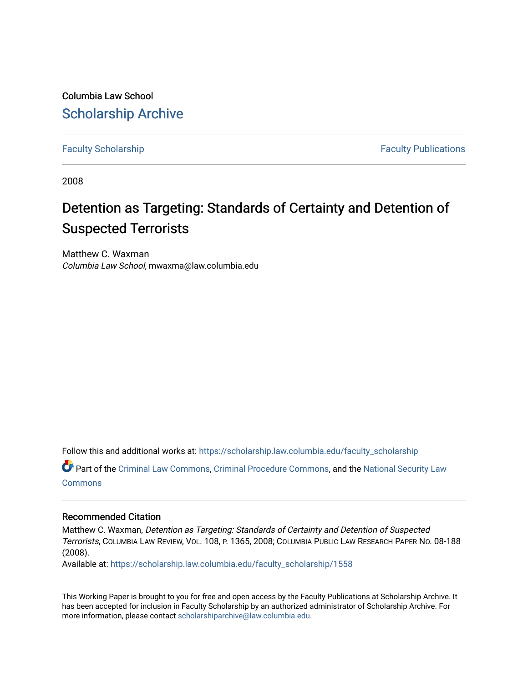Columbia Law School [Scholarship Archive](https://scholarship.law.columbia.edu/) 

[Faculty Scholarship](https://scholarship.law.columbia.edu/faculty_scholarship) **Faculty Scholarship Faculty Publications** 

2008

# Detention as Targeting: Standards of Certainty and Detention of Suspected Terrorists

Matthew C. Waxman Columbia Law School, mwaxma@law.columbia.edu

Follow this and additional works at: [https://scholarship.law.columbia.edu/faculty\\_scholarship](https://scholarship.law.columbia.edu/faculty_scholarship?utm_source=scholarship.law.columbia.edu%2Ffaculty_scholarship%2F1558&utm_medium=PDF&utm_campaign=PDFCoverPages)

Part of the [Criminal Law Commons,](http://network.bepress.com/hgg/discipline/912?utm_source=scholarship.law.columbia.edu%2Ffaculty_scholarship%2F1558&utm_medium=PDF&utm_campaign=PDFCoverPages) [Criminal Procedure Commons,](http://network.bepress.com/hgg/discipline/1073?utm_source=scholarship.law.columbia.edu%2Ffaculty_scholarship%2F1558&utm_medium=PDF&utm_campaign=PDFCoverPages) and the [National Security Law](http://network.bepress.com/hgg/discipline/1114?utm_source=scholarship.law.columbia.edu%2Ffaculty_scholarship%2F1558&utm_medium=PDF&utm_campaign=PDFCoverPages)  [Commons](http://network.bepress.com/hgg/discipline/1114?utm_source=scholarship.law.columbia.edu%2Ffaculty_scholarship%2F1558&utm_medium=PDF&utm_campaign=PDFCoverPages)

## Recommended Citation

Matthew C. Waxman, Detention as Targeting: Standards of Certainty and Detention of Suspected Terrorists, COLUMBIA LAW REVIEW, VOL. 108, P. 1365, 2008; COLUMBIA PUBLIC LAW RESEARCH PAPER NO. 08-188 (2008).

Available at: [https://scholarship.law.columbia.edu/faculty\\_scholarship/1558](https://scholarship.law.columbia.edu/faculty_scholarship/1558?utm_source=scholarship.law.columbia.edu%2Ffaculty_scholarship%2F1558&utm_medium=PDF&utm_campaign=PDFCoverPages)

This Working Paper is brought to you for free and open access by the Faculty Publications at Scholarship Archive. It has been accepted for inclusion in Faculty Scholarship by an authorized administrator of Scholarship Archive. For more information, please contact [scholarshiparchive@law.columbia.edu.](mailto:scholarshiparchive@law.columbia.edu)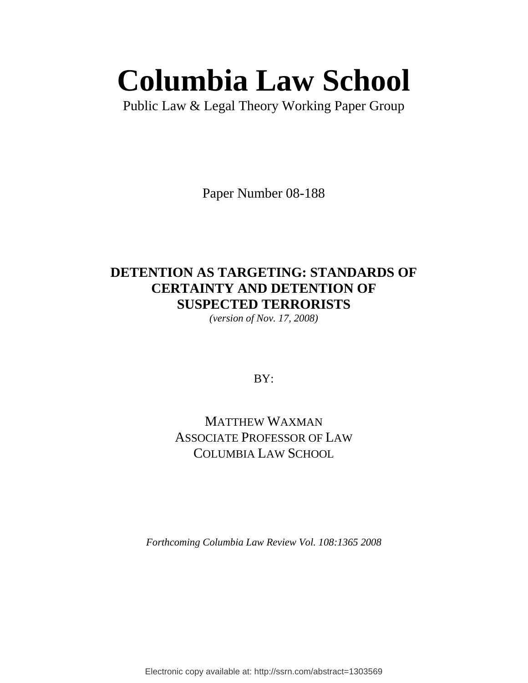# **Columbia Law School**

Public Law & Legal Theory Working Paper Group

Paper Number 08-188

# **DETENTION AS TARGETING: STANDARDS OF CERTAINTY AND DETENTION OF SUSPECTED TERRORISTS**

*(version of Nov. 17, 2008)* 

BY:

# MATTHEW WAXMAN ASSOCIATE PROFESSOR OF LAW COLUMBIA LAW SCHOOL

*Forthcoming Columbia Law Review Vol. 108:1365 2008* 

Electronic copy available at: http://ssrn.com/abstract=1303569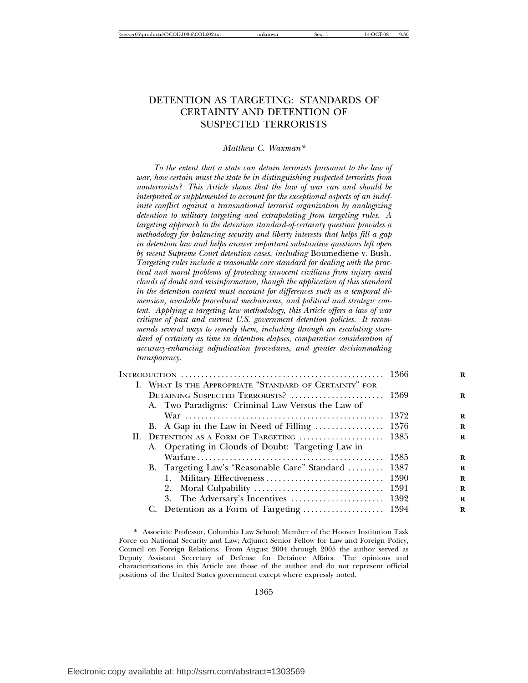# DETENTION AS TARGETING: STANDARDS OF CERTAINTY AND DETENTION OF SUSPECTED TERRORISTS

#### *Matthew C. Waxman\**

*To the extent that a state can detain terrorists pursuant to the law of war, how certain must the state be in distinguishing suspected terrorists from nonterrorists? This Article shows that the law of war can and should be interpreted or supplemented to account for the exceptional aspects of an indefinite conflict against a transnational terrorist organization by analogizing detention to military targeting and extrapolating from targeting rules. A targeting approach to the detention standard-of-certainty question provides a methodology for balancing security and liberty interests that helps fill a gap in detention law and helps answer important substantive questions left open by recent Supreme Court detention cases, including* Boumediene v. Bush*. Targeting rules include a reasonable care standard for dealing with the practical and moral problems of protecting innocent civilians from injury amid clouds of doubt and misinformation, though the application of this standard in the detention context must account for differences such as a temporal dimension, available procedural mechanisms, and political and strategic context. Applying a targeting law methodology, this Article offers a law of war critique of past and current U.S. government detention policies. It recommends several ways to remedy them, including through an escalating standard of certainty as time in detention elapses, comparative consideration of accuracy-enhancing adjudication procedures, and greater decisionmaking transparency.*

|  | I. WHAT IS THE APPROPRIATE "STANDARD OF CERTAINTY" FOR |  |
|--|--------------------------------------------------------|--|
|  | DETAINING SUSPECTED TERRORISTS?  1369                  |  |
|  | A. Two Paradigms: Criminal Law Versus the Law of       |  |
|  |                                                        |  |
|  |                                                        |  |
|  | II. DETENTION AS A FORM OF TARGETING  1385             |  |
|  | A. Operating in Clouds of Doubt: Targeting Law in      |  |
|  |                                                        |  |
|  | B. Targeting Law's "Reasonable Care" Standard  1387    |  |
|  |                                                        |  |
|  |                                                        |  |
|  |                                                        |  |
|  |                                                        |  |
|  |                                                        |  |

<sup>\*</sup> Associate Professor, Columbia Law School; Member of the Hoover Institution Task Force on National Security and Law; Adjunct Senior Fellow for Law and Foreign Policy, Council on Foreign Relations. From August 2004 through 2005 the author served as Deputy Assistant Secretary of Defense for Detainee Affairs. The opinions and characterizations in this Article are those of the author and do not represent official positions of the United States government except where expressly noted.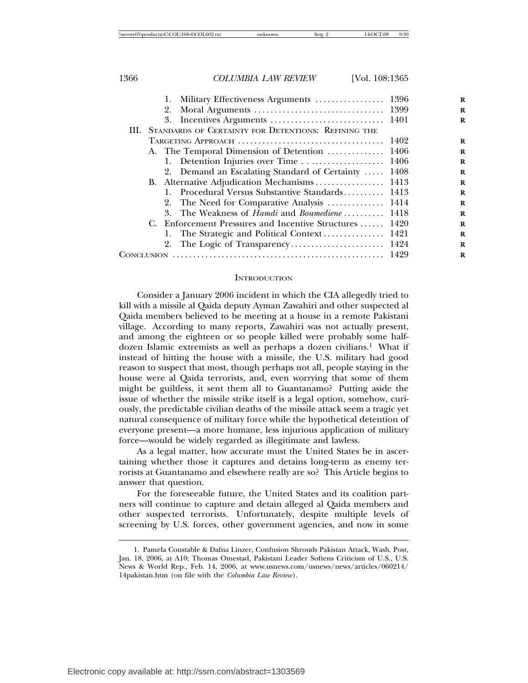|  | 3.                                                         |       |
|--|------------------------------------------------------------|-------|
|  | III. STANDARDS OF CERTAINTY FOR DETENTIONS: REFINING THE   |       |
|  |                                                            |       |
|  | A. The Temporal Dimension of Detention  1406               |       |
|  |                                                            |       |
|  | 2. Demand an Escalating Standard of Certainty              | -1408 |
|  |                                                            |       |
|  | 1. Procedural Versus Substantive Standards 1413            |       |
|  | 2. The Need for Comparative Analysis  1414                 |       |
|  | 3. The Weakness of <i>Hamdi</i> and <i>Boumediene</i> 1418 |       |
|  | C. Enforcement Pressures and Incentive Structures  1420    |       |
|  |                                                            |       |
|  | 2.                                                         |       |
|  |                                                            |       |

#### **INTRODUCTION**

Consider a January 2006 incident in which the CIA allegedly tried to kill with a missile al Qaida deputy Ayman Zawahiri and other suspected al Qaida members believed to be meeting at a house in a remote Pakistani village. According to many reports, Zawahiri was not actually present, and among the eighteen or so people killed were probably some halfdozen Islamic extremists as well as perhaps a dozen civilians.<sup>1</sup> What if instead of hitting the house with a missile, the U.S. military had good reason to suspect that most, though perhaps not all, people staying in the house were al Qaida terrorists, and, even worrying that some of them might be guiltless, it sent them all to Guantanamo? Putting aside the issue of whether the missile strike itself is a legal option, somehow, curiously, the predictable civilian deaths of the missile attack seem a tragic yet natural consequence of military force while the hypothetical detention of everyone present—a more humane, less injurious application of military force—would be widely regarded as illegitimate and lawless.

As a legal matter, how accurate must the United States be in ascertaining whether those it captures and detains long-term as enemy terrorists at Guantanamo and elsewhere really are so? This Article begins to answer that question.

For the foreseeable future, the United States and its coalition partners will continue to capture and detain alleged al Qaida members and other suspected terrorists. Unfortunately, despite multiple levels of screening by U.S. forces, other government agencies, and now in some

<sup>1.</sup> Pamela Constable & Dafna Linzer, Confusion Shrouds Pakistan Attack, Wash. Post, Jan. 18, 2006, at A10; Thomas Omestad, Pakistani Leader Softens Criticism of U.S., U.S. News & World Rep., Feb. 14, 2006, at www.usnews.com/usnews/news/articles/060214/ 14pakistan.htm (on file with the *Columbia Law Review*).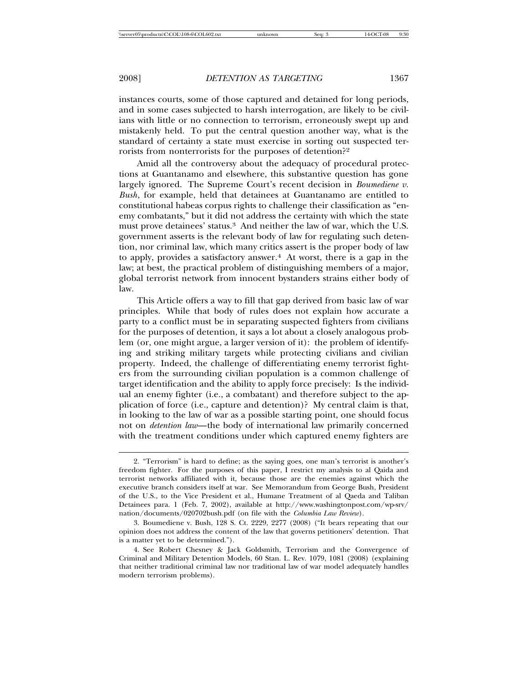instances courts, some of those captured and detained for long periods, and in some cases subjected to harsh interrogation, are likely to be civilians with little or no connection to terrorism, erroneously swept up and mistakenly held. To put the central question another way, what is the standard of certainty a state must exercise in sorting out suspected terrorists from nonterrorists for the purposes of detention?<sup>2</sup>

Amid all the controversy about the adequacy of procedural protections at Guantanamo and elsewhere, this substantive question has gone largely ignored. The Supreme Court's recent decision in *Boumediene v. Bush*, for example, held that detainees at Guantanamo are entitled to constitutional habeas corpus rights to challenge their classification as "enemy combatants," but it did not address the certainty with which the state must prove detainees' status.<sup>3</sup> And neither the law of war, which the U.S. government asserts is the relevant body of law for regulating such detention, nor criminal law, which many critics assert is the proper body of law to apply, provides a satisfactory answer. $4$  At worst, there is a gap in the law; at best, the practical problem of distinguishing members of a major, global terrorist network from innocent bystanders strains either body of law.

This Article offers a way to fill that gap derived from basic law of war principles. While that body of rules does not explain how accurate a party to a conflict must be in separating suspected fighters from civilians for the purposes of detention, it says a lot about a closely analogous problem (or, one might argue, a larger version of it): the problem of identifying and striking military targets while protecting civilians and civilian property. Indeed, the challenge of differentiating enemy terrorist fighters from the surrounding civilian population is a common challenge of target identification and the ability to apply force precisely: Is the individual an enemy fighter (i.e., a combatant) and therefore subject to the application of force (i.e., capture and detention)? My central claim is that, in looking to the law of war as a possible starting point, one should focus not on *detention law*—the body of international law primarily concerned with the treatment conditions under which captured enemy fighters are

<sup>2.</sup> "Terrorism" is hard to define; as the saying goes, one man's terrorist is another's freedom fighter. For the purposes of this paper, I restrict my analysis to al Qaida and terrorist networks affiliated with it, because those are the enemies against which the executive branch considers itself at war. See Memorandum from George Bush, President of the U.S., to the Vice President et al., Humane Treatment of al Qaeda and Taliban Detainees para. 1 (Feb. 7, 2002), available at http://www.washingtonpost.com/wp-srv/ nation/documents/020702bush.pdf (on file with the *Columbia Law Review*).

<sup>3.</sup> Boumediene v. Bush, 128 S. Ct. 2229, 2277 (2008) ("It bears repeating that our opinion does not address the content of the law that governs petitioners' detention. That is a matter yet to be determined.").

<sup>4.</sup> See Robert Chesney & Jack Goldsmith, Terrorism and the Convergence of Criminal and Military Detention Models, 60 Stan. L. Rev. 1079, 1081 (2008) (explaining that neither traditional criminal law nor traditional law of war model adequately handles modern terrorism problems).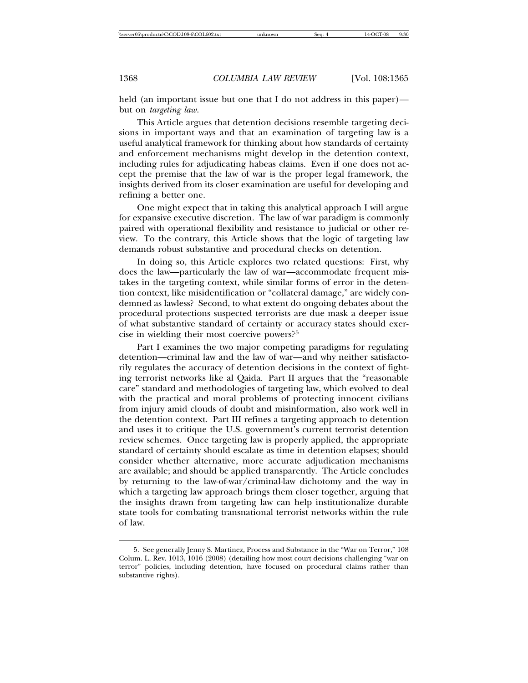held (an important issue but one that I do not address in this paper) but on *targeting law*.

This Article argues that detention decisions resemble targeting decisions in important ways and that an examination of targeting law is a useful analytical framework for thinking about how standards of certainty and enforcement mechanisms might develop in the detention context, including rules for adjudicating habeas claims. Even if one does not accept the premise that the law of war is the proper legal framework, the insights derived from its closer examination are useful for developing and refining a better one.

One might expect that in taking this analytical approach I will argue for expansive executive discretion. The law of war paradigm is commonly paired with operational flexibility and resistance to judicial or other review. To the contrary, this Article shows that the logic of targeting law demands robust substantive and procedural checks on detention.

In doing so, this Article explores two related questions: First, why does the law—particularly the law of war—accommodate frequent mistakes in the targeting context, while similar forms of error in the detention context, like misidentification or "collateral damage," are widely condemned as lawless? Second, to what extent do ongoing debates about the procedural protections suspected terrorists are due mask a deeper issue of what substantive standard of certainty or accuracy states should exercise in wielding their most coercive powers?<sup>5</sup>

Part I examines the two major competing paradigms for regulating detention—criminal law and the law of war—and why neither satisfactorily regulates the accuracy of detention decisions in the context of fighting terrorist networks like al Qaida. Part II argues that the "reasonable care" standard and methodologies of targeting law, which evolved to deal with the practical and moral problems of protecting innocent civilians from injury amid clouds of doubt and misinformation, also work well in the detention context. Part III refines a targeting approach to detention and uses it to critique the U.S. government's current terrorist detention review schemes. Once targeting law is properly applied, the appropriate standard of certainty should escalate as time in detention elapses; should consider whether alternative, more accurate adjudication mechanisms are available; and should be applied transparently. The Article concludes by returning to the law-of-war/criminal-law dichotomy and the way in which a targeting law approach brings them closer together, arguing that the insights drawn from targeting law can help institutionalize durable state tools for combating transnational terrorist networks within the rule of law.

<sup>5.</sup> See generally Jenny S. Martinez, Process and Substance in the "War on Terror," 108 Colum. L. Rev. 1013, 1016 (2008) (detailing how most court decisions challenging "war on terror" policies, including detention, have focused on procedural claims rather than substantive rights).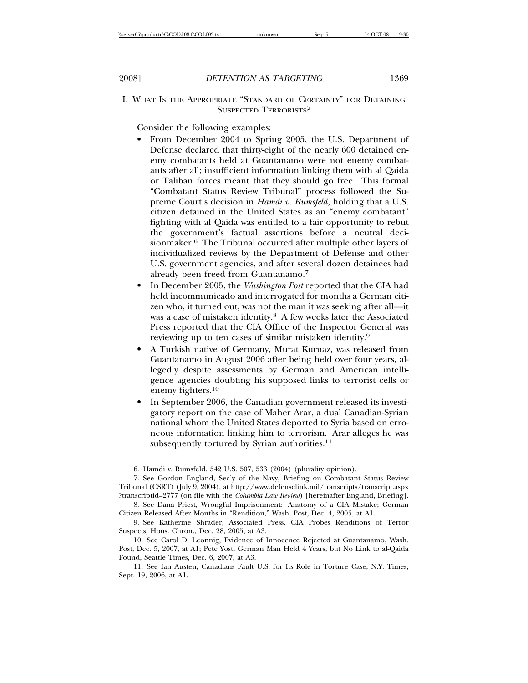I. WHAT IS THE APPROPRIATE "STANDARD OF CERTAINTY" FOR DETAINING SUSPECTED TERRORISTS?

Consider the following examples:

- From December 2004 to Spring 2005, the U.S. Department of Defense declared that thirty-eight of the nearly 600 detained enemy combatants held at Guantanamo were not enemy combatants after all; insufficient information linking them with al Qaida or Taliban forces meant that they should go free. This formal "Combatant Status Review Tribunal" process followed the Supreme Court's decision in *Hamdi v. Rumsfeld*, holding that a U.S. citizen detained in the United States as an "enemy combatant" fighting with al Qaida was entitled to a fair opportunity to rebut the government's factual assertions before a neutral decisionmaker.6 The Tribunal occurred after multiple other layers of individualized reviews by the Department of Defense and other U.S. government agencies, and after several dozen detainees had already been freed from Guantanamo.<sup>7</sup>
- In December 2005, the *Washington Post* reported that the CIA had held incommunicado and interrogated for months a German citizen who, it turned out, was not the man it was seeking after all—it was a case of mistaken identity.<sup>8</sup> A few weeks later the Associated Press reported that the CIA Office of the Inspector General was reviewing up to ten cases of similar mistaken identity.<sup>9</sup>
- A Turkish native of Germany, Murat Kurnaz, was released from Guantanamo in August 2006 after being held over four years, allegedly despite assessments by German and American intelligence agencies doubting his supposed links to terrorist cells or enemy fighters.<sup>10</sup>
- In September 2006, the Canadian government released its investigatory report on the case of Maher Arar, a dual Canadian-Syrian national whom the United States deported to Syria based on erroneous information linking him to terrorism. Arar alleges he was subsequently tortured by Syrian authorities.<sup>11</sup>

<sup>6.</sup> Hamdi v. Rumsfeld, 542 U.S. 507, 533 (2004) (plurality opinion).

<sup>7.</sup> See Gordon England, Sec'y of the Navy, Briefing on Combatant Status Review Tribunal (CSRT) (July 9, 2004), at http://www.defenselink.mil/transcripts/transcript.aspx ?transcriptid=2777 (on file with the *Columbia Law Review*) [hereinafter England, Briefing].

<sup>8.</sup> See Dana Priest, Wrongful Imprisonment: Anatomy of a CIA Mistake; German Citizen Released After Months in "Rendition," Wash. Post, Dec. 4, 2005, at A1.

<sup>9.</sup> See Katherine Shrader, Associated Press, CIA Probes Renditions of Terror Suspects, Hous. Chron., Dec. 28, 2005, at A3.

<sup>10.</sup> See Carol D. Leonnig, Evidence of Innocence Rejected at Guantanamo, Wash. Post, Dec. 5, 2007, at A1; Pete Yost, German Man Held 4 Years, but No Link to al-Qaida Found, Seattle Times, Dec. 6, 2007, at A3.

<sup>11.</sup> See Ian Austen, Canadians Fault U.S. for Its Role in Torture Case, N.Y. Times, Sept. 19, 2006, at A1.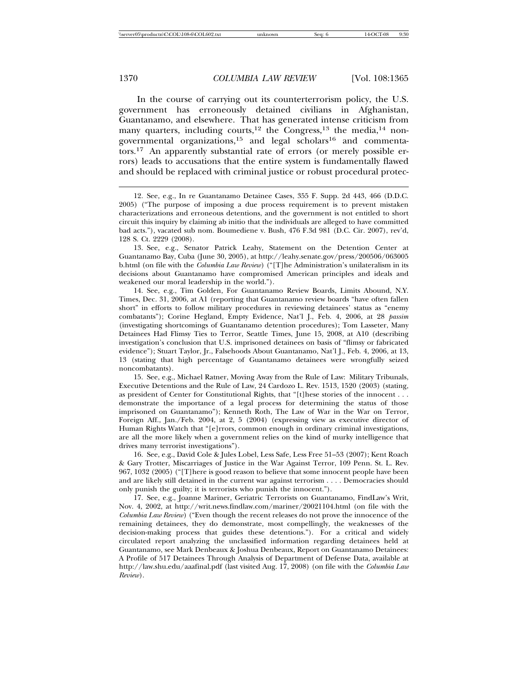In the course of carrying out its counterterrorism policy, the U.S. government has erroneously detained civilians in Afghanistan, Guantanamo, and elsewhere. That has generated intense criticism from many quarters, including courts,<sup>12</sup> the Congress,<sup>13</sup> the media,<sup>14</sup> nongovernmental organizations,<sup>15</sup> and legal scholars<sup>16</sup> and commentators.<sup>17</sup> An apparently substantial rate of errors (or merely possible errors) leads to accusations that the entire system is fundamentally flawed and should be replaced with criminal justice or robust procedural protec-

12. See, e.g., In re Guantanamo Detainee Cases, 355 F. Supp. 2d 443, 466 (D.D.C. 2005) ("The purpose of imposing a due process requirement is to prevent mistaken characterizations and erroneous detentions, and the government is not entitled to short circuit this inquiry by claiming ab initio that the individuals are alleged to have committed bad acts."), vacated sub nom. Boumediene v. Bush, 476 F.3d 981 (D.C. Cir. 2007), rev'd, 128 S. Ct. 2229 (2008).

13. See, e.g., Senator Patrick Leahy, Statement on the Detention Center at Guantanamo Bay, Cuba (June 30, 2005), at http://leahy.senate.gov/press/200506/063005 b.html (on file with the *Columbia Law Review*) ("[T]he Administration's unilateralism in its decisions about Guantanamo have compromised American principles and ideals and weakened our moral leadership in the world.").

14. See, e.g., Tim Golden, For Guantanamo Review Boards, Limits Abound, N.Y. Times, Dec. 31, 2006, at A1 (reporting that Guantanamo review boards "have often fallen short" in efforts to follow military procedures in reviewing detainees' status as "enemy combatants"); Corine Hegland, Empty Evidence, Nat'l J., Feb. 4, 2006, at 28 *passim* (investigating shortcomings of Guantanamo detention procedures); Tom Lasseter, Many Detainees Had Flimsy Ties to Terror, Seattle Times, June 15, 2008, at A10 (describing investigation's conclusion that U.S. imprisoned detainees on basis of "flimsy or fabricated evidence"); Stuart Taylor, Jr., Falsehoods About Guantanamo, Nat'l J., Feb. 4, 2006, at 13, 13 (stating that high percentage of Guantanamo detainees were wrongfully seized noncombatants).

15. See, e.g., Michael Ratner, Moving Away from the Rule of Law: Military Tribunals, Executive Detentions and the Rule of Law, 24 Cardozo L. Rev. 1513, 1520 (2003) (stating, as president of Center for Constitutional Rights, that "[t]hese stories of the innocent . . . demonstrate the importance of a legal process for determining the status of those imprisoned on Guantanamo"); Kenneth Roth, The Law of War in the War on Terror, Foreign Aff., Jan./Feb. 2004, at 2, 5 (2004) (expressing view as executive director of Human Rights Watch that "[e]rrors, common enough in ordinary criminal investigations, are all the more likely when a government relies on the kind of murky intelligence that drives many terrorist investigations").

16. See, e.g., David Cole & Jules Lobel, Less Safe, Less Free 51–53 (2007); Kent Roach & Gary Trotter, Miscarriages of Justice in the War Against Terror, 109 Penn. St. L. Rev. 967, 1032 (2005) ("[T]here is good reason to believe that some innocent people have been and are likely still detained in the current war against terrorism . . . . Democracies should only punish the guilty; it is terrorists who punish the innocent.").

17. See, e.g., Joanne Mariner, Geriatric Terrorists on Guantanamo, FindLaw's Writ, Nov. 4, 2002, at http://writ.news.findlaw.com/mariner/20021104.html (on file with the *Columbia Law Review*) ("Even though the recent releases do not prove the innocence of the remaining detainees, they do demonstrate, most compellingly, the weaknesses of the decision-making process that guides these detentions."). For a critical and widely circulated report analyzing the unclassified information regarding detainees held at Guantanamo, see Mark Denbeaux & Joshua Denbeaux, Report on Guantanamo Detainees: A Profile of 517 Detainees Through Analysis of Department of Defense Data, available at http://law.shu.edu/aaafinal.pdf (last visited Aug. 17, 2008) (on file with the *Columbia Law Review*).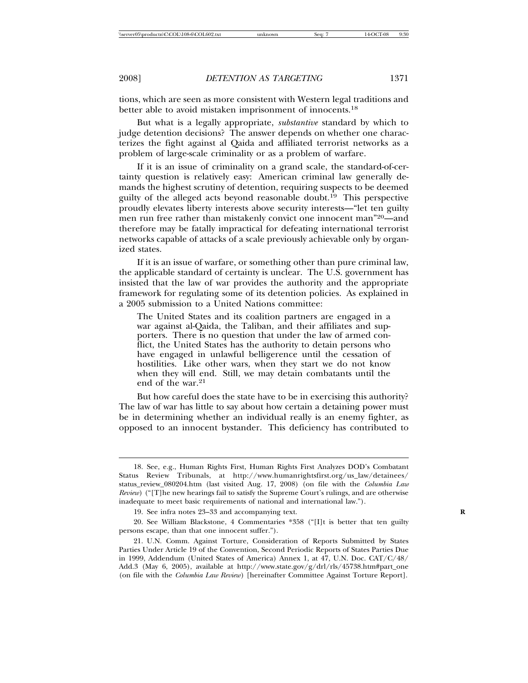tions, which are seen as more consistent with Western legal traditions and better able to avoid mistaken imprisonment of innocents.<sup>18</sup>

But what is a legally appropriate, *substantive* standard by which to judge detention decisions? The answer depends on whether one characterizes the fight against al Qaida and affiliated terrorist networks as a problem of large-scale criminality or as a problem of warfare.

If it is an issue of criminality on a grand scale, the standard-of-certainty question is relatively easy: American criminal law generally demands the highest scrutiny of detention, requiring suspects to be deemed guilty of the alleged acts beyond reasonable doubt.<sup>19</sup> This perspective proudly elevates liberty interests above security interests—"let ten guilty men run free rather than mistakenly convict one innocent man"20—and therefore may be fatally impractical for defeating international terrorist networks capable of attacks of a scale previously achievable only by organized states.

If it is an issue of warfare, or something other than pure criminal law, the applicable standard of certainty is unclear. The U.S. government has insisted that the law of war provides the authority and the appropriate framework for regulating some of its detention policies. As explained in a 2005 submission to a United Nations committee:

The United States and its coalition partners are engaged in a war against al-Qaida, the Taliban, and their affiliates and supporters. There is no question that under the law of armed conflict, the United States has the authority to detain persons who have engaged in unlawful belligerence until the cessation of hostilities. Like other wars, when they start we do not know when they will end. Still, we may detain combatants until the end of the war.<sup>21</sup>

But how careful does the state have to be in exercising this authority? The law of war has little to say about how certain a detaining power must be in determining whether an individual really is an enemy fighter, as opposed to an innocent bystander. This deficiency has contributed to

<sup>18.</sup> See, e.g., Human Rights First, Human Rights First Analyzes DOD's Combatant Status Review Tribunals, at http://www.humanrightsfirst.org/us\_law/detainees/ status\_review\_080204.htm (last visited Aug. 17, 2008) (on file with the *Columbia Law Review*) ("[T]he new hearings fail to satisfy the Supreme Court's rulings, and are otherwise inadequate to meet basic requirements of national and international law.").

<sup>19.</sup> See infra notes 23–33 and accompanying text. **R**

<sup>20.</sup> See William Blackstone, 4 Commentaries \*358 ("[I]t is better that ten guilty persons escape, than that one innocent suffer.").

<sup>21.</sup> U.N. Comm. Against Torture, Consideration of Reports Submitted by States Parties Under Article 19 of the Convention, Second Periodic Reports of States Parties Due in 1999, Addendum (United States of America) Annex 1, at 47, U.N. Doc. CAT/C/48/ Add.3 (May 6, 2005), available at http://www.state.gov/ $g/dr$ rl/rls/45738.htm#part\_one (on file with the *Columbia Law Review*) [hereinafter Committee Against Torture Report].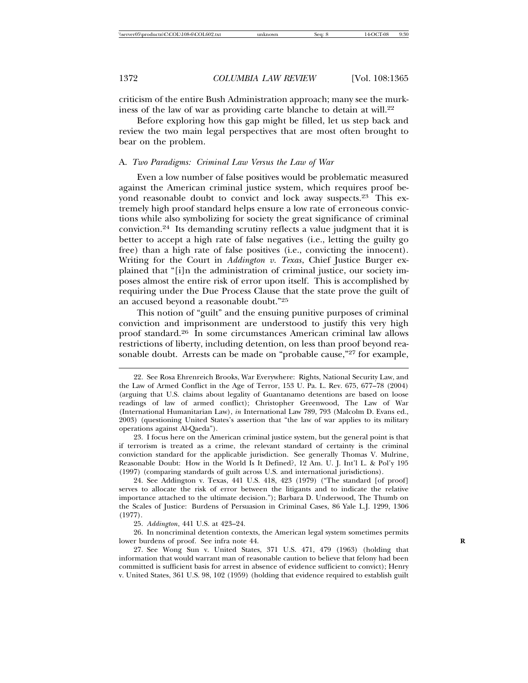criticism of the entire Bush Administration approach; many see the murkiness of the law of war as providing carte blanche to detain at will.<sup>22</sup>

Before exploring how this gap might be filled, let us step back and review the two main legal perspectives that are most often brought to bear on the problem.

#### A. *Two Paradigms: Criminal Law Versus the Law of War*

Even a low number of false positives would be problematic measured against the American criminal justice system, which requires proof beyond reasonable doubt to convict and lock away suspects.<sup>23</sup> This extremely high proof standard helps ensure a low rate of erroneous convictions while also symbolizing for society the great significance of criminal conviction.<sup>24</sup> Its demanding scrutiny reflects a value judgment that it is better to accept a high rate of false negatives (i.e., letting the guilty go free) than a high rate of false positives (i.e., convicting the innocent). Writing for the Court in *Addington v. Texas*, Chief Justice Burger explained that "[i]n the administration of criminal justice, our society imposes almost the entire risk of error upon itself. This is accomplished by requiring under the Due Process Clause that the state prove the guilt of an accused beyond a reasonable doubt."<sup>25</sup>

This notion of "guilt" and the ensuing punitive purposes of criminal conviction and imprisonment are understood to justify this very high proof standard.<sup>26</sup> In some circumstances American criminal law allows restrictions of liberty, including detention, on less than proof beyond reasonable doubt. Arrests can be made on "probable cause,"<sup>27</sup> for example,

<sup>22.</sup> See Rosa Ehrenreich Brooks, War Everywhere: Rights, National Security Law, and the Law of Armed Conflict in the Age of Terror, 153 U. Pa. L. Rev. 675, 677–78 (2004) (arguing that U.S. claims about legality of Guantanamo detentions are based on loose readings of law of armed conflict); Christopher Greenwood, The Law of War (International Humanitarian Law), *in* International Law 789, 793 (Malcolm D. Evans ed., 2003) (questioning United States's assertion that "the law of war applies to its military operations against Al-Qaeda").

<sup>23.</sup> I focus here on the American criminal justice system, but the general point is that if terrorism is treated as a crime, the relevant standard of certainty is the criminal conviction standard for the applicable jurisdiction. See generally Thomas V. Mulrine, Reasonable Doubt: How in the World Is It Defined?, 12 Am. U. J. Int'l L. & Pol'y 195 (1997) (comparing standards of guilt across U.S. and international jurisdictions).

<sup>24.</sup> See Addington v. Texas, 441 U.S. 418, 423 (1979) ("The standard [of proof] serves to allocate the risk of error between the litigants and to indicate the relative importance attached to the ultimate decision."); Barbara D. Underwood, The Thumb on the Scales of Justice: Burdens of Persuasion in Criminal Cases, 86 Yale L.J. 1299, 1306 (1977).

<sup>25.</sup> *Addington*, 441 U.S. at 423–24.

<sup>26.</sup> In noncriminal detention contexts, the American legal system sometimes permits lower burdens of proof. See infra note 44.

<sup>27.</sup> See Wong Sun v. United States, 371 U.S. 471, 479 (1963) (holding that information that would warrant man of reasonable caution to believe that felony had been committed is sufficient basis for arrest in absence of evidence sufficient to convict); Henry v. United States, 361 U.S. 98, 102 (1959) (holding that evidence required to establish guilt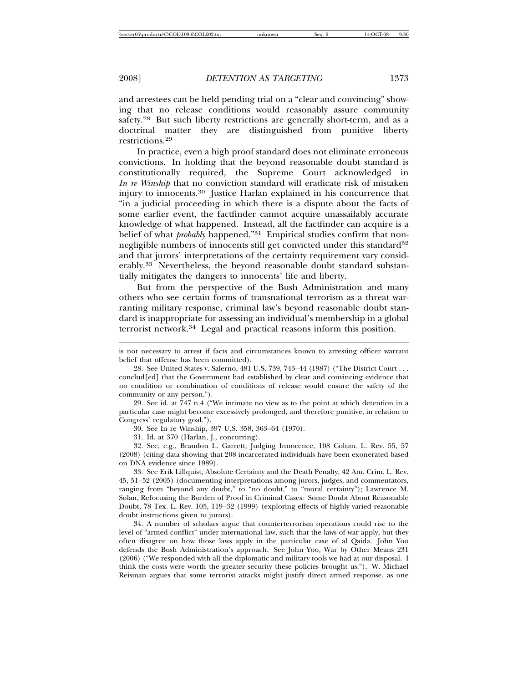and arrestees can be held pending trial on a "clear and convincing" showing that no release conditions would reasonably assure community safety.<sup>28</sup> But such liberty restrictions are generally short-term, and as a doctrinal matter they are distinguished from punitive liberty restrictions.<sup>29</sup>

In practice, even a high proof standard does not eliminate erroneous convictions. In holding that the beyond reasonable doubt standard is constitutionally required, the Supreme Court acknowledged in *In re Winship* that no conviction standard will eradicate risk of mistaken injury to innocents.<sup>30</sup> Justice Harlan explained in his concurrence that "in a judicial proceeding in which there is a dispute about the facts of some earlier event, the factfinder cannot acquire unassailably accurate knowledge of what happened. Instead, all the factfinder can acquire is a belief of what *probably* happened."<sup>31</sup> Empirical studies confirm that nonnegligible numbers of innocents still get convicted under this standard<sup>32</sup> and that jurors' interpretations of the certainty requirement vary considerably.<sup>33</sup> Nevertheless, the beyond reasonable doubt standard substantially mitigates the dangers to innocents' life and liberty.

But from the perspective of the Bush Administration and many others who see certain forms of transnational terrorism as a threat warranting military response, criminal law's beyond reasonable doubt standard is inappropriate for assessing an individual's membership in a global terrorist network.<sup>34</sup> Legal and practical reasons inform this position.

29. See id. at 747 n.4 ("We intimate no view as to the point at which detention in a particular case might become excessively prolonged, and therefore punitive, in relation to Congress' regulatory goal.").

30. See In re Winship, 397 U.S. 358, 363–64 (1970).

31. Id. at 370 (Harlan, J., concurring).

32. See, e.g., Brandon L. Garrett, Judging Innocence, 108 Colum. L. Rev. 55, 57 (2008) (citing data showing that 208 incarcerated individuals have been exonerated based on DNA evidence since 1989).

33. See Erik Lillquist, Absolute Certainty and the Death Penalty, 42 Am. Crim. L. Rev. 45, 51–52 (2005) (documenting interpretations among jurors, judges, and commentators, ranging from "beyond any doubt," to "no doubt," to "moral certainty"); Lawrence M. Solan, Refocusing the Burden of Proof in Criminal Cases: Some Doubt About Reasonable Doubt, 78 Tex. L. Rev. 105, 119–32 (1999) (exploring effects of highly varied reasonable doubt instructions given to jurors).

34. A number of scholars argue that counterterrorism operations could rise to the level of "armed conflict" under international law, such that the laws of war apply, but they often disagree on how those laws apply in the particular case of al Qaida. John Yoo defends the Bush Administration's approach. See John Yoo, War by Other Means 231 (2006) ("We responded with all the diplomatic and military tools we had at our disposal. I think the costs were worth the greater security these policies brought us."). W. Michael Reisman argues that some terrorist attacks might justify direct armed response, as one

is not necessary to arrest if facts and circumstances known to arresting officer warrant belief that offense has been committed).

<sup>28.</sup> See United States v. Salerno, 481 U.S. 739, 743–44 (1987) ("The District Court . . . conclud[ed] that the Government had established by clear and convincing evidence that no condition or combination of conditions of release would ensure the safety of the community or any person.").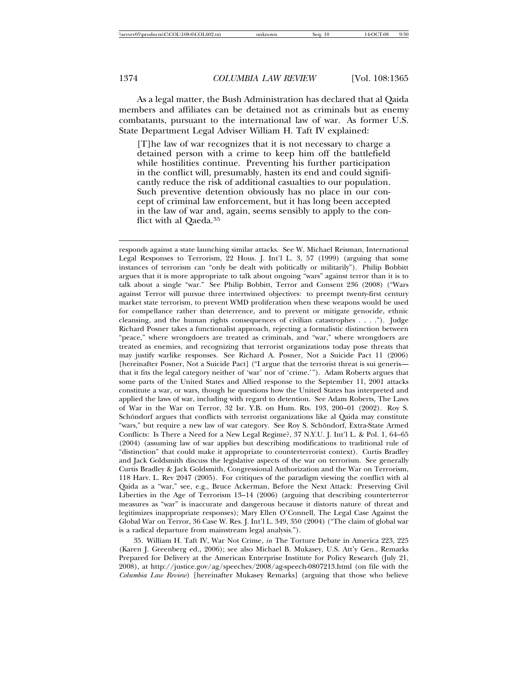As a legal matter, the Bush Administration has declared that al Qaida members and affiliates can be detained not as criminals but as enemy combatants, pursuant to the international law of war. As former U.S. State Department Legal Adviser William H. Taft IV explained:

[T]he law of war recognizes that it is not necessary to charge a detained person with a crime to keep him off the battlefield while hostilities continue. Preventing his further participation in the conflict will, presumably, hasten its end and could significantly reduce the risk of additional casualties to our population. Such preventive detention obviously has no place in our concept of criminal law enforcement, but it has long been accepted in the law of war and, again, seems sensibly to apply to the conflict with al Qaeda.<sup>35</sup>

responds against a state launching similar attacks. See W. Michael Reisman, International Legal Responses to Terrorism, 22 Hous. J. Int'l L. 3, 57 (1999) (arguing that some instances of terrorism can "only be dealt with politically or militarily"). Philip Bobbitt argues that it is more appropriate to talk about ongoing "wars" against terror than it is to talk about a single "war." See Philip Bobbitt, Terror and Consent 236 (2008) ("Wars against Terror will pursue three intertwined objectives: to preempt twenty-first century market state terrorism, to prevent WMD proliferation when these weapons would be used for compellance rather than deterrence, and to prevent or mitigate genocide, ethnic cleansing, and the human rights consequences of civilian catastrophes . . . ."). Judge Richard Posner takes a functionalist approach, rejecting a formalistic distinction between "peace," where wrongdoers are treated as criminals, and "war," where wrongdoers are treated as enemies, and recognizing that terrorist organizations today pose threats that may justify warlike responses. See Richard A. Posner, Not a Suicide Pact 11 (2006) [hereinafter Posner, Not a Suicide Pact] ("I argue that the terrorist threat is sui generis that it fits the legal category neither of 'war' nor of 'crime.'"). Adam Roberts argues that some parts of the United States and Allied response to the September 11, 2001 attacks constitute a war, or wars, though he questions how the United States has interpreted and applied the laws of war, including with regard to detention. See Adam Roberts, The Laws of War in the War on Terror, 32 Isr. Y.B. on Hum. Rts. 193, 200–01 (2002). Roy S. Schöndorf argues that conflicts with terrorist organizations like al Qaida may constitute "wars," but require a new law of war category. See Roy S. Schöndorf, Extra-State Armed Conflicts: Is There a Need for a New Legal Regime?, 37 N.Y.U. J. Int'l L. & Pol. 1, 64–65 (2004) (assuming law of war applies but describing modifications to traditional rule of "distinction" that could make it appropriate to counterterrorist context). Curtis Bradley and Jack Goldsmith discuss the legislative aspects of the war on terrorism. See generally Curtis Bradley & Jack Goldsmith, Congressional Authorization and the War on Terrorism, 118 Harv. L. Rev 2047 (2005). For critiques of the paradigm viewing the conflict with al Qaida as a "war," see, e.g., Bruce Ackerman, Before the Next Attack: Preserving Civil Liberties in the Age of Terrorism 13–14 (2006) (arguing that describing counterterror measures as "war" is inaccurate and dangerous because it distorts nature of threat and legitimizes inappropriate responses); Mary Ellen O'Connell, The Legal Case Against the Global War on Terror, 36 Case W. Res. J. Int'l L. 349, 350 (2004) ("The claim of global war is a radical departure from mainstream legal analysis.").

35. William H. Taft IV, War Not Crime, *in* The Torture Debate in America 223, 225 (Karen J. Greenberg ed., 2006); see also Michael B. Mukasey, U.S. Att'y Gen., Remarks Prepared for Delivery at the American Enterprise Institute for Policy Research (July 21, 2008), at http://justice.gov/ag/speeches/2008/ag-speech-0807213.html (on file with the *Columbia Law Review*) [hereinafter Mukasey Remarks] (arguing that those who believe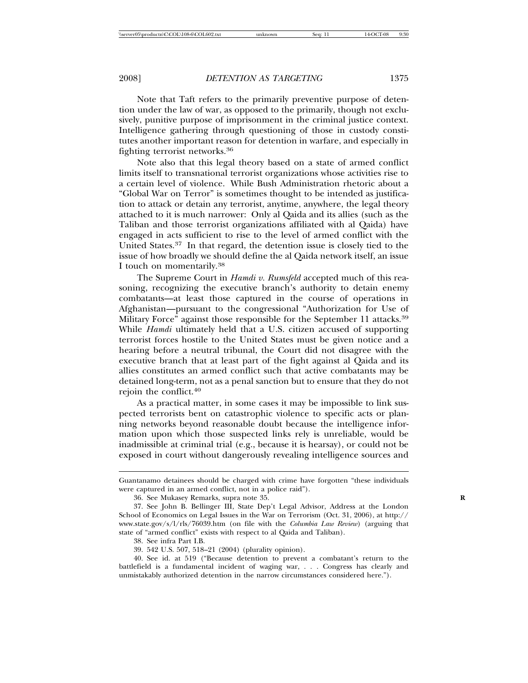Note that Taft refers to the primarily preventive purpose of detention under the law of war, as opposed to the primarily, though not exclusively, punitive purpose of imprisonment in the criminal justice context. Intelligence gathering through questioning of those in custody constitutes another important reason for detention in warfare, and especially in fighting terrorist networks.<sup>36</sup>

Note also that this legal theory based on a state of armed conflict limits itself to transnational terrorist organizations whose activities rise to a certain level of violence. While Bush Administration rhetoric about a "Global War on Terror" is sometimes thought to be intended as justification to attack or detain any terrorist, anytime, anywhere, the legal theory attached to it is much narrower: Only al Qaida and its allies (such as the Taliban and those terrorist organizations affiliated with al Qaida) have engaged in acts sufficient to rise to the level of armed conflict with the United States.<sup>37</sup> In that regard, the detention issue is closely tied to the issue of how broadly we should define the al Qaida network itself, an issue I touch on momentarily.<sup>38</sup>

The Supreme Court in *Hamdi v. Rumsfeld* accepted much of this reasoning, recognizing the executive branch's authority to detain enemy combatants—at least those captured in the course of operations in Afghanistan—pursuant to the congressional "Authorization for Use of Military Force" against those responsible for the September 11 attacks.<sup>39</sup> While *Hamdi* ultimately held that a U.S. citizen accused of supporting terrorist forces hostile to the United States must be given notice and a hearing before a neutral tribunal, the Court did not disagree with the executive branch that at least part of the fight against al Qaida and its allies constitutes an armed conflict such that active combatants may be detained long-term, not as a penal sanction but to ensure that they do not rejoin the conflict.<sup>40</sup>

As a practical matter, in some cases it may be impossible to link suspected terrorists bent on catastrophic violence to specific acts or planning networks beyond reasonable doubt because the intelligence information upon which those suspected links rely is unreliable, would be inadmissible at criminal trial (e.g., because it is hearsay), or could not be exposed in court without dangerously revealing intelligence sources and

Guantanamo detainees should be charged with crime have forgotten "these individuals were captured in an armed conflict, not in a police raid").

<sup>36.</sup> See Mukasey Remarks, supra note 35. **R**

<sup>37.</sup> See John B. Bellinger III, State Dep't Legal Advisor, Address at the London School of Economics on Legal Issues in the War on Terrorism (Oct. 31, 2006), at http:// www.state.gov/s/l/rls/76039.htm (on file with the *Columbia Law Review*) (arguing that state of "armed conflict" exists with respect to al Qaida and Taliban).

<sup>38.</sup> See infra Part I.B.

<sup>39.</sup> 542 U.S. 507, 518–21 (2004) (plurality opinion).

<sup>40.</sup> See id. at 519 ("Because detention to prevent a combatant's return to the battlefield is a fundamental incident of waging war, . . . Congress has clearly and unmistakably authorized detention in the narrow circumstances considered here.").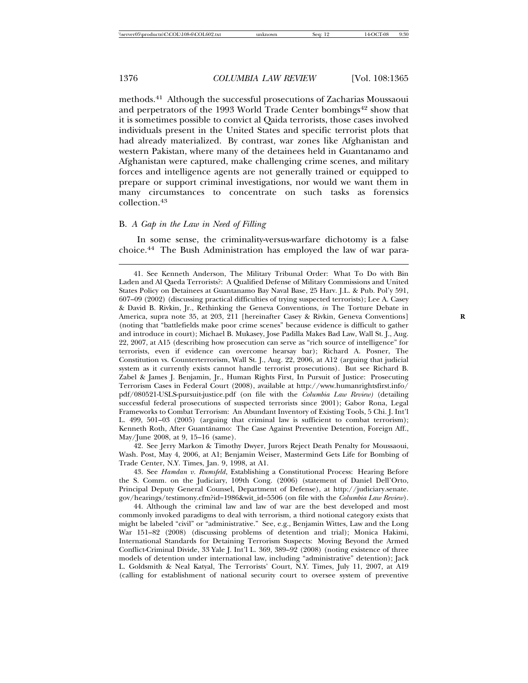methods.<sup>41</sup> Although the successful prosecutions of Zacharias Moussaoui and perpetrators of the 1993 World Trade Center bombings<sup>42</sup> show that it is sometimes possible to convict al Qaida terrorists, those cases involved individuals present in the United States and specific terrorist plots that had already materialized. By contrast, war zones like Afghanistan and western Pakistan, where many of the detainees held in Guantanamo and Afghanistan were captured, make challenging crime scenes, and military forces and intelligence agents are not generally trained or equipped to prepare or support criminal investigations, nor would we want them in many circumstances to concentrate on such tasks as forensics collection.<sup>43</sup>

### B. *A Gap in the Law in Need of Filling*

In some sense, the criminality-versus-warfare dichotomy is a false choice.44 The Bush Administration has employed the law of war para-

41. See Kenneth Anderson, The Military Tribunal Order: What To Do with Bin Laden and Al Qaeda Terrorists?: A Qualified Defense of Military Commissions and United States Policy on Detainees at Guantanamo Bay Naval Base, 25 Harv. J.L. & Pub. Pol'y 591, 607–09 (2002) (discussing practical difficulties of trying suspected terrorists); Lee A. Casey & David B. Rivkin, Jr., Rethinking the Geneva Conventions, *in* The Torture Debate in America, supra note 35, at 203, 211 [hereinafter Casey & Rivkin, Geneva Conventions] **R** (noting that "battlefields make poor crime scenes" because evidence is difficult to gather and introduce in court); Michael B. Mukasey, Jose Padilla Makes Bad Law, Wall St. J., Aug. 22, 2007, at A15 (describing how prosecution can serve as "rich source of intelligence" for terrorists, even if evidence can overcome hearsay bar); Richard A. Posner, The Constitution vs. Counterterrorism, Wall St. J., Aug. 22, 2006, at A12 (arguing that judicial system as it currently exists cannot handle terrorist prosecutions). But see Richard B. Zabel & James J. Benjamin, Jr., Human Rights First, In Pursuit of Justice: Prosecuting Terrorism Cases in Federal Court (2008), available at http://www.humanrightsfirst.info/ pdf/080521-USLS-pursuit-justice.pdf (on file with the *Columbia Law Review)* (detailing successful federal prosecutions of suspected terrorists since 2001); Gabor Rona, Legal Frameworks to Combat Terrorism: An Abundant Inventory of Existing Tools, 5 Chi. J. Int'l L. 499, 501–03 (2005) (arguing that criminal law is sufficient to combat terrorism); Kenneth Roth, After Guantánamo: The Case Against Preventive Detention, Foreign Aff., May/June 2008, at 9, 15–16 (same).

42. See Jerry Markon & Timothy Dwyer, Jurors Reject Death Penalty for Moussaoui, Wash. Post, May 4, 2006, at A1; Benjamin Weiser, Mastermind Gets Life for Bombing of Trade Center, N.Y. Times, Jan. 9, 1998, at A1.

43. See *Hamdan v. Rumsfeld*, Establishing a Constitutional Process: Hearing Before the S. Comm. on the Judiciary, 109th Cong. (2006) (statement of Daniel Dell'Orto, Principal Deputy General Counsel, Department of Defense), at http://judiciary.senate. gov/hearings/testimony.cfm?id=1986&wit\_id=5506 (on file with the *Columbia Law Review*).

44. Although the criminal law and law of war are the best developed and most commonly invoked paradigms to deal with terrorism, a third notional category exists that might be labeled "civil" or "administrative." See, e.g., Benjamin Wittes, Law and the Long War 151–82 (2008) (discussing problems of detention and trial); Monica Hakimi, International Standards for Detaining Terrorism Suspects: Moving Beyond the Armed Conflict-Criminal Divide, 33 Yale J. Int'l L. 369, 389–92 (2008) (noting existence of three models of detention under international law, including "administrative" detention); Jack L. Goldsmith & Neal Katyal, The Terrorists' Court, N.Y. Times, July 11, 2007, at A19 (calling for establishment of national security court to oversee system of preventive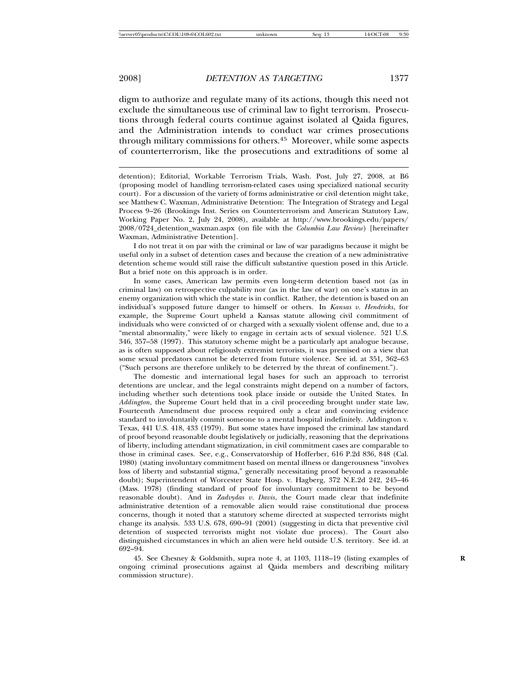digm to authorize and regulate many of its actions, though this need not exclude the simultaneous use of criminal law to fight terrorism. Prosecutions through federal courts continue against isolated al Qaida figures, and the Administration intends to conduct war crimes prosecutions through military commissions for others.<sup>45</sup> Moreover, while some aspects of counterterrorism, like the prosecutions and extraditions of some al

detention); Editorial, Workable Terrorism Trials, Wash. Post, July 27, 2008, at B6 (proposing model of handling terrorism-related cases using specialized national security court). For a discussion of the variety of forms administrative or civil detention might take, see Matthew C. Waxman, Administrative Detention: The Integration of Strategy and Legal Process 9–26 (Brookings Inst. Series on Counterterrorism and American Statutory Law, Working Paper No. 2, July 24, 2008), available at http://www.brookings.edu/papers/ 2008/0724\_detention\_waxman.aspx (on file with the *Columbia Law Review*) [hereinafter Waxman, Administrative Detention].

I do not treat it on par with the criminal or law of war paradigms because it might be useful only in a subset of detention cases and because the creation of a new administrative detention scheme would still raise the difficult substantive question posed in this Article. But a brief note on this approach is in order.

In some cases, American law permits even long-term detention based not (as in criminal law) on retrospective culpability nor (as in the law of war) on one's status in an enemy organization with which the state is in conflict. Rather, the detention is based on an individual's supposed future danger to himself or others. In *Kansas v. Hendricks*, for example, the Supreme Court upheld a Kansas statute allowing civil commitment of individuals who were convicted of or charged with a sexually violent offense and, due to a "mental abnormality," were likely to engage in certain acts of sexual violence. 521 U.S. 346, 357–58 (1997). This statutory scheme might be a particularly apt analogue because, as is often supposed about religiously extremist terrorists, it was premised on a view that some sexual predators cannot be deterred from future violence. See id. at 351, 362–63 ("Such persons are therefore unlikely to be deterred by the threat of confinement.").

The domestic and international legal bases for such an approach to terrorist detentions are unclear, and the legal constraints might depend on a number of factors, including whether such detentions took place inside or outside the United States. In *Addington*, the Supreme Court held that in a civil proceeding brought under state law, Fourteenth Amendment due process required only a clear and convincing evidence standard to involuntarily commit someone to a mental hospital indefinitely. Addington v. Texas, 441 U.S. 418, 433 (1979). But some states have imposed the criminal law standard of proof beyond reasonable doubt legislatively or judicially, reasoning that the deprivations of liberty, including attendant stigmatization, in civil commitment cases are comparable to those in criminal cases. See, e.g., Conservatorship of Hofferber, 616 P.2d 836, 848 (Cal. 1980) (stating involuntary commitment based on mental illness or dangerousness "involves loss of liberty and substantial stigma," generally necessitating proof beyond a reasonable doubt); Superintendent of Worcester State Hosp. v. Hagberg, 372 N.E.2d 242, 245–46 (Mass. 1978) (finding standard of proof for involuntary commitment to be beyond reasonable doubt). And in *Zadvydas v. Davis*, the Court made clear that indefinite administrative detention of a removable alien would raise constitutional due process concerns, though it noted that a statutory scheme directed at suspected terrorists might change its analysis. 533 U.S. 678, 690–91 (2001) (suggesting in dicta that preventive civil detention of suspected terrorists might not violate due process). The Court also distinguished circumstances in which an alien were held outside U.S. territory. See id. at 692–94.

45. See Chesney & Goldsmith, supra note 4, at 1103, 1118–19 (listing examples of **R** ongoing criminal prosecutions against al Qaida members and describing military commission structure).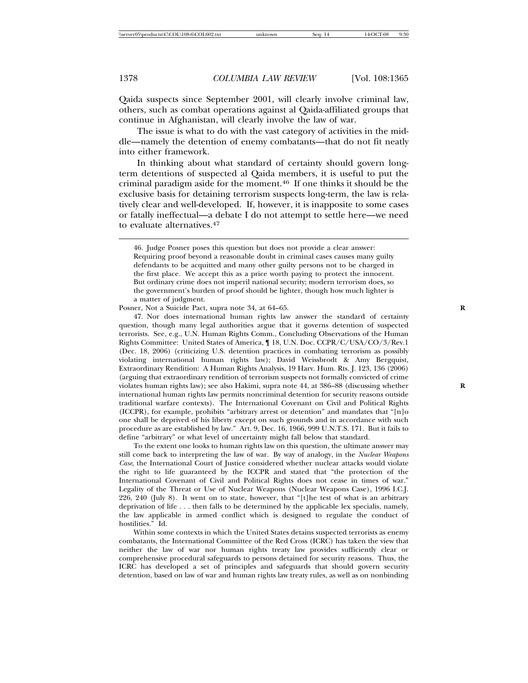Qaida suspects since September 2001, will clearly involve criminal law, others, such as combat operations against al Qaida-affiliated groups that continue in Afghanistan, will clearly involve the law of war.

The issue is what to do with the vast category of activities in the middle—namely the detention of enemy combatants—that do not fit neatly into either framework.

In thinking about what standard of certainty should govern longterm detentions of suspected al Qaida members, it is useful to put the criminal paradigm aside for the moment.<sup>46</sup> If one thinks it should be the exclusive basis for detaining terrorism suspects long-term, the law is relatively clear and well-developed. If, however, it is inapposite to some cases or fatally ineffectual—a debate I do not attempt to settle here—we need to evaluate alternatives.<sup>47</sup>

Posner, Not a Suicide Pact, supra note 34, at 64–65.

47. Nor does international human rights law answer the standard of certainty question, though many legal authorities argue that it governs detention of suspected terrorists. See, e.g., U.N. Human Rights Comm., Concluding Observations of the Human Rights Committee: United States of America, ¶ 18, U.N. Doc. CCPR/C/USA/CO/3/Rev.1 (Dec. 18, 2006) (criticizing U.S. detention practices in combating terrorism as possibly violating international human rights law); David Weissbrodt & Amy Bergquist, Extraordinary Rendition: A Human Rights Analysis, 19 Harv. Hum. Rts. J. 123, 136 (2006) (arguing that extraordinary rendition of terrorism suspects not formally convicted of crime violates human rights law); see also Hakimi, supra note 44, at 386–88 (discussing whether **R** international human rights law permits noncriminal detention for security reasons outside traditional warfare contexts). The International Covenant on Civil and Political Rights (ICCPR), for example, prohibits "arbitrary arrest or detention" and mandates that "[n]o one shall be deprived of his liberty except on such grounds and in accordance with such procedure as are established by law." Art. 9, Dec. 16, 1966, 999 U.N.T.S. 171. But it fails to define "arbitrary" or what level of uncertainty might fall below that standard.

To the extent one looks to human rights law on this question, the ultimate answer may still come back to interpreting the law of war. By way of analogy, in the *Nuclear Weapons Case*, the International Court of Justice considered whether nuclear attacks would violate the right to life guaranteed by the ICCPR and stated that "the protection of the International Covenant of Civil and Political Rights does not cease in times of war." Legality of the Threat or Use of Nuclear Weapons (Nuclear Weapons Case), 1996 I.C.J. 226, 240 (July 8). It went on to state, however, that "[t]he test of what is an arbitrary deprivation of life . . . then falls to be determined by the applicable lex specialis, namely, the law applicable in armed conflict which is designed to regulate the conduct of hostilities." Id.

Within some contexts in which the United States detains suspected terrorists as enemy combatants, the International Committee of the Red Cross (ICRC) has taken the view that neither the law of war nor human rights treaty law provides sufficiently clear or comprehensive procedural safeguards to persons detained for security reasons. Thus, the ICRC has developed a set of principles and safeguards that should govern security detention, based on law of war and human rights law treaty rules, as well as on nonbinding

<sup>46.</sup> Judge Posner poses this question but does not provide a clear answer: Requiring proof beyond a reasonable doubt in criminal cases causes many guilty defendants to be acquitted and many other guilty persons not to be charged in the first place. We accept this as a price worth paying to protect the innocent. But ordinary crime does not imperil national security; modern terrorism does, so the government's burden of proof should be lighter, though how much lighter is a matter of judgment.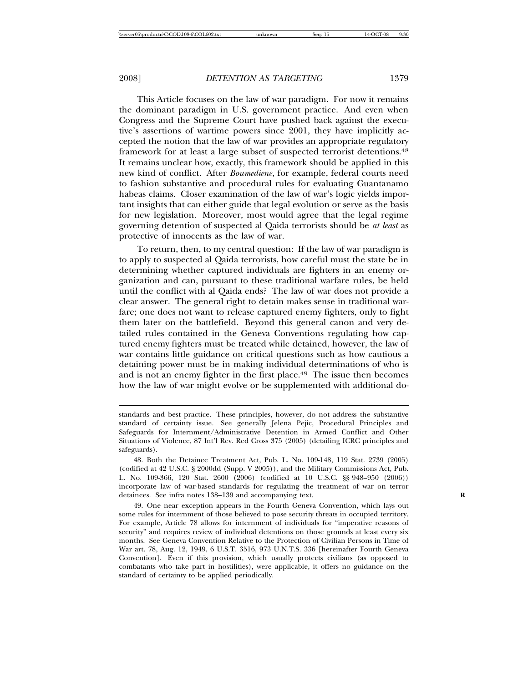This Article focuses on the law of war paradigm. For now it remains the dominant paradigm in U.S. government practice. And even when Congress and the Supreme Court have pushed back against the executive's assertions of wartime powers since 2001, they have implicitly accepted the notion that the law of war provides an appropriate regulatory framework for at least a large subset of suspected terrorist detentions.<sup>48</sup> It remains unclear how, exactly, this framework should be applied in this new kind of conflict. After *Boumediene*, for example, federal courts need to fashion substantive and procedural rules for evaluating Guantanamo habeas claims. Closer examination of the law of war's logic yields important insights that can either guide that legal evolution or serve as the basis for new legislation. Moreover, most would agree that the legal regime governing detention of suspected al Qaida terrorists should be *at least* as protective of innocents as the law of war.

To return, then, to my central question: If the law of war paradigm is to apply to suspected al Qaida terrorists, how careful must the state be in determining whether captured individuals are fighters in an enemy organization and can, pursuant to these traditional warfare rules, be held until the conflict with al Qaida ends? The law of war does not provide a clear answer. The general right to detain makes sense in traditional warfare; one does not want to release captured enemy fighters, only to fight them later on the battlefield. Beyond this general canon and very detailed rules contained in the Geneva Conventions regulating how captured enemy fighters must be treated while detained, however, the law of war contains little guidance on critical questions such as how cautious a detaining power must be in making individual determinations of who is and is not an enemy fighter in the first place.<sup>49</sup> The issue then becomes how the law of war might evolve or be supplemented with additional do-

standards and best practice. These principles, however, do not address the substantive standard of certainty issue. See generally Jelena Pejic, Procedural Principles and Safeguards for Internment/Administrative Detention in Armed Conflict and Other Situations of Violence, 87 Int'l Rev. Red Cross 375 (2005) (detailing ICRC principles and safeguards).

<sup>48.</sup> Both the Detainee Treatment Act, Pub. L. No. 109-148, 119 Stat. 2739 (2005) (codified at 42 U.S.C. § 2000dd (Supp. V 2005)), and the Military Commissions Act, Pub. L. No. 109-366, 120 Stat. 2600 (2006) (codified at 10 U.S.C. §§ 948–950 (2006)) incorporate law of war-based standards for regulating the treatment of war on terror detainees. See infra notes 138–139 and accompanying text. **R**

<sup>49.</sup> One near exception appears in the Fourth Geneva Convention, which lays out some rules for internment of those believed to pose security threats in occupied territory. For example, Article 78 allows for internment of individuals for "imperative reasons of security" and requires review of individual detentions on those grounds at least every six months. See Geneva Convention Relative to the Protection of Civilian Persons in Time of War art. 78, Aug. 12, 1949, 6 U.S.T. 3516, 973 U.N.T.S. 336 [hereinafter Fourth Geneva Convention]. Even if this provision, which usually protects civilians (as opposed to combatants who take part in hostilities), were applicable, it offers no guidance on the standard of certainty to be applied periodically.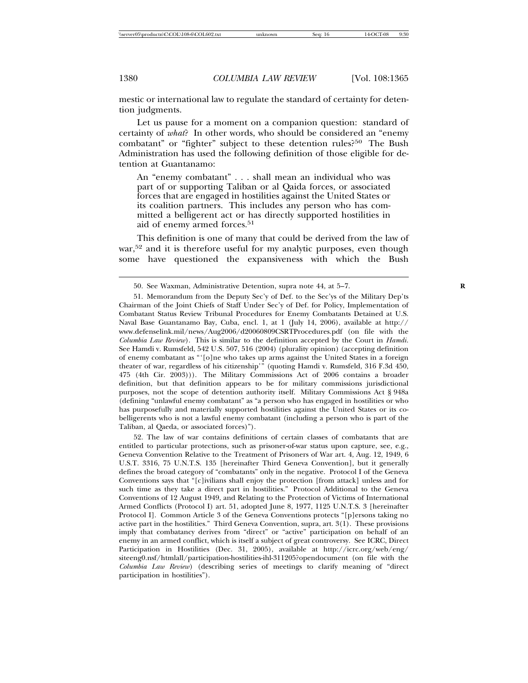mestic or international law to regulate the standard of certainty for detention judgments.

Let us pause for a moment on a companion question: standard of certainty of *what*? In other words, who should be considered an "enemy combatant" or "fighter" subject to these detention rules?<sup>50</sup> The Bush Administration has used the following definition of those eligible for detention at Guantanamo:

An "enemy combatant" . . . shall mean an individual who was part of or supporting Taliban or al Qaida forces, or associated forces that are engaged in hostilities against the United States or its coalition partners. This includes any person who has committed a belligerent act or has directly supported hostilities in aid of enemy armed forces.<sup>51</sup>

This definition is one of many that could be derived from the law of war,<sup>52</sup> and it is therefore useful for my analytic purposes, even though some have questioned the expansiveness with which the Bush

52. The law of war contains definitions of certain classes of combatants that are entitled to particular protections, such as prisoner-of-war status upon capture, see, e.g., Geneva Convention Relative to the Treatment of Prisoners of War art. 4, Aug. 12, 1949, 6 U.S.T. 3316, 75 U.N.T.S. 135 [hereinafter Third Geneva Convention], but it generally defines the broad category of "combatants" only in the negative. Protocol I of the Geneva Conventions says that "[c]ivilians shall enjoy the protection [from attack] unless and for such time as they take a direct part in hostilities." Protocol Additional to the Geneva Conventions of 12 August 1949, and Relating to the Protection of Victims of International Armed Conflicts (Protocol I) art. 51, adopted June 8, 1977, 1125 U.N.T.S. 3 [hereinafter Protocol I]. Common Article 3 of the Geneva Conventions protects "[p]ersons taking no active part in the hostilities." Third Geneva Convention, supra, art. 3(1). These provisions imply that combatancy derives from "direct" or "active" participation on behalf of an enemy in an armed conflict, which is itself a subject of great controversy. See ICRC, Direct Participation in Hostilities (Dec. 31, 2005), available at http://icrc.org/web/eng/ siteeng0.nsf/htmlall/participation-hostilities-ihl-311205?opendocument (on file with the *Columbia Law Review*) (describing series of meetings to clarify meaning of "direct participation in hostilities").

<sup>50.</sup> See Waxman, Administrative Detention, supra note 44, at 5–7. **R**

<sup>51.</sup> Memorandum from the Deputy Sec'y of Def. to the Sec'ys of the Military Dep'ts Chairman of the Joint Chiefs of Staff Under Sec'y of Def. for Policy, Implementation of Combatant Status Review Tribunal Procedures for Enemy Combatants Detained at U.S. Naval Base Guantanamo Bay, Cuba, encl. 1, at 1 (July 14, 2006), available at http:// www.defenselink.mil/news/Aug2006/d20060809CSRTProcedures.pdf (on file with the *Columbia Law Review*). This is similar to the definition accepted by the Court in *Hamdi*. See Hamdi v. Rumsfeld, 542 U.S. 507, 516 (2004) (plurality opinion) (accepting definition of enemy combatant as "'[o]ne who takes up arms against the United States in a foreign theater of war, regardless of his citizenship'" (quoting Hamdi v. Rumsfeld, 316 F.3d 450, 475 (4th Cir. 2003))). The Military Commissions Act of 2006 contains a broader definition, but that definition appears to be for military commissions jurisdictional purposes, not the scope of detention authority itself. Military Commissions Act § 948a (defining "unlawful enemy combatant" as "a person who has engaged in hostilities or who has purposefully and materially supported hostilities against the United States or its cobelligerents who is not a lawful enemy combatant (including a person who is part of the Taliban, al Qaeda, or associated forces)").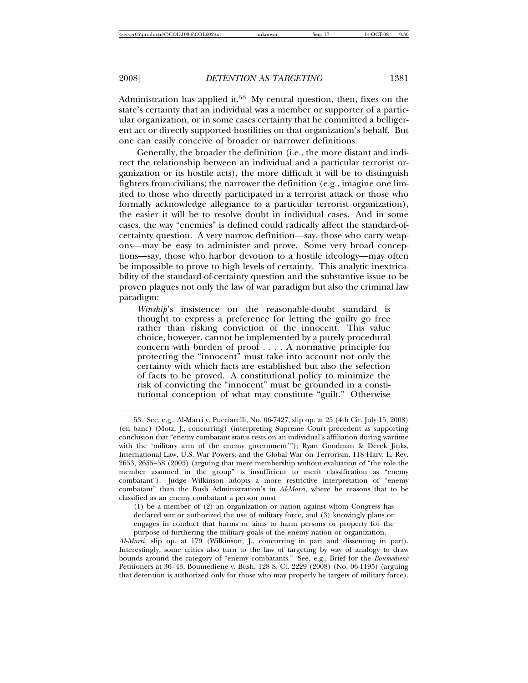Administration has applied it.<sup>53</sup> My central question, then, fixes on the state's certainty that an individual was a member or supporter of a particular organization, or in some cases certainty that he committed a belligerent act or directly supported hostilities on that organization's behalf. But one can easily conceive of broader or narrower definitions.

Generally, the broader the definition (i.e., the more distant and indirect the relationship between an individual and a particular terrorist organization or its hostile acts), the more difficult it will be to distinguish fighters from civilians; the narrower the definition (e.g., imagine one limited to those who directly participated in a terrorist attack or those who formally acknowledge allegiance to a particular terrorist organization), the easier it will be to resolve doubt in individual cases. And in some cases, the way "enemies" is defined could radically affect the standard-ofcertainty question. A very narrow definition—say, those who carry weapons—may be easy to administer and prove. Some very broad conceptions—say, those who harbor devotion to a hostile ideology—may often be impossible to prove to high levels of certainty. This analytic inextricability of the standard-of-certainty question and the substantive issue to be proven plagues not only the law of war paradigm but also the criminal law paradigm:

*Winship*'s insistence on the reasonable-doubt standard is thought to express a preference for letting the guilty go free rather than risking conviction of the innocent. This value choice, however, cannot be implemented by a purely procedural concern with burden of proof . . . . A normative principle for protecting the "innocent" must take into account not only the certainty with which facts are established but also the selection of facts to be proved. A constitutional policy to minimize the risk of convicting the "innocent" must be grounded in a constitutional conception of what may constitute "guilt." Otherwise

(1) be a member of (2) an organization or nation against whom Congress has declared war or authorized the use of military force, and (3) knowingly plans or engages in conduct that harms or aims to harm persons or property for the purpose of furthering the military goals of the enemy nation or organization.

*Al-Marri*, slip op. at 179 (Wilkinson, J., concurring in part and dissenting in part). Interestingly, some critics also turn to the law of targeting by way of analogy to draw bounds around the category of "enemy combatants." See, e.g., Brief for the *Boumediene* Petitioners at 36–43, Boumediene v. Bush, 128 S. Ct. 2229 (2008) (No. 06-1195) (arguing that detention is authorized only for those who may properly be targets of military force).

<sup>53.</sup> See, e.g., Al-Marri v. Pucciarelli, No. 06-7427, slip op. at 25 (4th Cir. July 15, 2008) (en banc) (Motz, J., concurring) (interpreting Supreme Court precedent as supporting conclusion that "enemy combatant status rests on an individual's affiliation during wartime with the 'military arm of the enemy government'"); Ryan Goodman & Derek Jinks, International Law, U.S. War Powers, and the Global War on Terrorism, 118 Harv. L. Rev. 2653, 2655–58 (2005) (arguing that mere membership without evaluation of "the role the member assumed in the group" is insufficient to merit classification as "enemy combatant"). Judge Wilkinson adopts a more restrictive interpretation of "enemy combatant" than the Bush Administration's in *Al-Marri*, where he reasons that to be classified as an enemy combatant a person must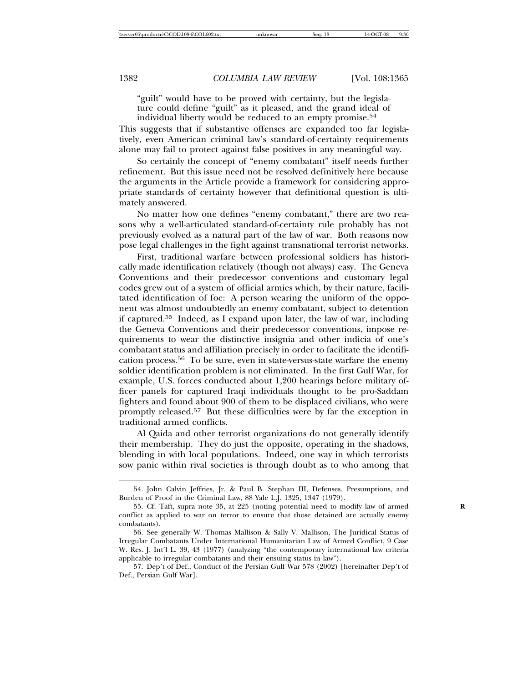"guilt" would have to be proved with certainty, but the legislature could define "guilt" as it pleased, and the grand ideal of individual liberty would be reduced to an empty promise.<sup>54</sup>

This suggests that if substantive offenses are expanded too far legislatively, even American criminal law's standard-of-certainty requirements alone may fail to protect against false positives in any meaningful way.

So certainly the concept of "enemy combatant" itself needs further refinement. But this issue need not be resolved definitively here because the arguments in the Article provide a framework for considering appropriate standards of certainty however that definitional question is ultimately answered.

No matter how one defines "enemy combatant," there are two reasons why a well-articulated standard-of-certainty rule probably has not previously evolved as a natural part of the law of war. Both reasons now pose legal challenges in the fight against transnational terrorist networks.

First, traditional warfare between professional soldiers has historically made identification relatively (though not always) easy. The Geneva Conventions and their predecessor conventions and customary legal codes grew out of a system of official armies which, by their nature, facilitated identification of foe: A person wearing the uniform of the opponent was almost undoubtedly an enemy combatant, subject to detention if captured.<sup>55</sup> Indeed, as I expand upon later, the law of war, including the Geneva Conventions and their predecessor conventions, impose requirements to wear the distinctive insignia and other indicia of one's combatant status and affiliation precisely in order to facilitate the identification process.<sup>56</sup> To be sure, even in state-versus-state warfare the enemy soldier identification problem is not eliminated. In the first Gulf War, for example, U.S. forces conducted about 1,200 hearings before military officer panels for captured Iraqi individuals thought to be pro-Saddam fighters and found about 900 of them to be displaced civilians, who were promptly released.<sup>57</sup> But these difficulties were by far the exception in traditional armed conflicts.

Al Qaida and other terrorist organizations do not generally identify their membership. They do just the opposite, operating in the shadows, blending in with local populations. Indeed, one way in which terrorists sow panic within rival societies is through doubt as to who among that

<sup>54.</sup> John Calvin Jeffries, Jr. & Paul B. Stephan III, Defenses, Presumptions, and Burden of Proof in the Criminal Law, 88 Yale L.J. 1325, 1347 (1979).

<sup>55.</sup> Cf. Taft, supra note 35, at 225 (noting potential need to modify law of armed **R** conflict as applied to war on terror to ensure that those detained are actually enemy combatants).

<sup>56.</sup> See generally W. Thomas Mallison & Sally V. Mallison, The Juridical Status of Irregular Combatants Under International Humanitarian Law of Armed Conflict, 9 Case W. Res. J. Int'l L. 39, 43 (1977) (analyzing "the contemporary international law criteria applicable to irregular combatants and their ensuing status in law").

<sup>57.</sup> Dep't of Def., Conduct of the Persian Gulf War 578 (2002) [hereinafter Dep't of Def., Persian Gulf War].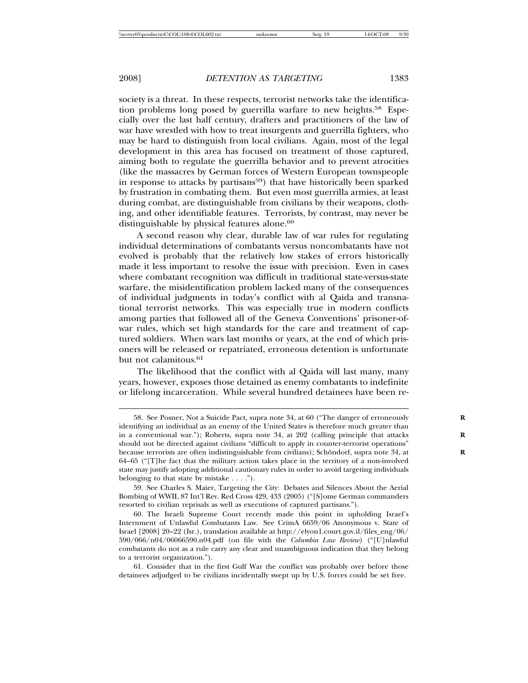society is a threat. In these respects, terrorist networks take the identification problems long posed by guerrilla warfare to new heights.<sup>58</sup> Especially over the last half century, drafters and practitioners of the law of war have wrestled with how to treat insurgents and guerrilla fighters, who may be hard to distinguish from local civilians. Again, most of the legal development in this area has focused on treatment of those captured, aiming both to regulate the guerrilla behavior and to prevent atrocities (like the massacres by German forces of Western European townspeople in response to attacks by partisans<sup>59</sup>) that have historically been sparked by frustration in combating them. But even most guerrilla armies, at least during combat, are distinguishable from civilians by their weapons, clothing, and other identifiable features. Terrorists, by contrast, may never be distinguishable by physical features alone.<sup>60</sup>

A second reason why clear, durable law of war rules for regulating individual determinations of combatants versus noncombatants have not evolved is probably that the relatively low stakes of errors historically made it less important to resolve the issue with precision. Even in cases where combatant recognition was difficult in traditional state-versus-state warfare, the misidentification problem lacked many of the consequences of individual judgments in today's conflict with al Qaida and transnational terrorist networks. This was especially true in modern conflicts among parties that followed all of the Geneva Conventions' prisoner-ofwar rules, which set high standards for the care and treatment of captured soldiers. When wars last months or years, at the end of which prisoners will be released or repatriated, erroneous detention is unfortunate but not calamitous.<sup>61</sup>

The likelihood that the conflict with al Qaida will last many, many years, however, exposes those detained as enemy combatants to indefinite or lifelong incarceration. While several hundred detainees have been re-

59. See Charles S. Maier, Targeting the City: Debates and Silences About the Aerial Bombing of WWII, 87 Int'l Rev. Red Cross 429, 433 (2005) ("[S]ome German commanders resorted to civilian reprisals as well as executions of captured partisans.").

60. The Israeli Supreme Court recently made this point in upholding Israel's Internment of Unlawful Combatants Law. See CrimA 6659/06 Anonymous v. State of Israel [2008] 20–22 (Isr.), translation available at http://elyon1.court.gov.il/files\_eng/06/ 590/066/n04/06066590.n04.pdf (on file with the *Columbia Law Review*) ("[U]nlawful combatants do not as a rule carry any clear and unambiguous indication that they belong to a terrorist organization.").

61. Consider that in the first Gulf War the conflict was probably over before those detainees adjudged to be civilians incidentally swept up by U.S. forces could be set free.

<sup>58.</sup> See Posner, Not a Suicide Pact, supra note 34, at 60 ("The danger of erroneously identifying an individual as an enemy of the United States is therefore much greater than in a conventional war."); Roberts, supra note 34, at 202 (calling principle that attacks should not be directed against civilians "difficult to apply in counter-terrorist operations" because terrorists are often indistinguishable from civilians); Schöndorf, supra note 34, at 64–65 ("[T]he fact that the military action takes place in the territory of a non-involved state may justify adopting additional cautionary rules in order to avoid targeting individuals belonging to that state by mistake . . . .").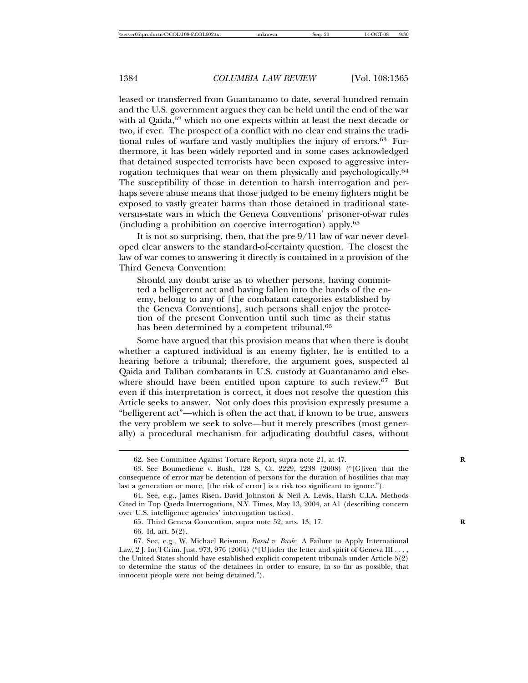leased or transferred from Guantanamo to date, several hundred remain and the U.S. government argues they can be held until the end of the war with al Qaida,<sup>62</sup> which no one expects within at least the next decade or two, if ever. The prospect of a conflict with no clear end strains the traditional rules of warfare and vastly multiplies the injury of errors.<sup>63</sup> Furthermore, it has been widely reported and in some cases acknowledged that detained suspected terrorists have been exposed to aggressive interrogation techniques that wear on them physically and psychologically.<sup>64</sup> The susceptibility of those in detention to harsh interrogation and perhaps severe abuse means that those judged to be enemy fighters might be exposed to vastly greater harms than those detained in traditional stateversus-state wars in which the Geneva Conventions' prisoner-of-war rules (including a prohibition on coercive interrogation) apply.<sup>65</sup>

It is not so surprising, then, that the pre-9/11 law of war never developed clear answers to the standard-of-certainty question. The closest the law of war comes to answering it directly is contained in a provision of the Third Geneva Convention:

Should any doubt arise as to whether persons, having committed a belligerent act and having fallen into the hands of the enemy, belong to any of [the combatant categories established by the Geneva Conventions], such persons shall enjoy the protection of the present Convention until such time as their status has been determined by a competent tribunal.<sup>66</sup>

Some have argued that this provision means that when there is doubt whether a captured individual is an enemy fighter, he is entitled to a hearing before a tribunal; therefore, the argument goes, suspected al Qaida and Taliban combatants in U.S. custody at Guantanamo and elsewhere should have been entitled upon capture to such review.<sup>67</sup> But even if this interpretation is correct, it does not resolve the question this Article seeks to answer. Not only does this provision expressly presume a "belligerent act"—which is often the act that, if known to be true, answers the very problem we seek to solve—but it merely prescribes (most generally) a procedural mechanism for adjudicating doubtful cases, without

66. Id. art. 5(2).

<sup>62.</sup> See Committee Against Torture Report, supra note 21, at 47.

<sup>63.</sup> See Boumediene v. Bush, 128 S. Ct. 2229, 2238 (2008) ("[G]iven that the consequence of error may be detention of persons for the duration of hostilities that may last a generation or more, [the risk of error] is a risk too significant to ignore.").

<sup>64.</sup> See, e.g., James Risen, David Johnston & Neil A. Lewis, Harsh C.I.A. Methods Cited in Top Qaeda Interrogations, N.Y. Times, May 13, 2004, at A1 (describing concern over U.S. intelligence agencies' interrogation tactics).

<sup>65.</sup> Third Geneva Convention, supra note 52, arts. 13, 17. **R**

<sup>67.</sup> See, e.g., W. Michael Reisman, *Rasul v. Bush*: A Failure to Apply International Law, 2 J. Int'l Crim. Just. 973, 976 (2004) ("[U]nder the letter and spirit of Geneva III . . . , the United States should have established explicit competent tribunals under Article 5(2) to determine the status of the detainees in order to ensure, in so far as possible, that innocent people were not being detained.").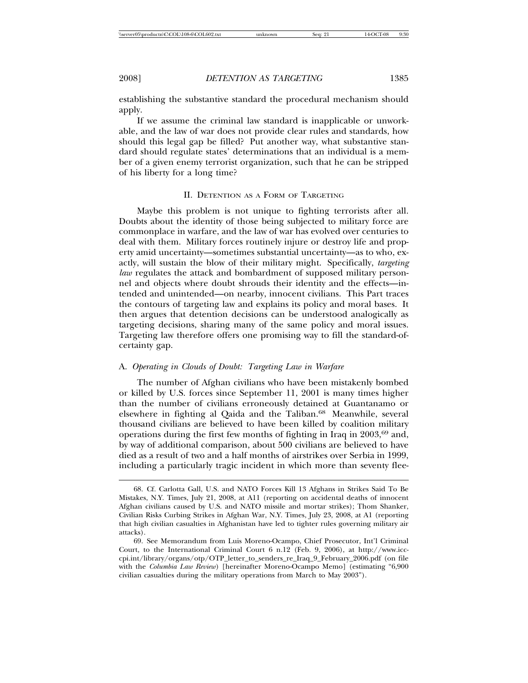establishing the substantive standard the procedural mechanism should apply.

If we assume the criminal law standard is inapplicable or unworkable, and the law of war does not provide clear rules and standards, how should this legal gap be filled? Put another way, what substantive standard should regulate states' determinations that an individual is a member of a given enemy terrorist organization, such that he can be stripped of his liberty for a long time?

#### II. DETENTION AS A FORM OF TARGETING

Maybe this problem is not unique to fighting terrorists after all. Doubts about the identity of those being subjected to military force are commonplace in warfare, and the law of war has evolved over centuries to deal with them. Military forces routinely injure or destroy life and property amid uncertainty—sometimes substantial uncertainty—as to who, exactly, will sustain the blow of their military might. Specifically, *targeting law* regulates the attack and bombardment of supposed military personnel and objects where doubt shrouds their identity and the effects—intended and unintended—on nearby, innocent civilians. This Part traces the contours of targeting law and explains its policy and moral bases. It then argues that detention decisions can be understood analogically as targeting decisions, sharing many of the same policy and moral issues. Targeting law therefore offers one promising way to fill the standard-ofcertainty gap.

## A. *Operating in Clouds of Doubt: Targeting Law in Warfare*

The number of Afghan civilians who have been mistakenly bombed or killed by U.S. forces since September 11, 2001 is many times higher than the number of civilians erroneously detained at Guantanamo or elsewhere in fighting al Qaida and the Taliban.<sup>68</sup> Meanwhile, several thousand civilians are believed to have been killed by coalition military operations during the first few months of fighting in Iraq in  $2003,69$  and, by way of additional comparison, about 500 civilians are believed to have died as a result of two and a half months of airstrikes over Serbia in 1999, including a particularly tragic incident in which more than seventy flee-

<sup>68.</sup> Cf. Carlotta Gall, U.S. and NATO Forces Kill 13 Afghans in Strikes Said To Be Mistakes, N.Y. Times, July 21, 2008, at A11 (reporting on accidental deaths of innocent Afghan civilians caused by U.S. and NATO missile and mortar strikes); Thom Shanker, Civilian Risks Curbing Strikes in Afghan War, N.Y. Times, July 23, 2008, at A1 (reporting that high civilian casualties in Afghanistan have led to tighter rules governing military air attacks).

<sup>69.</sup> See Memorandum from Luis Moreno-Ocampo, Chief Prosecutor, Int'l Criminal Court, to the International Criminal Court 6 n.12 (Feb. 9, 2006), at http://www.icccpi.int/library/organs/otp/OTP\_letter\_to\_senders\_re\_Iraq\_9\_February\_2006.pdf (on file with the *Columbia Law Review*) [hereinafter Moreno-Ocampo Memo] (estimating "6,900 civilian casualties during the military operations from March to May 2003").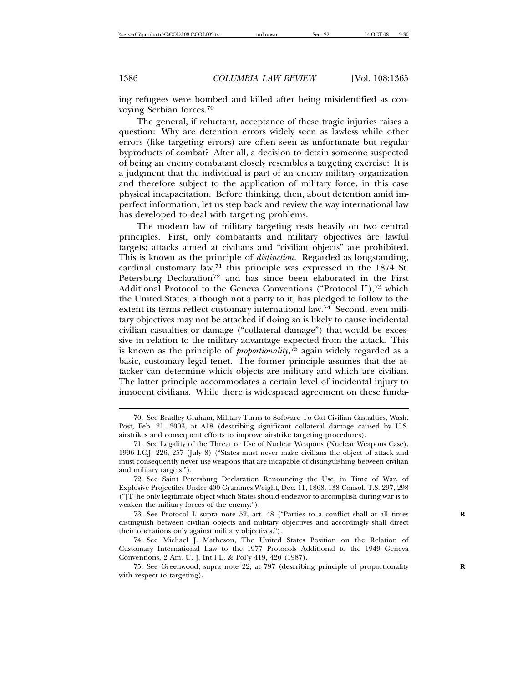ing refugees were bombed and killed after being misidentified as convoying Serbian forces.<sup>70</sup>

The general, if reluctant, acceptance of these tragic injuries raises a question: Why are detention errors widely seen as lawless while other errors (like targeting errors) are often seen as unfortunate but regular byproducts of combat? After all, a decision to detain someone suspected of being an enemy combatant closely resembles a targeting exercise: It is a judgment that the individual is part of an enemy military organization and therefore subject to the application of military force, in this case physical incapacitation. Before thinking, then, about detention amid imperfect information, let us step back and review the way international law has developed to deal with targeting problems.

The modern law of military targeting rests heavily on two central principles. First, only combatants and military objectives are lawful targets; attacks aimed at civilians and "civilian objects" are prohibited. This is known as the principle of *distinction*. Regarded as longstanding, cardinal customary law,<sup>71</sup> this principle was expressed in the 1874 St. Petersburg Declaration<sup>72</sup> and has since been elaborated in the First Additional Protocol to the Geneva Conventions ("Protocol I"),<sup>73</sup> which the United States, although not a party to it, has pledged to follow to the extent its terms reflect customary international law.<sup>74</sup> Second, even military objectives may not be attacked if doing so is likely to cause incidental civilian casualties or damage ("collateral damage") that would be excessive in relation to the military advantage expected from the attack. This is known as the principle of *proportionality*, <sup>75</sup> again widely regarded as a basic, customary legal tenet. The former principle assumes that the attacker can determine which objects are military and which are civilian. The latter principle accommodates a certain level of incidental injury to innocent civilians. While there is widespread agreement on these funda-

75. See Greenwood, supra note 22, at 797 (describing principle of proportionality **R** with respect to targeting).

<sup>70.</sup> See Bradley Graham, Military Turns to Software To Cut Civilian Casualties, Wash. Post, Feb. 21, 2003, at A18 (describing significant collateral damage caused by U.S. airstrikes and consequent efforts to improve airstrike targeting procedures).

<sup>71.</sup> See Legality of the Threat or Use of Nuclear Weapons (Nuclear Weapons Case), 1996 I.C.J. 226, 257 (July 8) ("States must never make civilians the object of attack and must consequently never use weapons that are incapable of distinguishing between civilian and military targets.").

<sup>72.</sup> See Saint Petersburg Declaration Renouncing the Use, in Time of War, of Explosive Projectiles Under 400 Grammes Weight, Dec. 11, 1868, 138 Consol. T.S. 297, 298 ("[T]he only legitimate object which States should endeavor to accomplish during war is to weaken the military forces of the enemy.").

<sup>73.</sup> See Protocol I, supra note 52, art. 48 ("Parties to a conflict shall at all times **R** distinguish between civilian objects and military objectives and accordingly shall direct their operations only against military objectives.").

<sup>74.</sup> See Michael J. Matheson, The United States Position on the Relation of Customary International Law to the 1977 Protocols Additional to the 1949 Geneva Conventions, 2 Am. U. J. Int'l L. & Pol'y 419, 420 (1987).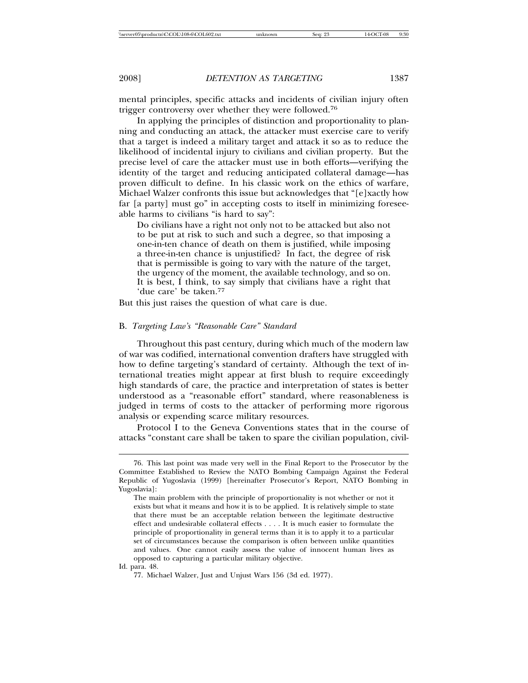mental principles, specific attacks and incidents of civilian injury often trigger controversy over whether they were followed.<sup>76</sup>

In applying the principles of distinction and proportionality to planning and conducting an attack, the attacker must exercise care to verify that a target is indeed a military target and attack it so as to reduce the likelihood of incidental injury to civilians and civilian property. But the precise level of care the attacker must use in both efforts—verifying the identity of the target and reducing anticipated collateral damage—has proven difficult to define. In his classic work on the ethics of warfare, Michael Walzer confronts this issue but acknowledges that "[e]xactly how far [a party] must go" in accepting costs to itself in minimizing foreseeable harms to civilians "is hard to say":

Do civilians have a right not only not to be attacked but also not to be put at risk to such and such a degree, so that imposing a one-in-ten chance of death on them is justified, while imposing a three-in-ten chance is unjustified? In fact, the degree of risk that is permissible is going to vary with the nature of the target, the urgency of the moment, the available technology, and so on. It is best, I think, to say simply that civilians have a right that 'due care' be taken.<sup>77</sup>

But this just raises the question of what care is due.

#### B. *Targeting Law's "Reasonable Care" Standard*

Throughout this past century, during which much of the modern law of war was codified, international convention drafters have struggled with how to define targeting's standard of certainty. Although the text of international treaties might appear at first blush to require exceedingly high standards of care, the practice and interpretation of states is better understood as a "reasonable effort" standard, where reasonableness is judged in terms of costs to the attacker of performing more rigorous analysis or expending scarce military resources.

Protocol I to the Geneva Conventions states that in the course of attacks "constant care shall be taken to spare the civilian population, civil-

Id. para. 48.

<sup>76.</sup> This last point was made very well in the Final Report to the Prosecutor by the Committee Established to Review the NATO Bombing Campaign Against the Federal Republic of Yugoslavia (1999) [hereinafter Prosecutor's Report, NATO Bombing in Yugoslavia]:

The main problem with the principle of proportionality is not whether or not it exists but what it means and how it is to be applied. It is relatively simple to state that there must be an acceptable relation between the legitimate destructive effect and undesirable collateral effects . . . . It is much easier to formulate the principle of proportionality in general terms than it is to apply it to a particular set of circumstances because the comparison is often between unlike quantities and values. One cannot easily assess the value of innocent human lives as opposed to capturing a particular military objective.

<sup>77.</sup> Michael Walzer, Just and Unjust Wars 156 (3d ed. 1977).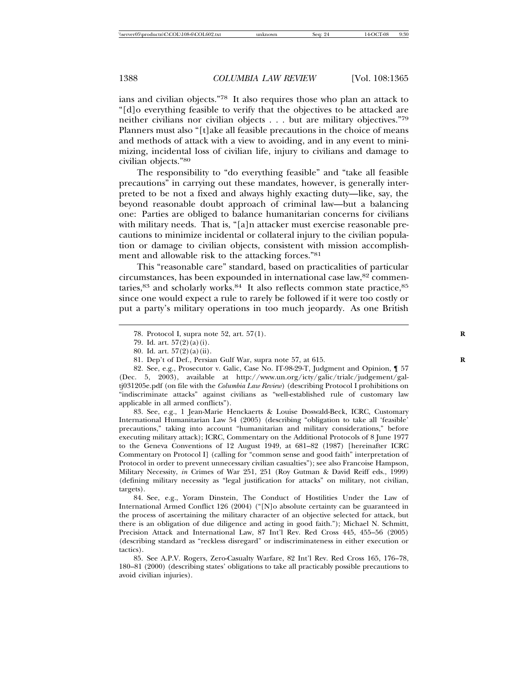ians and civilian objects."<sup>78</sup> It also requires those who plan an attack to "[d]o everything feasible to verify that the objectives to be attacked are neither civilians nor civilian objects . . . but are military objectives."<sup>79</sup> Planners must also "[t]ake all feasible precautions in the choice of means and methods of attack with a view to avoiding, and in any event to minimizing, incidental loss of civilian life, injury to civilians and damage to civilian objects."<sup>80</sup>

The responsibility to "do everything feasible" and "take all feasible precautions" in carrying out these mandates, however, is generally interpreted to be not a fixed and always highly exacting duty—like, say, the beyond reasonable doubt approach of criminal law—but a balancing one: Parties are obliged to balance humanitarian concerns for civilians with military needs. That is, "[a]n attacker must exercise reasonable precautions to minimize incidental or collateral injury to the civilian population or damage to civilian objects, consistent with mission accomplishment and allowable risk to the attacking forces."<sup>81</sup>

This "reasonable care" standard, based on practicalities of particular circumstances, has been expounded in international case law,<sup>82</sup> commentaries, $83$  and scholarly works. $84$  It also reflects common state practice,  $85$ since one would expect a rule to rarely be followed if it were too costly or put a party's military operations in too much jeopardy. As one British

83. See, e.g., 1 Jean-Marie Henckaerts & Louise Doswald-Beck, ICRC, Customary International Humanitarian Law 54 (2005) (describing "obligation to take all 'feasible' precautions," taking into account "humanitarian and military considerations," before executing military attack); ICRC, Commentary on the Additional Protocols of 8 June 1977 to the Geneva Conventions of 12 August 1949, at 681–82 (1987) [hereinafter ICRC Commentary on Protocol I] (calling for "common sense and good faith" interpretation of Protocol in order to prevent unnecessary civilian casualties"); see also Francoise Hampson, Military Necessity, *in* Crimes of War 251, 251 (Roy Gutman & David Reiff eds., 1999) (defining military necessity as "legal justification for attacks" on military, not civilian, targets).

84. See, e.g., Yoram Dinstein, The Conduct of Hostilities Under the Law of International Armed Conflict 126 (2004) ("[N]o absolute certainty can be guaranteed in the process of ascertaining the military character of an objective selected for attack, but there is an obligation of due diligence and acting in good faith."); Michael N. Schmitt, Precision Attack and International Law, 87 Int'l Rev. Red Cross 445, 455–56 (2005) (describing standard as "reckless disregard" or indiscriminateness in either execution or tactics).

85. See A.P.V. Rogers, Zero-Casualty Warfare, 82 Int'l Rev. Red Cross 165, 176–78, 180–81 (2000) (describing states' obligations to take all practicably possible precautions to avoid civilian injuries).

<sup>78.</sup> Protocol I, supra note 52, art. 57(1). **R**

<sup>79.</sup> Id. art. 57(2)(a)(i).

<sup>80.</sup> Id. art. 57(2)(a)(ii).

<sup>81.</sup> Dep't of Def., Persian Gulf War, supra note 57, at 615. **R**

<sup>82.</sup> See, e.g., Prosecutor v. Galic, Case No. IT-98-29-T, Judgment and Opinion, ¶ 57 (Dec. 5, 2003), available at http://www.un.org/icty/galic/trialc/judgement/galtj031205e.pdf (on file with the *Columbia Law Review*) (describing Protocol I prohibitions on "indiscriminate attacks" against civilians as "well-established rule of customary law applicable in all armed conflicts").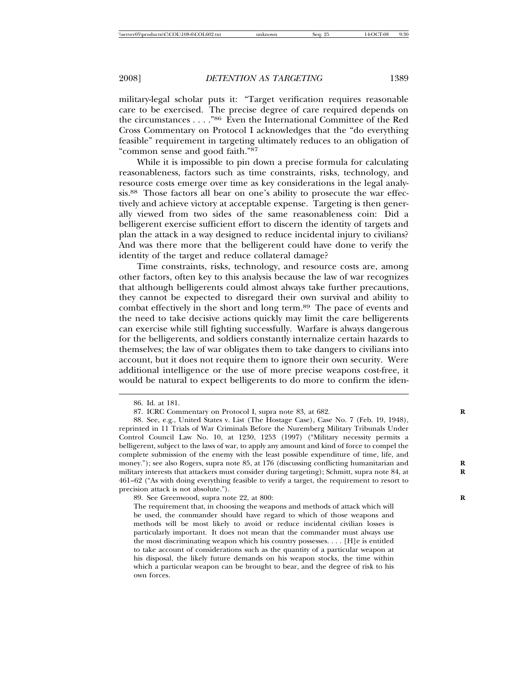military-legal scholar puts it: "Target verification requires reasonable care to be exercised. The precise degree of care required depends on the circumstances . . . ."<sup>86</sup> Even the International Committee of the Red Cross Commentary on Protocol I acknowledges that the "do everything feasible" requirement in targeting ultimately reduces to an obligation of "common sense and good faith."<sup>87</sup>

While it is impossible to pin down a precise formula for calculating reasonableness, factors such as time constraints, risks, technology, and resource costs emerge over time as key considerations in the legal analysis.88 Those factors all bear on one's ability to prosecute the war effectively and achieve victory at acceptable expense. Targeting is then generally viewed from two sides of the same reasonableness coin: Did a belligerent exercise sufficient effort to discern the identity of targets and plan the attack in a way designed to reduce incidental injury to civilians? And was there more that the belligerent could have done to verify the identity of the target and reduce collateral damage?

Time constraints, risks, technology, and resource costs are, among other factors, often key to this analysis because the law of war recognizes that although belligerents could almost always take further precautions, they cannot be expected to disregard their own survival and ability to combat effectively in the short and long term.<sup>89</sup> The pace of events and the need to take decisive actions quickly may limit the care belligerents can exercise while still fighting successfully. Warfare is always dangerous for the belligerents, and soldiers constantly internalize certain hazards to themselves; the law of war obligates them to take dangers to civilians into account, but it does not require them to ignore their own security. Were additional intelligence or the use of more precise weapons cost-free, it would be natural to expect belligerents to do more to confirm the iden-

89. See Greenwood, supra note 22, at 800: **R**

<sup>86.</sup> Id. at 181.

<sup>87.</sup> ICRC Commentary on Protocol I, supra note 83, at 682. **R**

<sup>88.</sup> See, e.g., United States v. List (The Hostage Case), Case No. 7 (Feb. 19, 1948), reprinted in 11 Trials of War Criminals Before the Nuremberg Military Tribunals Under Control Council Law No. 10, at 1230, 1253 (1997) ("Military necessity permits a belligerent, subject to the laws of war, to apply any amount and kind of force to compel the complete submission of the enemy with the least possible expenditure of time, life, and money."); see also Rogers, supra note 85, at 176 (discussing conflicting humanitarian and military interests that attackers must consider during targeting); Schmitt, supra note 84, at **R** 461–62 ("As with doing everything feasible to verify a target, the requirement to resort to precision attack is not absolute.").

The requirement that, in choosing the weapons and methods of attack which will be used, the commander should have regard to which of those weapons and methods will be most likely to avoid or reduce incidental civilian losses is particularly important. It does not mean that the commander must always use the most discriminating weapon which his country possesses. . . . [H]e is entitled to take account of considerations such as the quantity of a particular weapon at his disposal, the likely future demands on his weapon stocks, the time within which a particular weapon can be brought to bear, and the degree of risk to his own forces.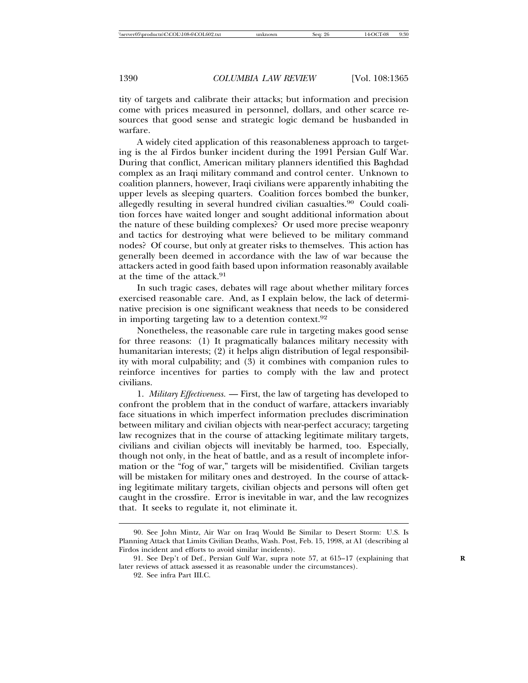tity of targets and calibrate their attacks; but information and precision come with prices measured in personnel, dollars, and other scarce resources that good sense and strategic logic demand be husbanded in warfare.

A widely cited application of this reasonableness approach to targeting is the al Firdos bunker incident during the 1991 Persian Gulf War. During that conflict, American military planners identified this Baghdad complex as an Iraqi military command and control center. Unknown to coalition planners, however, Iraqi civilians were apparently inhabiting the upper levels as sleeping quarters. Coalition forces bombed the bunker, allegedly resulting in several hundred civilian casualties.<sup>90</sup> Could coalition forces have waited longer and sought additional information about the nature of these building complexes? Or used more precise weaponry and tactics for destroying what were believed to be military command nodes? Of course, but only at greater risks to themselves. This action has generally been deemed in accordance with the law of war because the attackers acted in good faith based upon information reasonably available at the time of the attack.<sup>91</sup>

In such tragic cases, debates will rage about whether military forces exercised reasonable care. And, as I explain below, the lack of determinative precision is one significant weakness that needs to be considered in importing targeting law to a detention context.<sup>92</sup>

Nonetheless, the reasonable care rule in targeting makes good sense for three reasons: (1) It pragmatically balances military necessity with humanitarian interests; (2) it helps align distribution of legal responsibility with moral culpability; and  $(3)$  it combines with companion rules to reinforce incentives for parties to comply with the law and protect civilians.

1. *Military Effectiveness.* — First, the law of targeting has developed to confront the problem that in the conduct of warfare, attackers invariably face situations in which imperfect information precludes discrimination between military and civilian objects with near-perfect accuracy; targeting law recognizes that in the course of attacking legitimate military targets, civilians and civilian objects will inevitably be harmed, too. Especially, though not only, in the heat of battle, and as a result of incomplete information or the "fog of war," targets will be misidentified. Civilian targets will be mistaken for military ones and destroyed. In the course of attacking legitimate military targets, civilian objects and persons will often get caught in the crossfire. Error is inevitable in war, and the law recognizes that. It seeks to regulate it, not eliminate it.

<sup>90.</sup> See John Mintz, Air War on Iraq Would Be Similar to Desert Storm: U.S. Is Planning Attack that Limits Civilian Deaths, Wash. Post, Feb. 15, 1998, at A1 (describing al Firdos incident and efforts to avoid similar incidents).

<sup>91.</sup> See Dep't of Def., Persian Gulf War, supra note 57, at 615–17 (explaining that later reviews of attack assessed it as reasonable under the circumstances).

<sup>92.</sup> See infra Part III.C.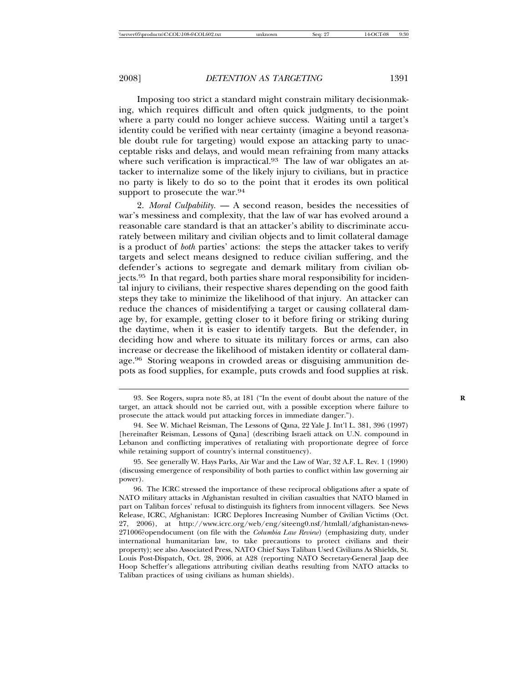Imposing too strict a standard might constrain military decisionmaking, which requires difficult and often quick judgments, to the point where a party could no longer achieve success. Waiting until a target's identity could be verified with near certainty (imagine a beyond reasonable doubt rule for targeting) would expose an attacking party to unacceptable risks and delays, and would mean refraining from many attacks where such verification is impractical.<sup>93</sup> The law of war obligates an attacker to internalize some of the likely injury to civilians, but in practice no party is likely to do so to the point that it erodes its own political support to prosecute the war.<sup>94</sup>

2. *Moral Culpability.* — A second reason, besides the necessities of war's messiness and complexity, that the law of war has evolved around a reasonable care standard is that an attacker's ability to discriminate accurately between military and civilian objects and to limit collateral damage is a product of *both* parties' actions: the steps the attacker takes to verify targets and select means designed to reduce civilian suffering, and the defender's actions to segregate and demark military from civilian objects.<sup>95</sup> In that regard, both parties share moral responsibility for incidental injury to civilians, their respective shares depending on the good faith steps they take to minimize the likelihood of that injury. An attacker can reduce the chances of misidentifying a target or causing collateral damage by, for example, getting closer to it before firing or striking during the daytime, when it is easier to identify targets. But the defender, in deciding how and where to situate its military forces or arms, can also increase or decrease the likelihood of mistaken identity or collateral damage.<sup>96</sup> Storing weapons in crowded areas or disguising ammunition depots as food supplies, for example, puts crowds and food supplies at risk.

<sup>93.</sup> See Rogers, supra note 85, at 181 ("In the event of doubt about the nature of the **R** target, an attack should not be carried out, with a possible exception where failure to prosecute the attack would put attacking forces in immediate danger.").

<sup>94.</sup> See W. Michael Reisman, The Lessons of Qana, 22 Yale J. Int'l L. 381, 396 (1997) [hereinafter Reisman, Lessons of Qana] (describing Israeli attack on U.N. compound in Lebanon and conflicting imperatives of retaliating with proportionate degree of force while retaining support of country's internal constituency).

<sup>95.</sup> See generally W. Hays Parks, Air War and the Law of War, 32 A.F. L. Rev. 1 (1990) (discussing emergence of responsibility of both parties to conflict within law governing air power).

<sup>96.</sup> The ICRC stressed the importance of these reciprocal obligations after a spate of NATO military attacks in Afghanistan resulted in civilian casualties that NATO blamed in part on Taliban forces' refusal to distinguish its fighters from innocent villagers. See News Release, ICRC, Afghanistan: ICRC Deplores Increasing Number of Civilian Victims (Oct. 27, 2006), at http://www.icrc.org/web/eng/siteeng0.nsf/htmlall/afghanistan-news-271006?opendocument (on file with the *Columbia Law Review*) (emphasizing duty, under international humanitarian law, to take precautions to protect civilians and their property); see also Associated Press, NATO Chief Says Taliban Used Civilians As Shields, St. Louis Post-Dispatch, Oct. 28, 2006, at A28 (reporting NATO Secretary-General Jaap dee Hoop Scheffer's allegations attributing civilian deaths resulting from NATO attacks to Taliban practices of using civilians as human shields).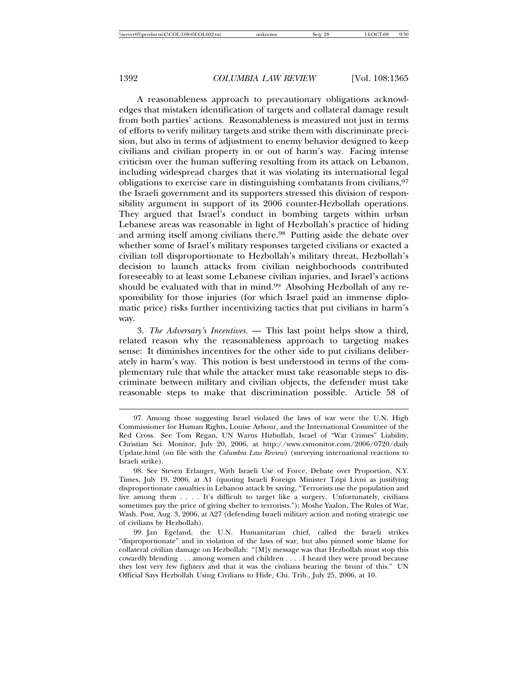A reasonableness approach to precautionary obligations acknowledges that mistaken identification of targets and collateral damage result from both parties' actions. Reasonableness is measured not just in terms of efforts to verify military targets and strike them with discriminate precision, but also in terms of adjustment to enemy behavior designed to keep civilians and civilian property in or out of harm's way. Facing intense criticism over the human suffering resulting from its attack on Lebanon, including widespread charges that it was violating its international legal obligations to exercise care in distinguishing combatants from civilians, <sup>97</sup> the Israeli government and its supporters stressed this division of responsibility argument in support of its 2006 counter-Hezbollah operations. They argued that Israel's conduct in bombing targets within urban Lebanese areas was reasonable in light of Hezbollah's practice of hiding and arming itself among civilians there.<sup>98</sup> Putting aside the debate over whether some of Israel's military responses targeted civilians or exacted a civilian toll disproportionate to Hezbollah's military threat, Hezbollah's decision to launch attacks from civilian neighborhoods contributed foreseeably to at least some Lebanese civilian injuries, and Israel's actions should be evaluated with that in mind.<sup>99</sup> Absolving Hezbollah of any responsibility for those injuries (for which Israel paid an immense diplomatic price) risks further incentivizing tactics that put civilians in harm's way.

3. *The Adversary's Incentives.* — This last point helps show a third, related reason why the reasonableness approach to targeting makes sense: It diminishes incentives for the other side to put civilians deliberately in harm's way. This notion is best understood in terms of the complementary rule that while the attacker must take reasonable steps to discriminate between military and civilian objects, the defender must take reasonable steps to make that discrimination possible. Article 58 of

<sup>97.</sup> Among those suggesting Israel violated the laws of war were the U.N. High Commissioner for Human Rights, Louise Arbour, and the International Committee of the Red Cross. See Tom Regan, UN Warns Hizbullah, Israel of "War Crimes" Liability, Christian Sci. Monitor, July 20, 2006, at http://www.csmonitor.com/2006/0720/daily Update.html (on file with the *Columbia Law Review*) (surveying international reactions to Israeli strike).

<sup>98.</sup> See Steven Erlanger, With Israeli Use of Force, Debate over Proportion, N.Y. Times, July 19, 2006, at A1 (quoting Israeli Foreign Minister Tzipi Livni as justifying disproportionate casualties in Lebanon attack by saying, "Terrorists use the population and live among them . . . . It's difficult to target like a surgery. Unfortunately, civilians sometimes pay the price of giving shelter to terrorists."); Moshe Yaalon, The Rules of War, Wash. Post, Aug. 3, 2006, at A27 (defending Israeli military action and noting strategic use of civilians by Hezbollah).

<sup>99.</sup> Jan Egeland, the U.N. Humanitarian chief, called the Israeli strikes "disproportionate" and in violation of the laws of war, but also pinned some blame for collateral civilian damage on Hezbollah: "[M]y message was that Hezbollah must stop this cowardly blending . . . among women and children . . . . I heard they were proud because they lost very few fighters and that it was the civilians bearing the brunt of this." UN Official Says Hezbollah Using Civilians to Hide, Chi. Trib., July 25, 2006, at 10.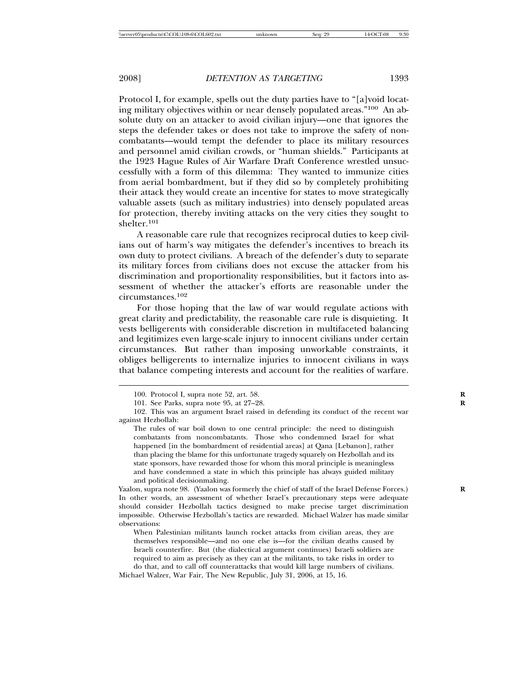Protocol I, for example, spells out the duty parties have to "[a]void locating military objectives within or near densely populated areas."<sup>100</sup> An absolute duty on an attacker to avoid civilian injury—one that ignores the steps the defender takes or does not take to improve the safety of noncombatants—would tempt the defender to place its military resources and personnel amid civilian crowds, or "human shields." Participants at the 1923 Hague Rules of Air Warfare Draft Conference wrestled unsuccessfully with a form of this dilemma: They wanted to immunize cities from aerial bombardment, but if they did so by completely prohibiting their attack they would create an incentive for states to move strategically valuable assets (such as military industries) into densely populated areas for protection, thereby inviting attacks on the very cities they sought to shelter.<sup>101</sup>

A reasonable care rule that recognizes reciprocal duties to keep civilians out of harm's way mitigates the defender's incentives to breach its own duty to protect civilians. A breach of the defender's duty to separate its military forces from civilians does not excuse the attacker from his discrimination and proportionality responsibilities, but it factors into assessment of whether the attacker's efforts are reasonable under the circumstances.<sup>102</sup>

For those hoping that the law of war would regulate actions with great clarity and predictability, the reasonable care rule is disquieting. It vests belligerents with considerable discretion in multifaceted balancing and legitimizes even large-scale injury to innocent civilians under certain circumstances. But rather than imposing unworkable constraints, it obliges belligerents to internalize injuries to innocent civilians in ways that balance competing interests and account for the realities of warfare.

Yaalon, supra note 98. (Yaalon was formerly the chief of staff of the Israel Defense Forces.) **R** In other words, an assessment of whether Israel's precautionary steps were adequate should consider Hezbollah tactics designed to make precise target discrimination impossible. Otherwise Hezbollah's tactics are rewarded. Michael Walzer has made similar observations:

When Palestinian militants launch rocket attacks from civilian areas, they are themselves responsible—and no one else is—for the civilian deaths caused by Israeli counterfire. But (the dialectical argument continues) Israeli soldiers are required to aim as precisely as they can at the militants, to take risks in order to do that, and to call off counterattacks that would kill large numbers of civilians.

<sup>100.</sup> Protocol I, supra note 52, art. 58.

<sup>101.</sup> See Parks, supra note 95, at 27–28. **R**

<sup>102.</sup> This was an argument Israel raised in defending its conduct of the recent war against Hezbollah:

The rules of war boil down to one central principle: the need to distinguish combatants from noncombatants. Those who condemned Israel for what happened [in the bombardment of residential areas] at Qana [Lebanon], rather than placing the blame for this unfortunate tragedy squarely on Hezbollah and its state sponsors, have rewarded those for whom this moral principle is meaningless and have condemned a state in which this principle has always guided military and political decisionmaking.

Michael Walzer, War Fair, The New Republic, July 31, 2006, at 15, 16.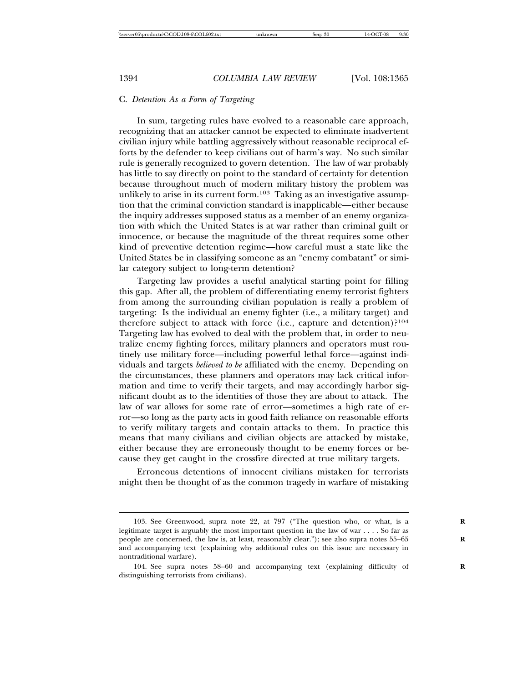#### C. *Detention As a Form of Targeting*

In sum, targeting rules have evolved to a reasonable care approach, recognizing that an attacker cannot be expected to eliminate inadvertent civilian injury while battling aggressively without reasonable reciprocal efforts by the defender to keep civilians out of harm's way. No such similar rule is generally recognized to govern detention. The law of war probably has little to say directly on point to the standard of certainty for detention because throughout much of modern military history the problem was unlikely to arise in its current form.<sup>103</sup> Taking as an investigative assumption that the criminal conviction standard is inapplicable—either because the inquiry addresses supposed status as a member of an enemy organization with which the United States is at war rather than criminal guilt or innocence, or because the magnitude of the threat requires some other kind of preventive detention regime—how careful must a state like the United States be in classifying someone as an "enemy combatant" or similar category subject to long-term detention?

Targeting law provides a useful analytical starting point for filling this gap. After all, the problem of differentiating enemy terrorist fighters from among the surrounding civilian population is really a problem of targeting: Is the individual an enemy fighter (i.e., a military target) and therefore subject to attack with force (i.e., capture and detention)?<sup>104</sup> Targeting law has evolved to deal with the problem that, in order to neutralize enemy fighting forces, military planners and operators must routinely use military force—including powerful lethal force—against individuals and targets *believed to be* affiliated with the enemy. Depending on the circumstances, these planners and operators may lack critical information and time to verify their targets, and may accordingly harbor significant doubt as to the identities of those they are about to attack. The law of war allows for some rate of error—sometimes a high rate of error—so long as the party acts in good faith reliance on reasonable efforts to verify military targets and contain attacks to them. In practice this means that many civilians and civilian objects are attacked by mistake, either because they are erroneously thought to be enemy forces or because they get caught in the crossfire directed at true military targets.

Erroneous detentions of innocent civilians mistaken for terrorists might then be thought of as the common tragedy in warfare of mistaking

<sup>103.</sup> See Greenwood, supra note 22, at 797 ("The question who, or what, is a legitimate target is arguably the most important question in the law of war . . . . So far as people are concerned, the law is, at least, reasonably clear."); see also supra notes 55-65 and accompanying text (explaining why additional rules on this issue are necessary in nontraditional warfare).

<sup>104.</sup> See supra notes 58–60 and accompanying text (explaining difficulty of **R** distinguishing terrorists from civilians).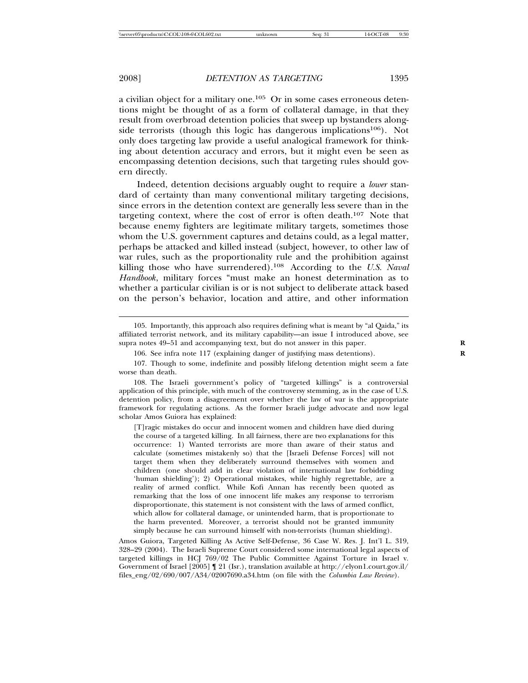a civilian object for a military one.<sup>105</sup> Or in some cases erroneous detentions might be thought of as a form of collateral damage, in that they result from overbroad detention policies that sweep up bystanders alongside terrorists (though this logic has dangerous implications $106$ ). Not only does targeting law provide a useful analogical framework for thinking about detention accuracy and errors, but it might even be seen as encompassing detention decisions, such that targeting rules should govern directly.

Indeed, detention decisions arguably ought to require a *lower* standard of certainty than many conventional military targeting decisions, since errors in the detention context are generally less severe than in the targeting context, where the cost of error is often death.<sup>107</sup> Note that because enemy fighters are legitimate military targets, sometimes those whom the U.S. government captures and detains could, as a legal matter, perhaps be attacked and killed instead (subject, however, to other law of war rules, such as the proportionality rule and the prohibition against killing those who have surrendered).<sup>108</sup> According to the *U.S. Naval Handbook*, military forces "must make an honest determination as to whether a particular civilian is or is not subject to deliberate attack based on the person's behavior, location and attire, and other information

108. The Israeli government's policy of "targeted killings" is a controversial application of this principle, with much of the controversy stemming, as in the case of U.S. detention policy, from a disagreement over whether the law of war is the appropriate framework for regulating actions. As the former Israeli judge advocate and now legal scholar Amos Guiora has explained:

[T]ragic mistakes do occur and innocent women and children have died during the course of a targeted killing. In all fairness, there are two explanations for this occurrence: 1) Wanted terrorists are more than aware of their status and calculate (sometimes mistakenly so) that the [Israeli Defense Forces] will not target them when they deliberately surround themselves with women and children (one should add in clear violation of international law forbidding 'human shielding'); 2) Operational mistakes, while highly regrettable, are a reality of armed conflict. While Kofi Annan has recently been quoted as remarking that the loss of one innocent life makes any response to terrorism disproportionate, this statement is not consistent with the laws of armed conflict, which allow for collateral damage, or unintended harm, that is proportionate to the harm prevented. Moreover, a terrorist should not be granted immunity simply because he can surround himself with non-terrorists (human shielding).

Amos Guiora, Targeted Killing As Active Self-Defense, 36 Case W. Res. J. Int'l L. 319, 328–29 (2004). The Israeli Supreme Court considered some international legal aspects of targeted killings in HCJ 769/02 The Public Committee Against Torture in Israel v. Government of Israel  $[2005]$  | 21 (Isr.), translation available at http://elyon1.court.gov.il/ files\_eng/02/690/007/A34/02007690.a34.htm (on file with the *Columbia Law Review*).

<sup>105.</sup> Importantly, this approach also requires defining what is meant by "al Qaida," its affiliated terrorist network, and its military capability—an issue I introduced above, see supra notes 49–51 and accompanying text, but do not answer in this paper.

<sup>106.</sup> See infra note 117 (explaining danger of justifying mass detentions).

<sup>107.</sup> Though to some, indefinite and possibly lifelong detention might seem a fate worse than death.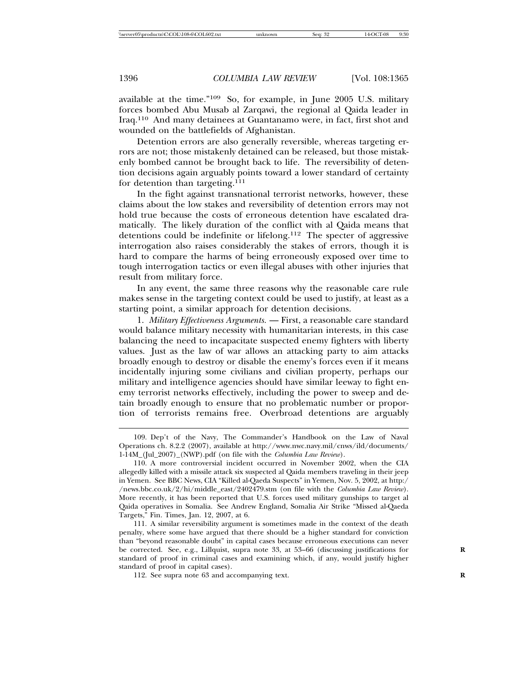available at the time."<sup>109</sup> So, for example, in June 2005 U.S. military forces bombed Abu Musab al Zarqawi, the regional al Qaida leader in Iraq.110 And many detainees at Guantanamo were, in fact, first shot and wounded on the battlefields of Afghanistan.

Detention errors are also generally reversible, whereas targeting errors are not; those mistakenly detained can be released, but those mistakenly bombed cannot be brought back to life. The reversibility of detention decisions again arguably points toward a lower standard of certainty for detention than targeting.<sup>111</sup>

In the fight against transnational terrorist networks, however, these claims about the low stakes and reversibility of detention errors may not hold true because the costs of erroneous detention have escalated dramatically. The likely duration of the conflict with al Qaida means that detentions could be indefinite or lifelong.<sup>112</sup> The specter of aggressive interrogation also raises considerably the stakes of errors, though it is hard to compare the harms of being erroneously exposed over time to tough interrogation tactics or even illegal abuses with other injuries that result from military force.

In any event, the same three reasons why the reasonable care rule makes sense in the targeting context could be used to justify, at least as a starting point, a similar approach for detention decisions.

1. *Military Effectiveness Arguments.* — First, a reasonable care standard would balance military necessity with humanitarian interests, in this case balancing the need to incapacitate suspected enemy fighters with liberty values. Just as the law of war allows an attacking party to aim attacks broadly enough to destroy or disable the enemy's forces even if it means incidentally injuring some civilians and civilian property, perhaps our military and intelligence agencies should have similar leeway to fight enemy terrorist networks effectively, including the power to sweep and detain broadly enough to ensure that no problematic number or proportion of terrorists remains free. Overbroad detentions are arguably

<sup>109.</sup> Dep't of the Navy, The Commander's Handbook on the Law of Naval Operations ch. 8.2.2 (2007), available at http://www.nwc.navy.mil/cnws/ild/documents/ 1-14M\_(Jul\_2007)\_(NWP).pdf (on file with the *Columbia Law Review*).

<sup>110.</sup> A more controversial incident occurred in November 2002, when the CIA allegedly killed with a missile attack six suspected al Qaida members traveling in their jeep in Yemen. See BBC News, CIA "Killed al-Qaeda Suspects" in Yemen, Nov. 5, 2002, at http:/ /news.bbc.co.uk/2/hi/middle\_east/2402479.stm (on file with the *Columbia Law Review*). More recently, it has been reported that U.S. forces used military gunships to target al Qaida operatives in Somalia. See Andrew England, Somalia Air Strike "Missed al-Qaeda Targets," Fin. Times, Jan. 12, 2007, at 6.

<sup>111.</sup> A similar reversibility argument is sometimes made in the context of the death penalty, where some have argued that there should be a higher standard for conviction than "beyond reasonable doubt" in capital cases because erroneous executions can never be corrected. See, e.g., Lillquist, supra note 33, at 53–66 (discussing justifications for **R** standard of proof in criminal cases and examining which, if any, would justify higher standard of proof in capital cases).

<sup>112.</sup> See supra note 63 and accompanying text. **R**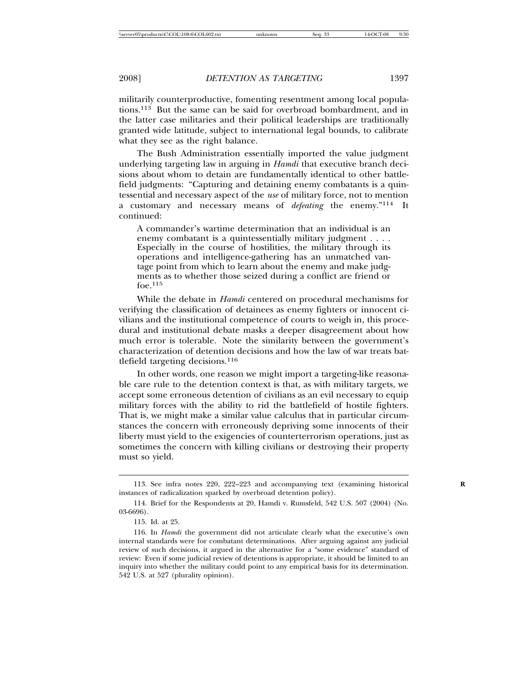militarily counterproductive, fomenting resentment among local populations.<sup>113</sup> But the same can be said for overbroad bombardment, and in the latter case militaries and their political leaderships are traditionally granted wide latitude, subject to international legal bounds, to calibrate what they see as the right balance.

The Bush Administration essentially imported the value judgment underlying targeting law in arguing in *Hamdi* that executive branch decisions about whom to detain are fundamentally identical to other battlefield judgments: "Capturing and detaining enemy combatants is a quintessential and necessary aspect of the *use* of military force, not to mention a customary and necessary means of *defeating* the enemy."<sup>114</sup> It continued:

A commander's wartime determination that an individual is an enemy combatant is a quintessentially military judgment . . . . Especially in the course of hostilities, the military through its operations and intelligence-gathering has an unmatched vantage point from which to learn about the enemy and make judgments as to whether those seized during a conflict are friend or foe.115

While the debate in *Hamdi* centered on procedural mechanisms for verifying the classification of detainees as enemy fighters or innocent civilians and the institutional competence of courts to weigh in, this procedural and institutional debate masks a deeper disagreement about how much error is tolerable. Note the similarity between the government's characterization of detention decisions and how the law of war treats battlefield targeting decisions.<sup>116</sup>

In other words, one reason we might import a targeting-like reasonable care rule to the detention context is that, as with military targets, we accept some erroneous detention of civilians as an evil necessary to equip military forces with the ability to rid the battlefield of hostile fighters. That is, we might make a similar value calculus that in particular circumstances the concern with erroneously depriving some innocents of their liberty must yield to the exigencies of counterterrorism operations, just as sometimes the concern with killing civilians or destroying their property must so yield.

<sup>113.</sup> See infra notes 220, 222–223 and accompanying text (examining historical **R** instances of radicalization sparked by overbroad detention policy).

<sup>114.</sup> Brief for the Respondents at 20, Hamdi v. Rumsfeld, 542 U.S. 507 (2004) (No. 03-6696).

<sup>115.</sup> Id. at 25.

<sup>116.</sup> In *Hamdi* the government did not articulate clearly what the executive's own internal standards were for combatant determinations. After arguing against any judicial review of such decisions, it argued in the alternative for a "some evidence" standard of review: Even if some judicial review of detentions is appropriate, it should be limited to an inquiry into whether the military could point to any empirical basis for its determination. 542 U.S. at 527 (plurality opinion).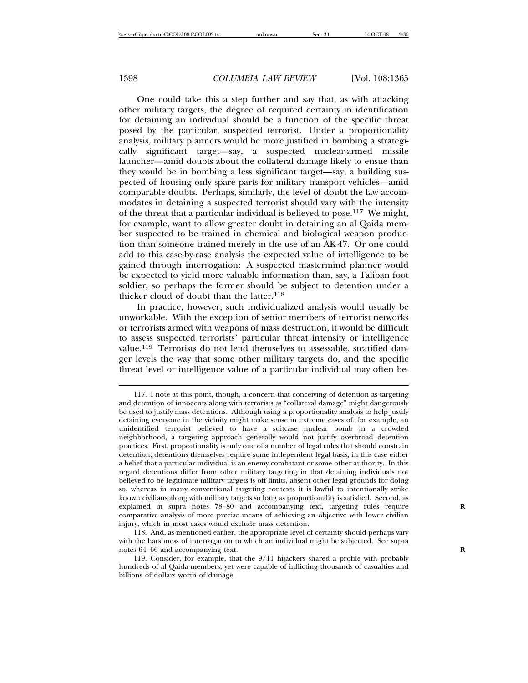One could take this a step further and say that, as with attacking other military targets, the degree of required certainty in identification for detaining an individual should be a function of the specific threat posed by the particular, suspected terrorist. Under a proportionality analysis, military planners would be more justified in bombing a strategically significant target—say, a suspected nuclear-armed missile launcher—amid doubts about the collateral damage likely to ensue than they would be in bombing a less significant target—say, a building suspected of housing only spare parts for military transport vehicles—amid comparable doubts. Perhaps, similarly, the level of doubt the law accommodates in detaining a suspected terrorist should vary with the intensity of the threat that a particular individual is believed to pose.<sup>117</sup> We might, for example, want to allow greater doubt in detaining an al Qaida member suspected to be trained in chemical and biological weapon production than someone trained merely in the use of an AK-47. Or one could add to this case-by-case analysis the expected value of intelligence to be gained through interrogation: A suspected mastermind planner would be expected to yield more valuable information than, say, a Taliban foot soldier, so perhaps the former should be subject to detention under a thicker cloud of doubt than the latter.<sup>118</sup>

In practice, however, such individualized analysis would usually be unworkable. With the exception of senior members of terrorist networks or terrorists armed with weapons of mass destruction, it would be difficult to assess suspected terrorists' particular threat intensity or intelligence value.<sup>119</sup> Terrorists do not lend themselves to assessable, stratified danger levels the way that some other military targets do, and the specific threat level or intelligence value of a particular individual may often be-

118. And, as mentioned earlier, the appropriate level of certainty should perhaps vary with the harshness of interrogation to which an individual might be subjected. See supra notes 64–66 and accompanying text. **R**

119. Consider, for example, that the 9/11 hijackers shared a profile with probably hundreds of al Qaida members, yet were capable of inflicting thousands of casualties and billions of dollars worth of damage.

<sup>117.</sup> I note at this point, though, a concern that conceiving of detention as targeting and detention of innocents along with terrorists as "collateral damage" might dangerously be used to justify mass detentions. Although using a proportionality analysis to help justify detaining everyone in the vicinity might make sense in extreme cases of, for example, an unidentified terrorist believed to have a suitcase nuclear bomb in a crowded neighborhood, a targeting approach generally would not justify overbroad detention practices. First, proportionality is only one of a number of legal rules that should constrain detention; detentions themselves require some independent legal basis, in this case either a belief that a particular individual is an enemy combatant or some other authority. In this regard detentions differ from other military targeting in that detaining individuals not believed to be legitimate military targets is off limits, absent other legal grounds for doing so, whereas in many conventional targeting contexts it is lawful to intentionally strike known civilians along with military targets so long as proportionality is satisfied. Second, as explained in supra notes 78–80 and accompanying text, targeting rules require comparative analysis of more precise means of achieving an objective with lower civilian injury, which in most cases would exclude mass detention.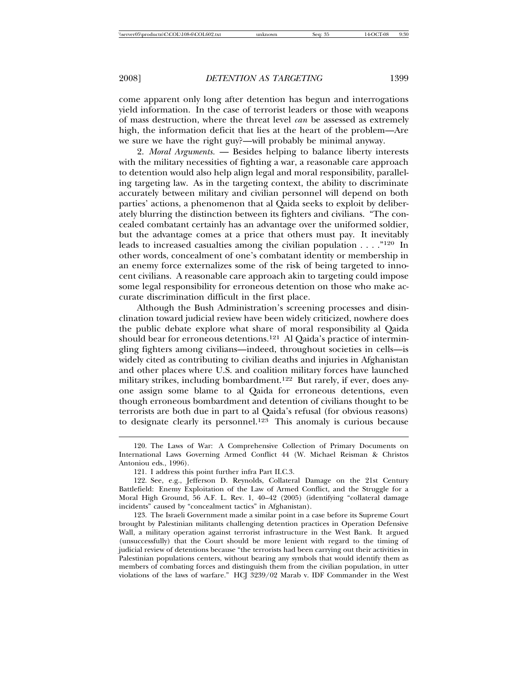come apparent only long after detention has begun and interrogations yield information. In the case of terrorist leaders or those with weapons of mass destruction, where the threat level *can* be assessed as extremely high, the information deficit that lies at the heart of the problem—Are we sure we have the right guy?—will probably be minimal anyway.

2. *Moral Arguments.* — Besides helping to balance liberty interests with the military necessities of fighting a war, a reasonable care approach to detention would also help align legal and moral responsibility, paralleling targeting law. As in the targeting context, the ability to discriminate accurately between military and civilian personnel will depend on both parties' actions, a phenomenon that al Qaida seeks to exploit by deliberately blurring the distinction between its fighters and civilians. "The concealed combatant certainly has an advantage over the uniformed soldier, but the advantage comes at a price that others must pay. It inevitably leads to increased casualties among the civilian population . . . ."<sup>120</sup> In other words, concealment of one's combatant identity or membership in an enemy force externalizes some of the risk of being targeted to innocent civilians. A reasonable care approach akin to targeting could impose some legal responsibility for erroneous detention on those who make accurate discrimination difficult in the first place.

Although the Bush Administration's screening processes and disinclination toward judicial review have been widely criticized, nowhere does the public debate explore what share of moral responsibility al Qaida should bear for erroneous detentions.<sup>121</sup> Al Qaida's practice of intermingling fighters among civilians—indeed, throughout societies in cells—is widely cited as contributing to civilian deaths and injuries in Afghanistan and other places where U.S. and coalition military forces have launched military strikes, including bombardment.<sup>122</sup> But rarely, if ever, does anyone assign some blame to al Qaida for erroneous detentions, even though erroneous bombardment and detention of civilians thought to be terrorists are both due in part to al Qaida's refusal (for obvious reasons) to designate clearly its personnel.<sup>123</sup> This anomaly is curious because

<sup>120.</sup> The Laws of War: A Comprehensive Collection of Primary Documents on International Laws Governing Armed Conflict 44 (W. Michael Reisman & Christos Antoniou eds., 1996).

<sup>121.</sup> I address this point further infra Part II.C.3.

<sup>122.</sup> See, e.g., Jefferson D. Reynolds, Collateral Damage on the 21st Century Battlefield: Enemy Exploitation of the Law of Armed Conflict, and the Struggle for a Moral High Ground, 56 A.F. L. Rev. 1, 40–42 (2005) (identifying "collateral damage incidents" caused by "concealment tactics" in Afghanistan).

<sup>123.</sup> The Israeli Government made a similar point in a case before its Supreme Court brought by Palestinian militants challenging detention practices in Operation Defensive Wall, a military operation against terrorist infrastructure in the West Bank. It argued (unsuccessfully) that the Court should be more lenient with regard to the timing of judicial review of detentions because "the terrorists had been carrying out their activities in Palestinian populations centers, without bearing any symbols that would identify them as members of combating forces and distinguish them from the civilian population, in utter violations of the laws of warfare." HCJ 3239/02 Marab v. IDF Commander in the West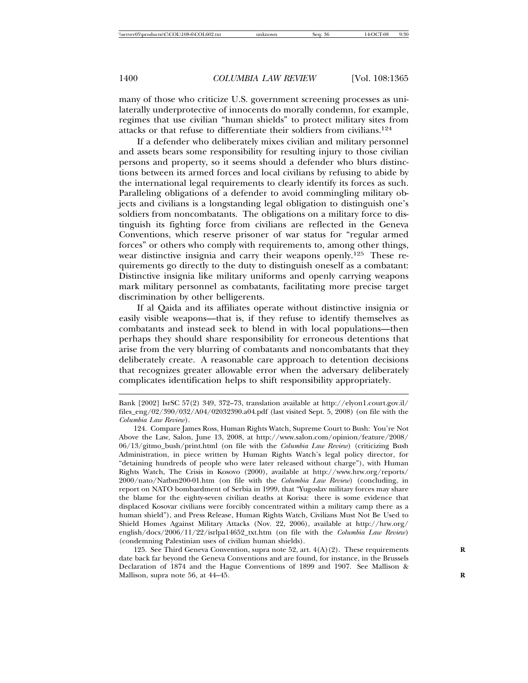many of those who criticize U.S. government screening processes as unilaterally underprotective of innocents do morally condemn, for example, regimes that use civilian "human shields" to protect military sites from attacks or that refuse to differentiate their soldiers from civilians.<sup>124</sup>

If a defender who deliberately mixes civilian and military personnel and assets bears some responsibility for resulting injury to those civilian persons and property, so it seems should a defender who blurs distinctions between its armed forces and local civilians by refusing to abide by the international legal requirements to clearly identify its forces as such. Paralleling obligations of a defender to avoid commingling military objects and civilians is a longstanding legal obligation to distinguish one's soldiers from noncombatants. The obligations on a military force to distinguish its fighting force from civilians are reflected in the Geneva Conventions, which reserve prisoner of war status for "regular armed forces" or others who comply with requirements to, among other things, wear distinctive insignia and carry their weapons openly.<sup>125</sup> These requirements go directly to the duty to distinguish oneself as a combatant: Distinctive insignia like military uniforms and openly carrying weapons mark military personnel as combatants, facilitating more precise target discrimination by other belligerents.

If al Qaida and its affiliates operate without distinctive insignia or easily visible weapons—that is, if they refuse to identify themselves as combatants and instead seek to blend in with local populations—then perhaps they should share responsibility for erroneous detentions that arise from the very blurring of combatants and noncombatants that they deliberately create. A reasonable care approach to detention decisions that recognizes greater allowable error when the adversary deliberately complicates identification helps to shift responsibility appropriately.

125. See Third Geneva Convention, supra note 52, art. 4(A)(2). These requirements **R** date back far beyond the Geneva Conventions and are found, for instance, in the Brussels Declaration of 1874 and the Hague Conventions of 1899 and 1907. See Mallison & Mallison, supra note 56, at 44–45. **R**

Bank [2002] IsrSC 57(2) 349, 372–73, translation available at http://elyon1.court.gov.il/ files  $\text{eng}/02/390/032/AA/02032390.a04.pdf$  (last visited Sept. 5, 2008) (on file with the *Columbia Law Review*).

<sup>124.</sup> Compare James Ross, Human Rights Watch, Supreme Court to Bush: You're Not Above the Law, Salon, June 13, 2008, at http://www.salon.com/opinion/feature/2008/ 06/13/gitmo\_bush/print.html (on file with the *Columbia Law Review*) (criticizing Bush Administration, in piece written by Human Rights Watch's legal policy director, for "detaining hundreds of people who were later released without charge"), with Human Rights Watch, The Crisis in Kosovo (2000), available at http://www.hrw.org/reports/ 2000/nato/Natbm200-01.htm (on file with the *Columbia Law Review*) (concluding, in report on NATO bombardment of Serbia in 1999, that "Yugoslav military forces may share the blame for the eighty-seven civilian deaths at Korisa: there is some evidence that displaced Kosovar civilians were forcibly concentrated within a military camp there as a human shield"), and Press Release, Human Rights Watch, Civilians Must Not Be Used to Shield Homes Against Military Attacks (Nov. 22, 2006), available at http://hrw.org/ english/docs/2006/11/22/isrlpa14652\_txt.htm (on file with the *Columbia Law Review*) (condemning Palestinian uses of civilian human shields).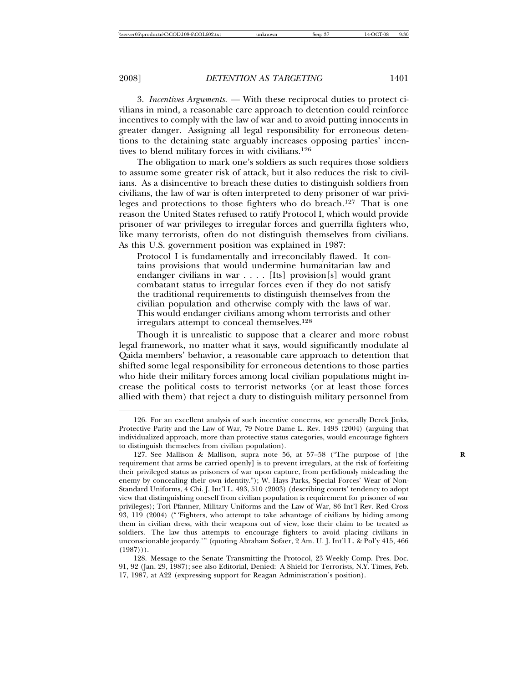3. *Incentives Arguments.* — With these reciprocal duties to protect civilians in mind, a reasonable care approach to detention could reinforce incentives to comply with the law of war and to avoid putting innocents in greater danger. Assigning all legal responsibility for erroneous detentions to the detaining state arguably increases opposing parties' incentives to blend military forces in with civilians.<sup>126</sup>

The obligation to mark one's soldiers as such requires those soldiers to assume some greater risk of attack, but it also reduces the risk to civilians. As a disincentive to breach these duties to distinguish soldiers from civilians, the law of war is often interpreted to deny prisoner of war privileges and protections to those fighters who do breach.<sup>127</sup> That is one reason the United States refused to ratify Protocol I, which would provide prisoner of war privileges to irregular forces and guerrilla fighters who, like many terrorists, often do not distinguish themselves from civilians. As this U.S. government position was explained in 1987:

Protocol I is fundamentally and irreconcilably flawed. It contains provisions that would undermine humanitarian law and endanger civilians in war . . . . [Its] provision[s] would grant combatant status to irregular forces even if they do not satisfy the traditional requirements to distinguish themselves from the civilian population and otherwise comply with the laws of war. This would endanger civilians among whom terrorists and other irregulars attempt to conceal themselves.<sup>128</sup>

Though it is unrealistic to suppose that a clearer and more robust legal framework, no matter what it says, would significantly modulate al Qaida members' behavior, a reasonable care approach to detention that shifted some legal responsibility for erroneous detentions to those parties who hide their military forces among local civilian populations might increase the political costs to terrorist networks (or at least those forces allied with them) that reject a duty to distinguish military personnel from

<sup>126.</sup> For an excellent analysis of such incentive concerns, see generally Derek Jinks, Protective Parity and the Law of War, 79 Notre Dame L. Rev. 1493 (2004) (arguing that individualized approach, more than protective status categories, would encourage fighters to distinguish themselves from civilian population).

<sup>127.</sup> See Mallison & Mallison, supra note 56, at 57–58 ("The purpose of [the **R** requirement that arms be carried openly] is to prevent irregulars, at the risk of forfeiting their privileged status as prisoners of war upon capture, from perfidiously misleading the enemy by concealing their own identity."); W. Hays Parks, Special Forces' Wear of Non-Standard Uniforms, 4 Chi. J. Int'l L. 493, 510 (2003) (describing courts' tendency to adopt view that distinguishing oneself from civilian population is requirement for prisoner of war privileges); Tori Pfanner, Military Uniforms and the Law of War, 86 Int'l Rev. Red Cross 93, 119 (2004) ("'Fighters, who attempt to take advantage of civilians by hiding among them in civilian dress, with their weapons out of view, lose their claim to be treated as soldiers. The law thus attempts to encourage fighters to avoid placing civilians in unconscionable jeopardy.'" (quoting Abraham Sofaer, 2 Am. U. J. Int'l L. & Pol'y 415, 466  $(1987))$ .

<sup>128.</sup> Message to the Senate Transmitting the Protocol, 23 Weekly Comp. Pres. Doc. 91, 92 (Jan. 29, 1987); see also Editorial, Denied: A Shield for Terrorists, N.Y. Times, Feb. 17, 1987, at A22 (expressing support for Reagan Administration's position).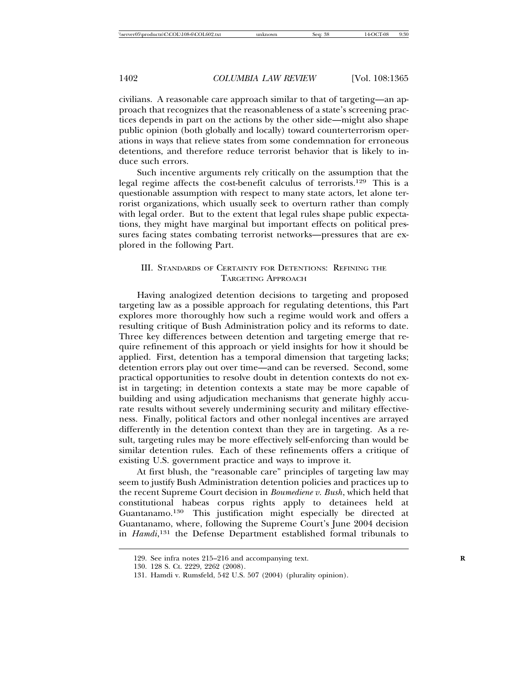civilians. A reasonable care approach similar to that of targeting—an approach that recognizes that the reasonableness of a state's screening practices depends in part on the actions by the other side—might also shape public opinion (both globally and locally) toward counterterrorism operations in ways that relieve states from some condemnation for erroneous detentions, and therefore reduce terrorist behavior that is likely to induce such errors.

Such incentive arguments rely critically on the assumption that the legal regime affects the cost-benefit calculus of terrorists.<sup>129</sup> This is a questionable assumption with respect to many state actors, let alone terrorist organizations, which usually seek to overturn rather than comply with legal order. But to the extent that legal rules shape public expectations, they might have marginal but important effects on political pressures facing states combating terrorist networks—pressures that are explored in the following Part.

## III. STANDARDS OF CERTAINTY FOR DETENTIONS: REFINING THE TARGETING APPROACH

Having analogized detention decisions to targeting and proposed targeting law as a possible approach for regulating detentions, this Part explores more thoroughly how such a regime would work and offers a resulting critique of Bush Administration policy and its reforms to date. Three key differences between detention and targeting emerge that require refinement of this approach or yield insights for how it should be applied. First, detention has a temporal dimension that targeting lacks; detention errors play out over time—and can be reversed. Second, some practical opportunities to resolve doubt in detention contexts do not exist in targeting; in detention contexts a state may be more capable of building and using adjudication mechanisms that generate highly accurate results without severely undermining security and military effectiveness. Finally, political factors and other nonlegal incentives are arrayed differently in the detention context than they are in targeting. As a result, targeting rules may be more effectively self-enforcing than would be similar detention rules. Each of these refinements offers a critique of existing U.S. government practice and ways to improve it.

At first blush, the "reasonable care" principles of targeting law may seem to justify Bush Administration detention policies and practices up to the recent Supreme Court decision in *Boumediene v. Bush*, which held that constitutional habeas corpus rights apply to detainees held at Guantanamo.<sup>130</sup> This justification might especially be directed at Guantanamo, where, following the Supreme Court's June 2004 decision in *Hamdi*, <sup>131</sup> the Defense Department established formal tribunals to

<sup>129.</sup> See infra notes 215–216 and accompanying text. **R**

<sup>130.</sup> 128 S. Ct. 2229, 2262 (2008).

<sup>131.</sup> Hamdi v. Rumsfeld, 542 U.S. 507 (2004) (plurality opinion).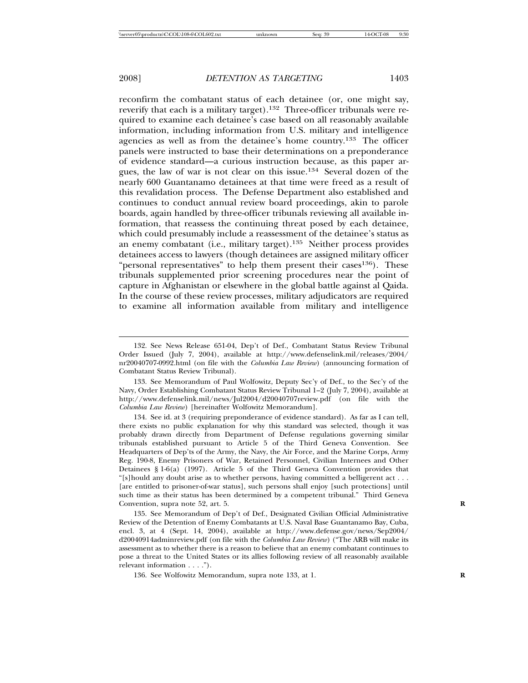reconfirm the combatant status of each detainee (or, one might say, reverify that each is a military target).<sup>132</sup> Three-officer tribunals were required to examine each detainee's case based on all reasonably available information, including information from U.S. military and intelligence agencies as well as from the detainee's home country.<sup>133</sup> The officer panels were instructed to base their determinations on a preponderance of evidence standard—a curious instruction because, as this paper argues, the law of war is not clear on this issue.<sup>134</sup> Several dozen of the nearly 600 Guantanamo detainees at that time were freed as a result of this revalidation process. The Defense Department also established and continues to conduct annual review board proceedings, akin to parole boards, again handled by three-officer tribunals reviewing all available information, that reassess the continuing threat posed by each detainee, which could presumably include a reassessment of the detainee's status as an enemy combatant (i.e., military target).<sup>135</sup> Neither process provides detainees access to lawyers (though detainees are assigned military officer "personal representatives" to help them present their cases<sup>136</sup>). These tribunals supplemented prior screening procedures near the point of capture in Afghanistan or elsewhere in the global battle against al Qaida. In the course of these review processes, military adjudicators are required to examine all information available from military and intelligence

134. See id. at 3 (requiring preponderance of evidence standard). As far as I can tell, there exists no public explanation for why this standard was selected, though it was probably drawn directly from Department of Defense regulations governing similar tribunals established pursuant to Article 5 of the Third Geneva Convention. See Headquarters of Dep'ts of the Army, the Navy, the Air Force, and the Marine Corps, Army Reg. 190-8, Enemy Prisoners of War, Retained Personnel, Civilian Internees and Other Detainees § 1-6(a) (1997). Article 5 of the Third Geneva Convention provides that "[s]hould any doubt arise as to whether persons, having committed a belligerent act . . . [are entitled to prisoner-of-war status], such persons shall enjoy [such protections] until such time as their status has been determined by a competent tribunal." Third Geneva Convention, supra note 52, art. 5.

135. See Memorandum of Dep't of Def., Designated Civilian Official Administrative Review of the Detention of Enemy Combatants at U.S. Naval Base Guantanamo Bay, Cuba, encl. 3, at 4 (Sept. 14, 2004), available at http://www.defense.gov/news/Sep2004/ d20040914adminreview.pdf (on file with the *Columbia Law Review*) ("The ARB will make its assessment as to whether there is a reason to believe that an enemy combatant continues to pose a threat to the United States or its allies following review of all reasonably available relevant information . . . .").

136. See Wolfowitz Memorandum, supra note 133, at 1. **R**

<sup>132.</sup> See News Release 651-04, Dep't of Def., Combatant Status Review Tribunal Order Issued (July 7, 2004), available at http://www.defenselink.mil/releases/2004/ nr20040707-0992.html (on file with the *Columbia Law Review*) (announcing formation of Combatant Status Review Tribunal).

<sup>133.</sup> See Memorandum of Paul Wolfowitz, Deputy Sec'y of Def., to the Sec'y of the Navy, Order Establishing Combatant Status Review Tribunal 1–2 (July 7, 2004), available at http://www.defenselink.mil/news/Jul2004/d20040707review.pdf (on file with the *Columbia Law Review*) [hereinafter Wolfowitz Memorandum].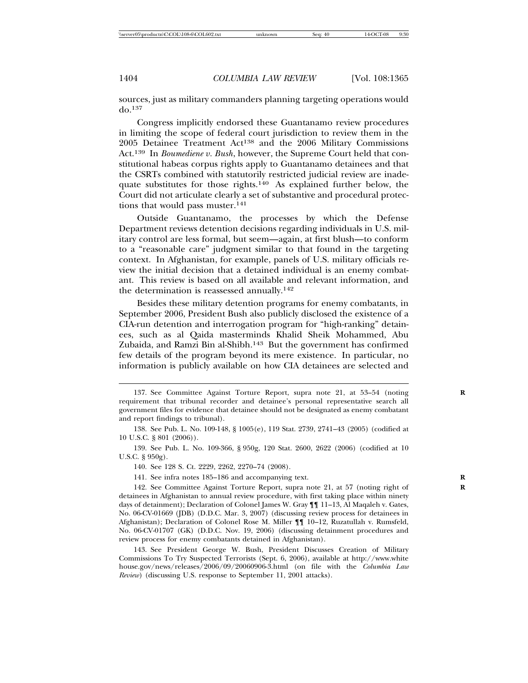sources, just as military commanders planning targeting operations would do.<sup>137</sup>

Congress implicitly endorsed these Guantanamo review procedures in limiting the scope of federal court jurisdiction to review them in the 2005 Detainee Treatment Act<sup>138</sup> and the 2006 Military Commissions Act.<sup>139</sup> In *Boumediene v. Bush*, however, the Supreme Court held that constitutional habeas corpus rights apply to Guantanamo detainees and that the CSRTs combined with statutorily restricted judicial review are inadequate substitutes for those rights.<sup>140</sup> As explained further below, the Court did not articulate clearly a set of substantive and procedural protections that would pass muster.<sup>141</sup>

Outside Guantanamo, the processes by which the Defense Department reviews detention decisions regarding individuals in U.S. military control are less formal, but seem—again, at first blush—to conform to a "reasonable care" judgment similar to that found in the targeting context. In Afghanistan, for example, panels of U.S. military officials review the initial decision that a detained individual is an enemy combatant. This review is based on all available and relevant information, and the determination is reassessed annually.<sup>142</sup>

Besides these military detention programs for enemy combatants, in September 2006, President Bush also publicly disclosed the existence of a CIA-run detention and interrogation program for "high-ranking" detainees, such as al Qaida masterminds Khalid Sheik Mohammed, Abu Zubaida, and Ramzi Bin al-Shibh.<sup>143</sup> But the government has confirmed few details of the program beyond its mere existence. In particular, no information is publicly available on how CIA detainees are selected and

<sup>137.</sup> See Committee Against Torture Report, supra note 21, at 53–54 (noting requirement that tribunal recorder and detainee's personal representative search all government files for evidence that detainee should not be designated as enemy combatant and report findings to tribunal).

<sup>138.</sup> See Pub. L. No. 109-148, § 1005(e), 119 Stat. 2739, 2741–43 (2005) (codified at 10 U.S.C. § 801 (2006)).

<sup>139.</sup> See Pub. L. No. 109-366, § 950g, 120 Stat. 2600, 2622 (2006) (codified at 10 U.S.C. § 950g).

<sup>140.</sup> See 128 S. Ct. 2229, 2262, 2270–74 (2008).

<sup>141.</sup> See infra notes 185–186 and accompanying text. **R**

<sup>142.</sup> See Committee Against Torture Report, supra note 21, at 57 (noting right of detainees in Afghanistan to annual review procedure, with first taking place within ninety days of detainment); Declaration of Colonel James W. Gray ¶¶ 11–13, Al Maqaleh v. Gates, No. 06-CV-01669 (JDB) (D.D.C. Mar. 3, 2007) (discussing review process for detainees in Afghanistan); Declaration of Colonel Rose M. Miller ¶¶ 10–12, Ruzatullah v. Rumsfeld, No. 06-CV-01707 (GK) (D.D.C. Nov. 19, 2006) (discussing detainment procedures and review process for enemy combatants detained in Afghanistan).

<sup>143.</sup> See President George W. Bush, President Discusses Creation of Military Commissions To Try Suspected Terrorists (Sept. 6, 2006), available at http://www.white house.gov/news/releases/2006/09/20060906-3.html (on file with the *Columbia Law Review*) (discussing U.S. response to September 11, 2001 attacks).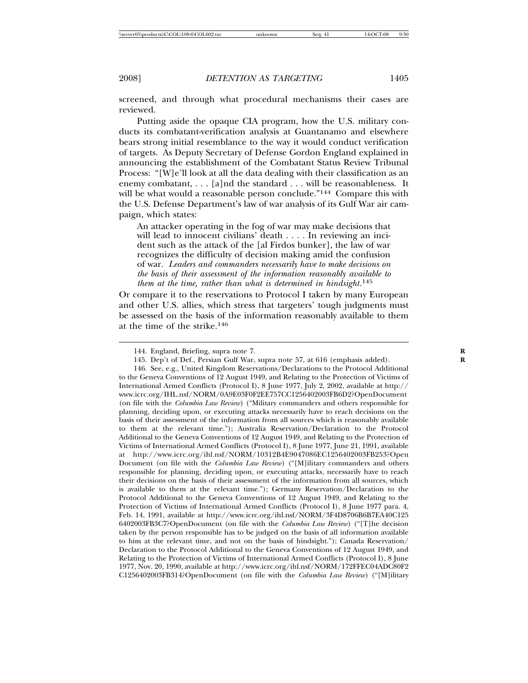screened, and through what procedural mechanisms their cases are reviewed.

Putting aside the opaque CIA program, how the U.S. military conducts its combatant-verification analysis at Guantanamo and elsewhere bears strong initial resemblance to the way it would conduct verification of targets. As Deputy Secretary of Defense Gordon England explained in announcing the establishment of the Combatant Status Review Tribunal Process: "[W]e'll look at all the data dealing with their classification as an enemy combatant, . . . [a]nd the standard . . . will be reasonableness. It will be what would a reasonable person conclude."<sup>144</sup> Compare this with the U.S. Defense Department's law of war analysis of its Gulf War air campaign, which states:

An attacker operating in the fog of war may make decisions that will lead to innocent civilians' death . . . . In reviewing an incident such as the attack of the [al Firdos bunker], the law of war recognizes the difficulty of decision making amid the confusion of war. *Leaders and commanders necessarily have to make decisions on the basis of their assessment of the information reasonably available to them at the time, rather than what is determined in hindsight*. 145

Or compare it to the reservations to Protocol I taken by many European and other U.S. allies, which stress that targeters' tough judgments must be assessed on the basis of the information reasonably available to them at the time of the strike.<sup>146</sup>

<sup>144.</sup> England, Briefing, supra note 7.

<sup>145.</sup> Dep't of Def., Persian Gulf War, supra note 57, at 616 (emphasis added). **R**

<sup>146.</sup> See, e.g., United Kingdom Reservations/Declarations to the Protocol Additional to the Geneva Conventions of 12 August 1949, and Relating to the Protection of Victims of International Armed Conflicts (Protocol I), 8 June 1977, July 2, 2002, available at http:// www.icrc.org/IHL.nsf/NORM/0A9E03F0F2EE757CC1256402003FB6D2?OpenDocument (on file with the *Columbia Law Review*) ("Military commanders and others responsible for planning, deciding upon, or executing attacks necessarily have to reach decisions on the basis of their assessment of the information from all sources which is reasonably available to them at the relevant time."); Australia Reservation/Declaration to the Protocol Additional to the Geneva Conventions of 12 August 1949, and Relating to the Protection of Victims of International Armed Conflicts (Protocol I), 8 June 1977, June 21, 1991, available at http://www.icrc.org/ihl.nsf/NORM/10312B4E9047086EC1256402003FB253?Open Document (on file with the *Columbia Law Review*) ("[M]ilitary commanders and others responsible for planning, deciding upon, or executing attacks, necessarily have to reach their decisions on the basis of their assessment of the information from all sources, which is available to them at the relevant time."); Germany Reservation/Declaration to the Protocol Additional to the Geneva Conventions of 12 August 1949, and Relating to the Protection of Victims of International Armed Conflicts (Protocol I), 8 June 1977 para. 4, Feb. 14, 1991, available at http://www.icrc.org/ihl.nsf/NORM/3F4D8706B6B7EA40C125 6402003FB3C7?OpenDocument (on file with the *Columbia Law Review*) ("[T]he decision taken by the person responsible has to be judged on the basis of all information available to him at the relevant time, and not on the basis of hindsight."); Canada Reservation/ Declaration to the Protocol Additional to the Geneva Conventions of 12 August 1949, and Relating to the Protection of Victims of International Armed Conflicts (Protocol I), 8 June 1977, Nov. 20, 1990, available at http://www.icrc.org/ihl.nsf/NORM/172FFEC04ADC80F2 C1256402003FB314?OpenDocument (on file with the *Columbia Law Review*) ("[M]ilitary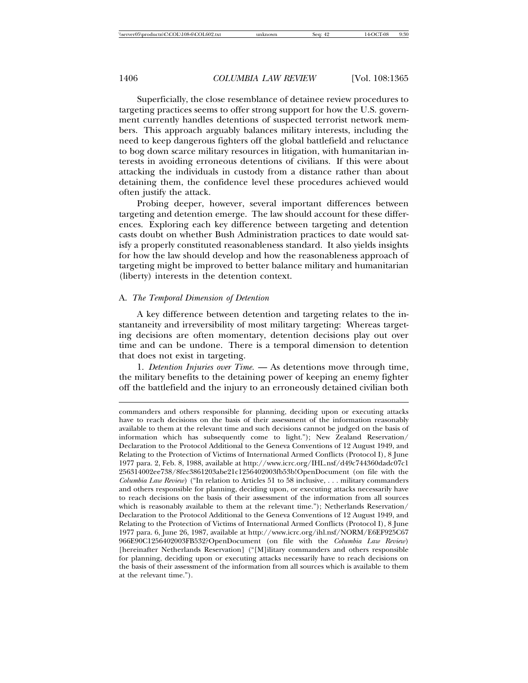Superficially, the close resemblance of detainee review procedures to targeting practices seems to offer strong support for how the U.S. government currently handles detentions of suspected terrorist network members. This approach arguably balances military interests, including the need to keep dangerous fighters off the global battlefield and reluctance to bog down scarce military resources in litigation, with humanitarian interests in avoiding erroneous detentions of civilians. If this were about attacking the individuals in custody from a distance rather than about detaining them, the confidence level these procedures achieved would often justify the attack.

Probing deeper, however, several important differences between targeting and detention emerge. The law should account for these differences. Exploring each key difference between targeting and detention casts doubt on whether Bush Administration practices to date would satisfy a properly constituted reasonableness standard. It also yields insights for how the law should develop and how the reasonableness approach of targeting might be improved to better balance military and humanitarian (liberty) interests in the detention context.

#### A. *The Temporal Dimension of Detention*

A key difference between detention and targeting relates to the instantaneity and irreversibility of most military targeting: Whereas targeting decisions are often momentary, detention decisions play out over time and can be undone. There is a temporal dimension to detention that does not exist in targeting.

1. *Detention Injuries over Time.* — As detentions move through time, the military benefits to the detaining power of keeping an enemy fighter off the battlefield and the injury to an erroneously detained civilian both

commanders and others responsible for planning, deciding upon or executing attacks have to reach decisions on the basis of their assessment of the information reasonably available to them at the relevant time and such decisions cannot be judged on the basis of information which has subsequently come to light."); New Zealand Reservation/ Declaration to the Protocol Additional to the Geneva Conventions of 12 August 1949, and Relating to the Protection of Victims of International Armed Conflicts (Protocol I), 8 June 1977 para. 2, Feb. 8, 1988, available at http://www.icrc.org/IHL.nsf/d49c744360dadc07c1 256314002ee738/8fec3861203abe21c1256402003fb53b!OpenDocument (on file with the *Columbia Law Review*) ("In relation to Articles 51 to 58 inclusive, . . . military commanders and others responsible for planning, deciding upon, or executing attacks necessarily have to reach decisions on the basis of their assessment of the information from all sources which is reasonably available to them at the relevant time."); Netherlands Reservation/ Declaration to the Protocol Additional to the Geneva Conventions of 12 August 1949, and Relating to the Protection of Victims of International Armed Conflicts (Protocol I), 8 June 1977 para. 6, June 26, 1987, available at http://www.icrc.org/ihl.nsf/NORM/E6EF925C67 966E90C1256402003FB532?OpenDocument (on file with the *Columbia Law Review*) [hereinafter Netherlands Reservation] ("[M]ilitary commanders and others responsible for planning, deciding upon or executing attacks necessarily have to reach decisions on the basis of their assessment of the information from all sources which is available to them at the relevant time.").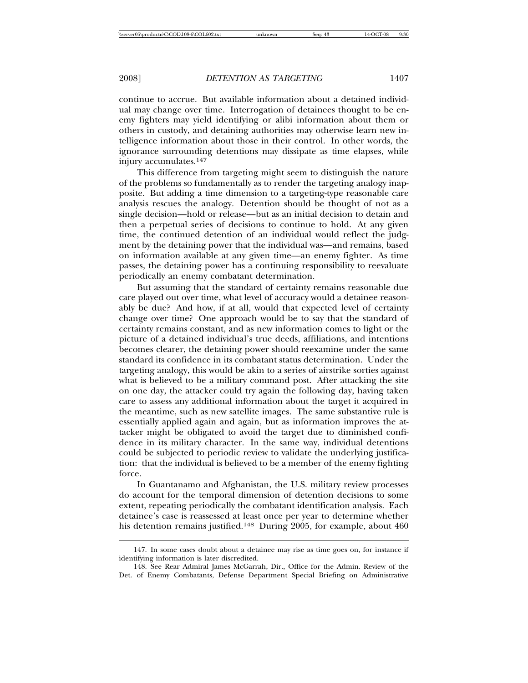continue to accrue. But available information about a detained individual may change over time. Interrogation of detainees thought to be enemy fighters may yield identifying or alibi information about them or others in custody, and detaining authorities may otherwise learn new intelligence information about those in their control. In other words, the ignorance surrounding detentions may dissipate as time elapses, while injury accumulates.<sup>147</sup>

This difference from targeting might seem to distinguish the nature of the problems so fundamentally as to render the targeting analogy inapposite. But adding a time dimension to a targeting-type reasonable care analysis rescues the analogy. Detention should be thought of not as a single decision—hold or release—but as an initial decision to detain and then a perpetual series of decisions to continue to hold. At any given time, the continued detention of an individual would reflect the judgment by the detaining power that the individual was—and remains, based on information available at any given time—an enemy fighter. As time passes, the detaining power has a continuing responsibility to reevaluate periodically an enemy combatant determination.

But assuming that the standard of certainty remains reasonable due care played out over time, what level of accuracy would a detainee reasonably be due? And how, if at all, would that expected level of certainty change over time? One approach would be to say that the standard of certainty remains constant, and as new information comes to light or the picture of a detained individual's true deeds, affiliations, and intentions becomes clearer, the detaining power should reexamine under the same standard its confidence in its combatant status determination. Under the targeting analogy, this would be akin to a series of airstrike sorties against what is believed to be a military command post. After attacking the site on one day, the attacker could try again the following day, having taken care to assess any additional information about the target it acquired in the meantime, such as new satellite images. The same substantive rule is essentially applied again and again, but as information improves the attacker might be obligated to avoid the target due to diminished confidence in its military character. In the same way, individual detentions could be subjected to periodic review to validate the underlying justification: that the individual is believed to be a member of the enemy fighting force.

In Guantanamo and Afghanistan, the U.S. military review processes do account for the temporal dimension of detention decisions to some extent, repeating periodically the combatant identification analysis. Each detainee's case is reassessed at least once per year to determine whether his detention remains justified.<sup>148</sup> During 2005, for example, about 460

<sup>147.</sup> In some cases doubt about a detainee may rise as time goes on, for instance if identifying information is later discredited.

<sup>148.</sup> See Rear Admiral James McGarrah, Dir., Office for the Admin. Review of the Det. of Enemy Combatants, Defense Department Special Briefing on Administrative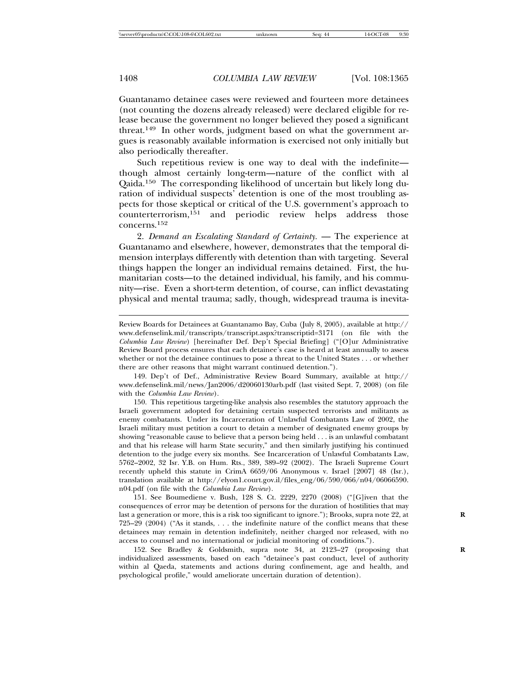Guantanamo detainee cases were reviewed and fourteen more detainees (not counting the dozens already released) were declared eligible for release because the government no longer believed they posed a significant threat.<sup>149</sup> In other words, judgment based on what the government argues is reasonably available information is exercised not only initially but also periodically thereafter.

Such repetitious review is one way to deal with the indefinite though almost certainly long-term—nature of the conflict with al Qaida.<sup>150</sup> The corresponding likelihood of uncertain but likely long duration of individual suspects' detention is one of the most troubling aspects for those skeptical or critical of the U.S. government's approach to counterterrorism, <sup>151</sup> and periodic review helps address those concerns.<sup>152</sup>

2. *Demand an Escalating Standard of Certainty*. — The experience at Guantanamo and elsewhere, however, demonstrates that the temporal dimension interplays differently with detention than with targeting. Several things happen the longer an individual remains detained. First, the humanitarian costs—to the detained individual, his family, and his community—rise. Even a short-term detention, of course, can inflict devastating physical and mental trauma; sadly, though, widespread trauma is inevita-

149. Dep't of Def., Administrative Review Board Summary, available at http:// www.defenselink.mil/news/Jan2006/d20060130arb.pdf (last visited Sept. 7, 2008) (on file with the *Columbia Law Review*).

150. This repetitious targeting-like analysis also resembles the statutory approach the Israeli government adopted for detaining certain suspected terrorists and militants as enemy combatants. Under its Incarceration of Unlawful Combatants Law of 2002, the Israeli military must petition a court to detain a member of designated enemy groups by showing "reasonable cause to believe that a person being held . . . is an unlawful combatant and that his release will harm State security," and then similarly justifying his continued detention to the judge every six months. See Incarceration of Unlawful Combatants Law, 5762–2002, 32 Isr. Y.B. on Hum. Rts., 389, 389–92 (2002). The Israeli Supreme Court recently upheld this statute in CrimA 6659/06 Anonymous v. Israel [2007] 48 (Isr.), translation available at http://elyon1.court.gov.il/files\_eng/06/590/066/n04/06066590. n04.pdf (on file with the *Columbia Law Review*).

151. See Boumediene v. Bush, 128 S. Ct. 2229, 2270 (2008) ("[G]iven that the consequences of error may be detention of persons for the duration of hostilities that may last a generation or more, this is a risk too significant to ignore."); Brooks, supra note 22, at 725–29 (2004) ("As it stands, . . . the indefinite nature of the conflict means that these detainees may remain in detention indefinitely, neither charged nor released, with no access to counsel and no international or judicial monitoring of conditions.").

152. See Bradley & Goldsmith, supra note 34, at 2123–27 (proposing that **R** individualized assessments, based on each "detainee's past conduct, level of authority within al Qaeda, statements and actions during confinement, age and health, and psychological profile," would ameliorate uncertain duration of detention).

Review Boards for Detainees at Guantanamo Bay, Cuba (July 8, 2005), available at http:// www.defenselink.mil/transcripts/transcript.aspx?transcriptid=3171 (on file with the *Columbia Law Review*) [hereinafter Def. Dep't Special Briefing] ("[O]ur Administrative Review Board process ensures that each detainee's case is heard at least annually to assess whether or not the detainee continues to pose a threat to the United States . . . or whether there are other reasons that might warrant continued detention.").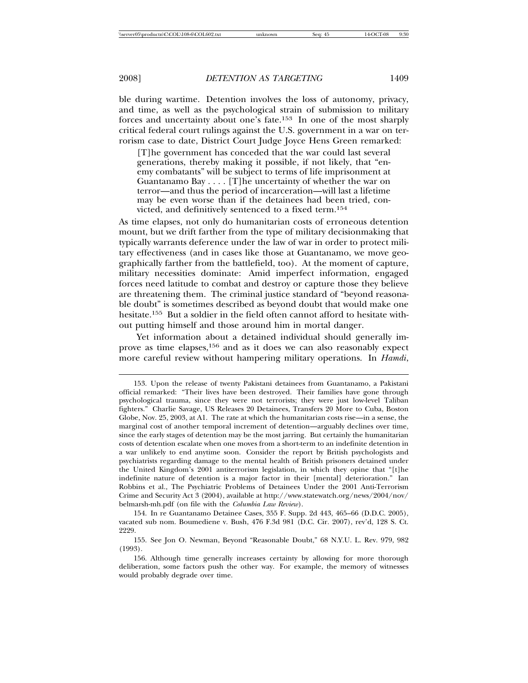ble during wartime. Detention involves the loss of autonomy, privacy, and time, as well as the psychological strain of submission to military forces and uncertainty about one's fate.<sup>153</sup> In one of the most sharply critical federal court rulings against the U.S. government in a war on terrorism case to date, District Court Judge Joyce Hens Green remarked:

[T]he government has conceded that the war could last several generations, thereby making it possible, if not likely, that "enemy combatants" will be subject to terms of life imprisonment at Guantanamo Bay . . . . [T]he uncertainty of whether the war on terror—and thus the period of incarceration—will last a lifetime may be even worse than if the detainees had been tried, convicted, and definitively sentenced to a fixed term.<sup>154</sup>

As time elapses, not only do humanitarian costs of erroneous detention mount, but we drift farther from the type of military decisionmaking that typically warrants deference under the law of war in order to protect military effectiveness (and in cases like those at Guantanamo, we move geographically farther from the battlefield, too). At the moment of capture, military necessities dominate: Amid imperfect information, engaged forces need latitude to combat and destroy or capture those they believe are threatening them. The criminal justice standard of "beyond reasonable doubt" is sometimes described as beyond doubt that would make one hesitate.<sup>155</sup> But a soldier in the field often cannot afford to hesitate without putting himself and those around him in mortal danger.

Yet information about a detained individual should generally improve as time elapses,<sup>156</sup> and as it does we can also reasonably expect more careful review without hampering military operations. In *Hamdi*,

154. In re Guantanamo Detainee Cases, 355 F. Supp. 2d 443, 465–66 (D.D.C. 2005), vacated sub nom. Boumediene v. Bush, 476 F.3d 981 (D.C. Cir. 2007), rev'd, 128 S. Ct. 2229.

155. See Jon O. Newman, Beyond "Reasonable Doubt," 68 N.Y.U. L. Rev. 979, 982 (1993).

<sup>153.</sup> Upon the release of twenty Pakistani detainees from Guantanamo, a Pakistani official remarked: "Their lives have been destroyed. Their families have gone through psychological trauma, since they were not terrorists; they were just low-level Taliban fighters." Charlie Savage, US Releases 20 Detainees, Transfers 20 More to Cuba, Boston Globe, Nov. 25, 2003, at A1. The rate at which the humanitarian costs rise—in a sense, the marginal cost of another temporal increment of detention—arguably declines over time, since the early stages of detention may be the most jarring. But certainly the humanitarian costs of detention escalate when one moves from a short-term to an indefinite detention in a war unlikely to end anytime soon. Consider the report by British psychologists and psychiatrists regarding damage to the mental health of British prisoners detained under the United Kingdom's 2001 antiterrorism legislation, in which they opine that "[t]he indefinite nature of detention is a major factor in their [mental] deterioration." Ian Robbins et al., The Psychiatric Problems of Detainees Under the 2001 Anti-Terrorism Crime and Security Act 3 (2004), available at http://www.statewatch.org/news/2004/nov/ belmarsh-mh.pdf (on file with the *Columbia Law Review*).

<sup>156.</sup> Although time generally increases certainty by allowing for more thorough deliberation, some factors push the other way. For example, the memory of witnesses would probably degrade over time.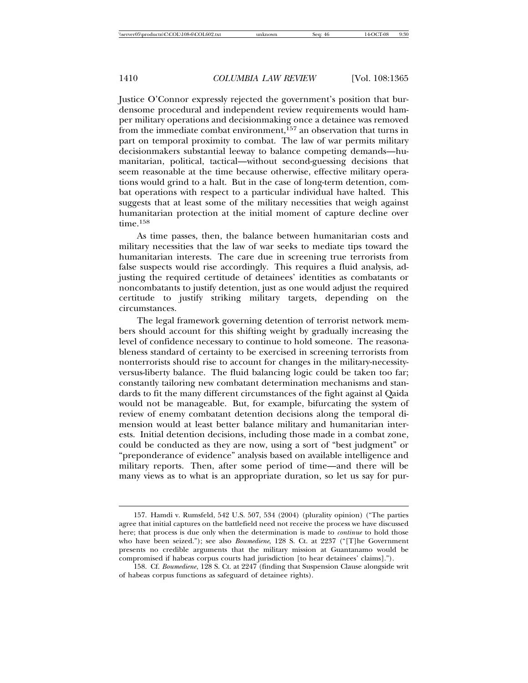Justice O'Connor expressly rejected the government's position that burdensome procedural and independent review requirements would hamper military operations and decisionmaking once a detainee was removed from the immediate combat environment,<sup>157</sup> an observation that turns in part on temporal proximity to combat. The law of war permits military decisionmakers substantial leeway to balance competing demands—humanitarian, political, tactical—without second-guessing decisions that seem reasonable at the time because otherwise, effective military operations would grind to a halt. But in the case of long-term detention, combat operations with respect to a particular individual have halted. This suggests that at least some of the military necessities that weigh against humanitarian protection at the initial moment of capture decline over time.<sup>158</sup>

As time passes, then, the balance between humanitarian costs and military necessities that the law of war seeks to mediate tips toward the humanitarian interests. The care due in screening true terrorists from false suspects would rise accordingly. This requires a fluid analysis, adjusting the required certitude of detainees' identities as combatants or noncombatants to justify detention, just as one would adjust the required certitude to justify striking military targets, depending on the circumstances.

The legal framework governing detention of terrorist network members should account for this shifting weight by gradually increasing the level of confidence necessary to continue to hold someone. The reasonableness standard of certainty to be exercised in screening terrorists from nonterrorists should rise to account for changes in the military-necessityversus-liberty balance. The fluid balancing logic could be taken too far; constantly tailoring new combatant determination mechanisms and standards to fit the many different circumstances of the fight against al Qaida would not be manageable. But, for example, bifurcating the system of review of enemy combatant detention decisions along the temporal dimension would at least better balance military and humanitarian interests. Initial detention decisions, including those made in a combat zone, could be conducted as they are now, using a sort of "best judgment" or "preponderance of evidence" analysis based on available intelligence and military reports. Then, after some period of time—and there will be many views as to what is an appropriate duration, so let us say for pur-

<sup>157.</sup> Hamdi v. Rumsfeld, 542 U.S. 507, 534 (2004) (plurality opinion) ("The parties agree that initial captures on the battlefield need not receive the process we have discussed here; that process is due only when the determination is made to *continue* to hold those who have been seized."); see also *Boumediene*, 128 S. Ct. at 2237 ("[T]he Government presents no credible arguments that the military mission at Guantanamo would be compromised if habeas corpus courts had jurisdiction [to hear detainees' claims].").

<sup>158.</sup> Cf. *Boumediene*, 128 S. Ct. at 2247 (finding that Suspension Clause alongside writ of habeas corpus functions as safeguard of detainee rights).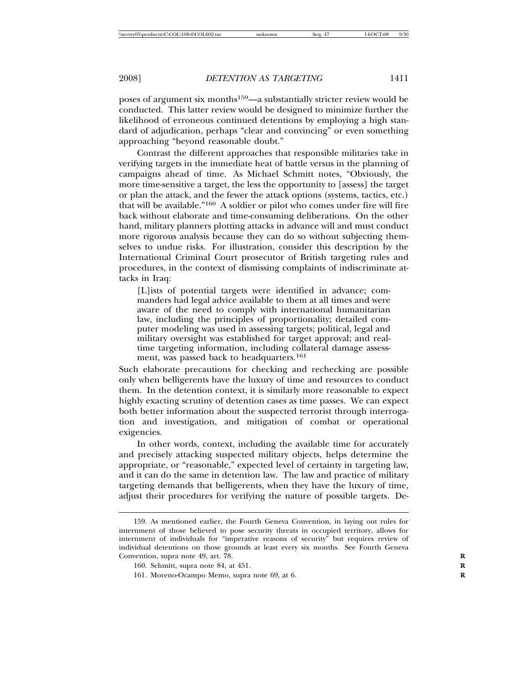poses of argument six months<sup>159</sup>—a substantially stricter review would be conducted. This latter review would be designed to minimize further the likelihood of erroneous continued detentions by employing a high standard of adjudication, perhaps "clear and convincing" or even something approaching "beyond reasonable doubt."

Contrast the different approaches that responsible militaries take in verifying targets in the immediate heat of battle versus in the planning of campaigns ahead of time. As Michael Schmitt notes, "Obviously, the more time-sensitive a target, the less the opportunity to [assess] the target or plan the attack, and the fewer the attack options (systems, tactics, etc.) that will be available."<sup>160</sup> A soldier or pilot who comes under fire will fire back without elaborate and time-consuming deliberations. On the other hand, military planners plotting attacks in advance will and must conduct more rigorous analysis because they can do so without subjecting themselves to undue risks. For illustration, consider this description by the International Criminal Court prosecutor of British targeting rules and procedures, in the context of dismissing complaints of indiscriminate attacks in Iraq:

[L]ists of potential targets were identified in advance; commanders had legal advice available to them at all times and were aware of the need to comply with international humanitarian law, including the principles of proportionality; detailed computer modeling was used in assessing targets; political, legal and military oversight was established for target approval; and realtime targeting information, including collateral damage assessment, was passed back to headquarters.<sup>161</sup>

Such elaborate precautions for checking and rechecking are possible only when belligerents have the luxury of time and resources to conduct them. In the detention context, it is similarly more reasonable to expect highly exacting scrutiny of detention cases as time passes. We can expect both better information about the suspected terrorist through interrogation and investigation, and mitigation of combat or operational exigencies.

In other words, context, including the available time for accurately and precisely attacking suspected military objects, helps determine the appropriate, or "reasonable," expected level of certainty in targeting law, and it can do the same in detention law. The law and practice of military targeting demands that belligerents, when they have the luxury of time, adjust their procedures for verifying the nature of possible targets. De-

<sup>159.</sup> As mentioned earlier, the Fourth Geneva Convention, in laying out rules for internment of those believed to pose security threats in occupied territory, allows for internment of individuals for "imperative reasons of security" but requires review of individual detentions on those grounds at least every six months. See Fourth Geneva Convention, supra note 49, art. 78.

<sup>160.</sup> Schmitt, supra note 84, at 451. **R**

<sup>161.</sup> Moreno-Ocampo Memo, supra note 69, at 6. **R**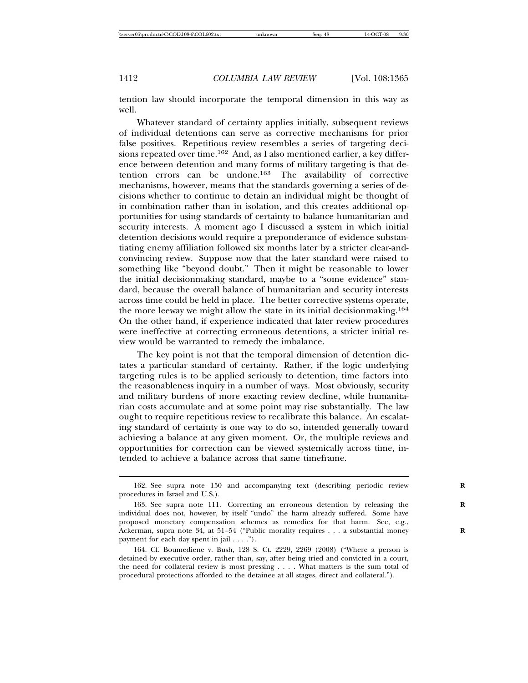tention law should incorporate the temporal dimension in this way as well.

Whatever standard of certainty applies initially, subsequent reviews of individual detentions can serve as corrective mechanisms for prior false positives. Repetitious review resembles a series of targeting decisions repeated over time.<sup>162</sup> And, as I also mentioned earlier, a key difference between detention and many forms of military targeting is that detention errors can be undone.<sup>163</sup> The availability of corrective mechanisms, however, means that the standards governing a series of decisions whether to continue to detain an individual might be thought of in combination rather than in isolation, and this creates additional opportunities for using standards of certainty to balance humanitarian and security interests. A moment ago I discussed a system in which initial detention decisions would require a preponderance of evidence substantiating enemy affiliation followed six months later by a stricter clear-andconvincing review. Suppose now that the later standard were raised to something like "beyond doubt." Then it might be reasonable to lower the initial decisionmaking standard, maybe to a "some evidence" standard, because the overall balance of humanitarian and security interests across time could be held in place. The better corrective systems operate, the more leeway we might allow the state in its initial decisionmaking.<sup>164</sup> On the other hand, if experience indicated that later review procedures were ineffective at correcting erroneous detentions, a stricter initial review would be warranted to remedy the imbalance.

The key point is not that the temporal dimension of detention dictates a particular standard of certainty. Rather, if the logic underlying targeting rules is to be applied seriously to detention, time factors into the reasonableness inquiry in a number of ways. Most obviously, security and military burdens of more exacting review decline, while humanitarian costs accumulate and at some point may rise substantially. The law ought to require repetitious review to recalibrate this balance. An escalating standard of certainty is one way to do so, intended generally toward achieving a balance at any given moment. Or, the multiple reviews and opportunities for correction can be viewed systemically across time, intended to achieve a balance across that same timeframe.

<sup>162.</sup> See supra note 150 and accompanying text (describing periodic review **R** procedures in Israel and U.S.).

<sup>163.</sup> See supra note 111. Correcting an erroneous detention by releasing the **R** individual does not, however, by itself "undo" the harm already suffered. Some have proposed monetary compensation schemes as remedies for that harm. See, e.g., Ackerman, supra note 34, at 51–54 ("Public morality requires . . . a substantial money **R** payment for each day spent in jail . . . .").

<sup>164.</sup> Cf. Boumediene v. Bush, 128 S. Ct. 2229, 2269 (2008) ("Where a person is detained by executive order, rather than, say, after being tried and convicted in a court, the need for collateral review is most pressing . . . . What matters is the sum total of procedural protections afforded to the detainee at all stages, direct and collateral.").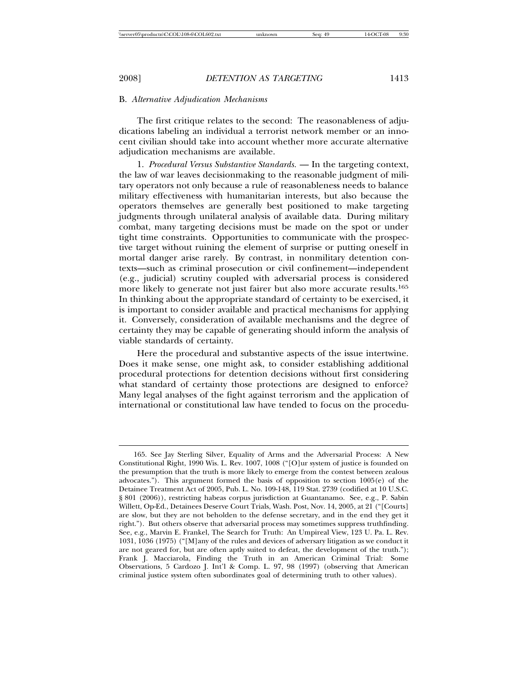#### B. *Alternative Adjudication Mechanisms*

The first critique relates to the second: The reasonableness of adjudications labeling an individual a terrorist network member or an innocent civilian should take into account whether more accurate alternative adjudication mechanisms are available.

1. *Procedural Versus Substantive Standards.* — In the targeting context, the law of war leaves decisionmaking to the reasonable judgment of military operators not only because a rule of reasonableness needs to balance military effectiveness with humanitarian interests, but also because the operators themselves are generally best positioned to make targeting judgments through unilateral analysis of available data. During military combat, many targeting decisions must be made on the spot or under tight time constraints. Opportunities to communicate with the prospective target without ruining the element of surprise or putting oneself in mortal danger arise rarely. By contrast, in nonmilitary detention contexts—such as criminal prosecution or civil confinement—independent (e.g., judicial) scrutiny coupled with adversarial process is considered more likely to generate not just fairer but also more accurate results.<sup>165</sup> In thinking about the appropriate standard of certainty to be exercised, it is important to consider available and practical mechanisms for applying it. Conversely, consideration of available mechanisms and the degree of certainty they may be capable of generating should inform the analysis of viable standards of certainty.

Here the procedural and substantive aspects of the issue intertwine. Does it make sense, one might ask, to consider establishing additional procedural protections for detention decisions without first considering what standard of certainty those protections are designed to enforce? Many legal analyses of the fight against terrorism and the application of international or constitutional law have tended to focus on the procedu-

<sup>165.</sup> See Jay Sterling Silver, Equality of Arms and the Adversarial Process: A New Constitutional Right, 1990 Wis. L. Rev. 1007, 1008 ("[O]ur system of justice is founded on the presumption that the truth is more likely to emerge from the contest between zealous advocates."). This argument formed the basis of opposition to section 1005(e) of the Detainee Treatment Act of 2005, Pub. L. No. 109-148, 119 Stat. 2739 (codified at 10 U.S.C. § 801 (2006)), restricting habeas corpus jurisdiction at Guantanamo. See, e.g., P. Sabin Willett, Op-Ed., Detainees Deserve Court Trials, Wash. Post, Nov. 14, 2005, at 21 ("[Courts] are slow, but they are not beholden to the defense secretary, and in the end they get it right."). But others observe that adversarial process may sometimes suppress truthfinding. See, e.g., Marvin E. Frankel, The Search for Truth: An Umpireal View, 123 U. Pa. L. Rev. 1031, 1036 (1975) ("[M]any of the rules and devices of adversary litigation as we conduct it are not geared for, but are often aptly suited to defeat, the development of the truth."); Frank J. Macciarola, Finding the Truth in an American Criminal Trial: Some Observations, 5 Cardozo J. Int'l & Comp. L. 97, 98 (1997) (observing that American criminal justice system often subordinates goal of determining truth to other values).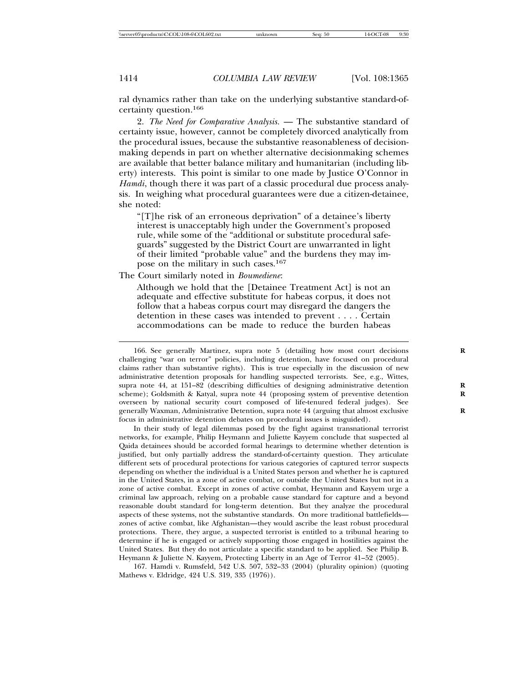ral dynamics rather than take on the underlying substantive standard-ofcertainty question.<sup>166</sup>

2. *The Need for Comparative Analysis.* — The substantive standard of certainty issue, however, cannot be completely divorced analytically from the procedural issues, because the substantive reasonableness of decisionmaking depends in part on whether alternative decisionmaking schemes are available that better balance military and humanitarian (including liberty) interests. This point is similar to one made by Justice O'Connor in *Hamdi*, though there it was part of a classic procedural due process analysis. In weighing what procedural guarantees were due a citizen-detainee, she noted:

"[T]he risk of an erroneous deprivation" of a detainee's liberty interest is unacceptably high under the Government's proposed rule, while some of the "additional or substitute procedural safeguards" suggested by the District Court are unwarranted in light of their limited "probable value" and the burdens they may impose on the military in such cases.<sup>167</sup>

The Court similarly noted in *Boumediene*:

Although we hold that the [Detainee Treatment Act] is not an adequate and effective substitute for habeas corpus, it does not follow that a habeas corpus court may disregard the dangers the detention in these cases was intended to prevent . . . . Certain accommodations can be made to reduce the burden habeas

166. See generally Martinez, supra note 5 (detailing how most court decisions **R** challenging "war on terror" policies, including detention, have focused on procedural claims rather than substantive rights). This is true especially in the discussion of new administrative detention proposals for handling suspected terrorists. See, e.g., Wittes, supra note 44, at 151–82 (describing difficulties of designing administrative detention scheme); Goldsmith & Katyal, supra note 44 (proposing system of preventive detention overseen by national security court composed of life-tenured federal judges). See generally Waxman, Administrative Detention, supra note 44 (arguing that almost exclusive **R** focus in administrative detention debates on procedural issues is misguided).

In their study of legal dilemmas posed by the fight against transnational terrorist networks, for example, Philip Heymann and Juliette Kayyem conclude that suspected al Qaida detainees should be accorded formal hearings to determine whether detention is justified, but only partially address the standard-of-certainty question. They articulate different sets of procedural protections for various categories of captured terror suspects depending on whether the individual is a United States person and whether he is captured in the United States, in a zone of active combat, or outside the United States but not in a zone of active combat. Except in zones of active combat, Heymann and Kayyem urge a criminal law approach, relying on a probable cause standard for capture and a beyond reasonable doubt standard for long-term detention. But they analyze the procedural aspects of these systems, not the substantive standards. On more traditional battlefields zones of active combat, like Afghanistan—they would ascribe the least robust procedural protections. There, they argue, a suspected terrorist is entitled to a tribunal hearing to determine if he is engaged or actively supporting those engaged in hostilities against the United States. But they do not articulate a specific standard to be applied. See Philip B. Heymann & Juliette N. Kayyem, Protecting Liberty in an Age of Terror 41–52 (2005).

167. Hamdi v. Rumsfeld, 542 U.S. 507, 532–33 (2004) (plurality opinion) (quoting Mathews v. Eldridge, 424 U.S. 319, 335 (1976)).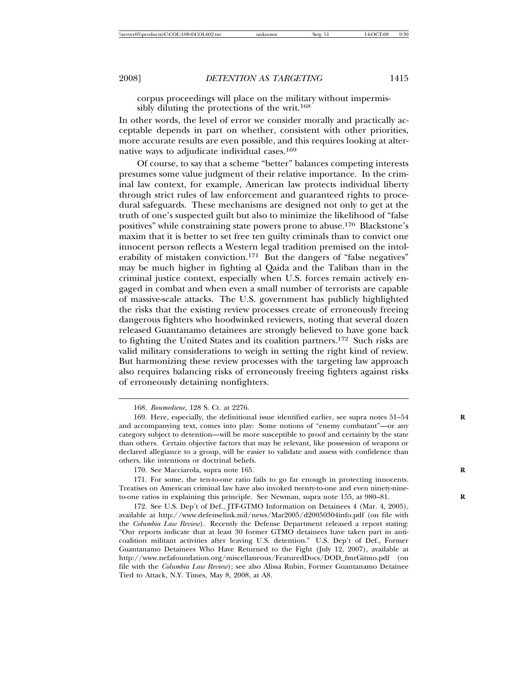corpus proceedings will place on the military without impermissibly diluting the protections of the writ.<sup>168</sup>

In other words, the level of error we consider morally and practically acceptable depends in part on whether, consistent with other priorities, more accurate results are even possible, and this requires looking at alternative ways to adjudicate individual cases.<sup>169</sup>

Of course, to say that a scheme "better" balances competing interests presumes some value judgment of their relative importance. In the criminal law context, for example, American law protects individual liberty through strict rules of law enforcement and guaranteed rights to procedural safeguards. These mechanisms are designed not only to get at the truth of one's suspected guilt but also to minimize the likelihood of "false positives" while constraining state powers prone to abuse.170 Blackstone's maxim that it is better to set free ten guilty criminals than to convict one innocent person reflects a Western legal tradition premised on the intolerability of mistaken conviction.<sup>171</sup> But the dangers of "false negatives" may be much higher in fighting al Qaida and the Taliban than in the criminal justice context, especially when U.S. forces remain actively engaged in combat and when even a small number of terrorists are capable of massive-scale attacks. The U.S. government has publicly highlighted the risks that the existing review processes create of erroneously freeing dangerous fighters who hoodwinked reviewers, noting that several dozen released Guantanamo detainees are strongly believed to have gone back to fighting the United States and its coalition partners.<sup>172</sup> Such risks are valid military considerations to weigh in setting the right kind of review. But harmonizing these review processes with the targeting law approach also requires balancing risks of erroneously freeing fighters against risks of erroneously detaining nonfighters.

<sup>168.</sup> *Boumediene*, 128 S. Ct. at 2276.

<sup>169.</sup> Here, especially, the definitional issue identified earlier, see supra notes 51–54 **R** and accompanying text, comes into play: Some notions of "enemy combatant"—or any category subject to detention—will be more susceptible to proof and certainty by the state than others. Certain objective factors that may be relevant, like possession of weapons or declared allegiance to a group, will be easier to validate and assess with confidence than others, like intentions or doctrinal beliefs.

<sup>170.</sup> See Macciarola, supra note 165. **R**

<sup>171.</sup> For some, the ten-to-one ratio fails to go far enough in protecting innocents. Treatises on American criminal law have also invoked twenty-to-one and even ninety-nineto-one ratios in explaining this principle. See Newman, supra note 155, at 980-81.

<sup>172.</sup> See U.S. Dep't of Def., JTF-GTMO Information on Detainees 4 (Mar. 4, 2005), available at http://www.defenselink.mil/news/Mar2005/d20050304info.pdf (on file with the *Columbia Law Review*). Recently the Defense Department released a report stating: "Our reports indicate that at least 30 former GTMO detainees have taken part in anticoalition militant activities after leaving U.S. detention." U.S. Dep't of Def., Former Guantanamo Detainees Who Have Returned to the Fight (July 12, 2007), available at http://www.nefafoundation.org/miscellaneous/FeaturedDocs/DOD\_fmrGitmo.pdf (on file with the *Columbia Law Review*); see also Alissa Rubin, Former Guantanamo Detainee Tied to Attack, N.Y. Times, May 8, 2008, at A8.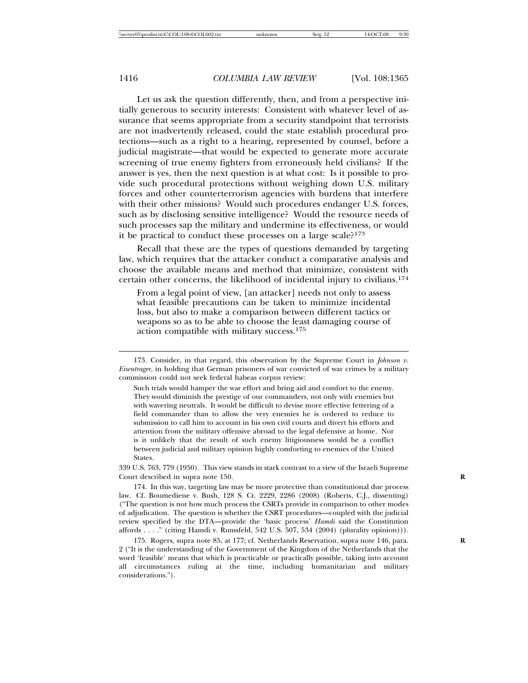Let us ask the question differently, then, and from a perspective initially generous to security interests: Consistent with whatever level of assurance that seems appropriate from a security standpoint that terrorists are not inadvertently released, could the state establish procedural protections—such as a right to a hearing, represented by counsel, before a judicial magistrate—that would be expected to generate more accurate screening of true enemy fighters from erroneously held civilians? If the answer is yes, then the next question is at what cost: Is it possible to provide such procedural protections without weighing down U.S. military forces and other counterterrorism agencies with burdens that interfere with their other missions? Would such procedures endanger U.S. forces, such as by disclosing sensitive intelligence? Would the resource needs of such processes sap the military and undermine its effectiveness, or would it be practical to conduct these processes on a large scale?<sup>173</sup>

Recall that these are the types of questions demanded by targeting law, which requires that the attacker conduct a comparative analysis and choose the available means and method that minimize, consistent with certain other concerns, the likelihood of incidental injury to civilians.<sup>174</sup>

From a legal point of view, [an attacker] needs not only to assess what feasible precautions can be taken to minimize incidental loss, but also to make a comparison between different tactics or weapons so as to be able to choose the least damaging course of action compatible with military success.<sup>175</sup>

339 U.S. 763, 779 (1950). This view stands in stark contrast to a view of the Israeli Supreme Court described in supra note 150. **R**

174. In this way, targeting law may be more protective than constitutional due process law. Cf. Boumediene v. Bush, 128 S. Ct. 2229, 2286 (2008) (Roberts, C.J., dissenting) ("The question is not how much process the CSRTs provide in comparison to other modes of adjudication. The question is whether the CSRT procedures—coupled with the judicial review specified by the DTA—provide the 'basic process' *Hamdi* said the Constitution affords . . . ." (citing Hamdi v. Rumsfeld, 542 U.S. 507, 534 (2004) (plurality opinion))).

175. Rogers, supra note 85, at 177; cf. Netherlands Reservation, supra note 146, para. **R** 2 ("It is the understanding of the Government of the Kingdom of the Netherlands that the word 'feasible' means that which is practicable or practically possible, taking into account all circumstances ruling at the time, including humanitarian and military considerations.").

<sup>173.</sup> Consider, in that regard, this observation by the Supreme Court in *Johnson v. Eisentrager*, in holding that German prisoners of war convicted of war crimes by a military commission could not seek federal habeas corpus review:

Such trials would hamper the war effort and bring aid and comfort to the enemy. They would diminish the prestige of our commanders, not only with enemies but with wavering neutrals. It would be difficult to devise more effective fettering of a field commander than to allow the very enemies he is ordered to reduce to submission to call him to account in his own civil courts and divert his efforts and attention from the military offensive abroad to the legal defensive at home. Nor is it unlikely that the result of such enemy litigiousness would be a conflict between judicial and military opinion highly comforting to enemies of the United **States**.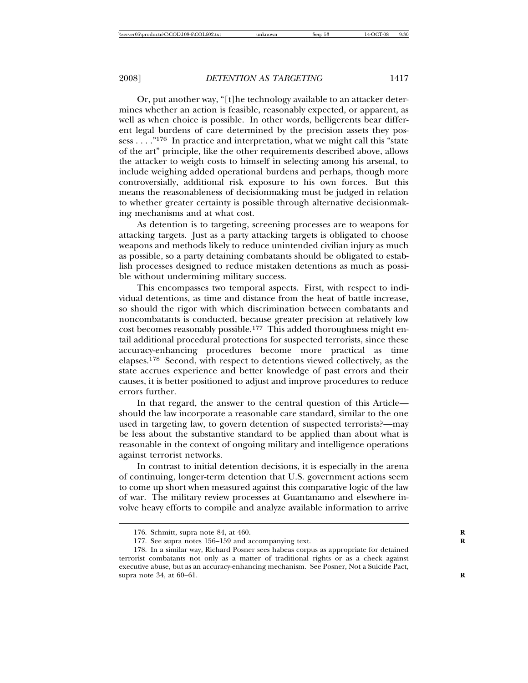Or, put another way, "[t]he technology available to an attacker determines whether an action is feasible, reasonably expected, or apparent, as well as when choice is possible. In other words, belligerents bear different legal burdens of care determined by the precision assets they possess . . . ."<sup>176</sup> In practice and interpretation, what we might call this "state of the art" principle, like the other requirements described above, allows the attacker to weigh costs to himself in selecting among his arsenal, to include weighing added operational burdens and perhaps, though more controversially, additional risk exposure to his own forces. But this means the reasonableness of decisionmaking must be judged in relation to whether greater certainty is possible through alternative decisionmaking mechanisms and at what cost.

As detention is to targeting, screening processes are to weapons for attacking targets. Just as a party attacking targets is obligated to choose weapons and methods likely to reduce unintended civilian injury as much as possible, so a party detaining combatants should be obligated to establish processes designed to reduce mistaken detentions as much as possible without undermining military success.

This encompasses two temporal aspects. First, with respect to individual detentions, as time and distance from the heat of battle increase, so should the rigor with which discrimination between combatants and noncombatants is conducted, because greater precision at relatively low cost becomes reasonably possible.<sup>177</sup> This added thoroughness might entail additional procedural protections for suspected terrorists, since these accuracy-enhancing procedures become more practical as time elapses.<sup>178</sup> Second, with respect to detentions viewed collectively, as the state accrues experience and better knowledge of past errors and their causes, it is better positioned to adjust and improve procedures to reduce errors further.

In that regard, the answer to the central question of this Article should the law incorporate a reasonable care standard, similar to the one used in targeting law, to govern detention of suspected terrorists?—may be less about the substantive standard to be applied than about what is reasonable in the context of ongoing military and intelligence operations against terrorist networks.

In contrast to initial detention decisions, it is especially in the arena of continuing, longer-term detention that U.S. government actions seem to come up short when measured against this comparative logic of the law of war. The military review processes at Guantanamo and elsewhere involve heavy efforts to compile and analyze available information to arrive

<sup>176.</sup> Schmitt, supra note 84, at 460. **R**

<sup>177.</sup> See supra notes 156–159 and accompanying text.

<sup>178.</sup> In a similar way, Richard Posner sees habeas corpus as appropriate for detained terrorist combatants not only as a matter of traditional rights or as a check against executive abuse, but as an accuracy-enhancing mechanism. See Posner, Not a Suicide Pact, supra note 34, at 60–61. **R**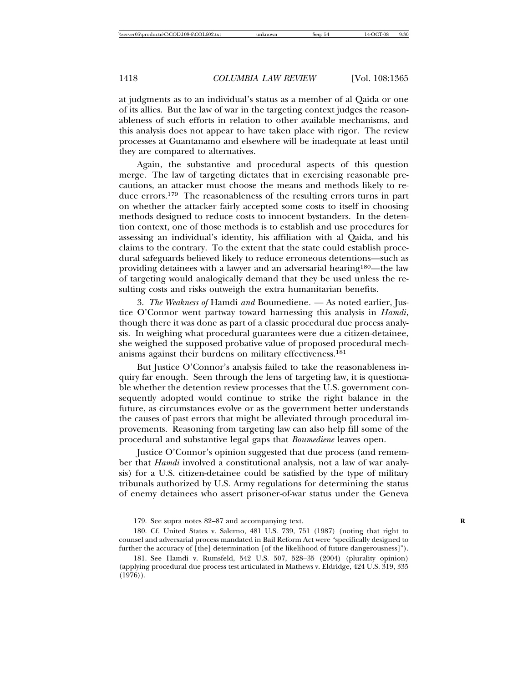at judgments as to an individual's status as a member of al Qaida or one of its allies. But the law of war in the targeting context judges the reasonableness of such efforts in relation to other available mechanisms, and this analysis does not appear to have taken place with rigor. The review processes at Guantanamo and elsewhere will be inadequate at least until they are compared to alternatives.

Again, the substantive and procedural aspects of this question merge. The law of targeting dictates that in exercising reasonable precautions, an attacker must choose the means and methods likely to reduce errors.<sup>179</sup> The reasonableness of the resulting errors turns in part on whether the attacker fairly accepted some costs to itself in choosing methods designed to reduce costs to innocent bystanders. In the detention context, one of those methods is to establish and use procedures for assessing an individual's identity, his affiliation with al Qaida, and his claims to the contrary. To the extent that the state could establish procedural safeguards believed likely to reduce erroneous detentions—such as providing detainees with a lawyer and an adversarial hearing180—the law of targeting would analogically demand that they be used unless the resulting costs and risks outweigh the extra humanitarian benefits.

3. *The Weakness of* Hamdi *and* Boumediene*.* — As noted earlier, Justice O'Connor went partway toward harnessing this analysis in *Hamdi*, though there it was done as part of a classic procedural due process analysis. In weighing what procedural guarantees were due a citizen-detainee, she weighed the supposed probative value of proposed procedural mechanisms against their burdens on military effectiveness.<sup>181</sup>

But Justice O'Connor's analysis failed to take the reasonableness inquiry far enough. Seen through the lens of targeting law, it is questionable whether the detention review processes that the U.S. government consequently adopted would continue to strike the right balance in the future, as circumstances evolve or as the government better understands the causes of past errors that might be alleviated through procedural improvements. Reasoning from targeting law can also help fill some of the procedural and substantive legal gaps that *Boumediene* leaves open.

Justice O'Connor's opinion suggested that due process (and remember that *Hamdi* involved a constitutional analysis, not a law of war analysis) for a U.S. citizen-detainee could be satisfied by the type of military tribunals authorized by U.S. Army regulations for determining the status of enemy detainees who assert prisoner-of-war status under the Geneva

<sup>179.</sup> See supra notes 82–87 and accompanying text. **R**

<sup>180.</sup> Cf. United States v. Salerno, 481 U.S. 739, 751 (1987) (noting that right to counsel and adversarial process mandated in Bail Reform Act were "specifically designed to further the accuracy of [the] determination [of the likelihood of future dangerousness]").

<sup>181.</sup> See Hamdi v. Rumsfeld, 542 U.S. 507, 528–35 (2004) (plurality opinion) (applying procedural due process test articulated in Mathews v. Eldridge, 424 U.S. 319, 335  $(1976)$ .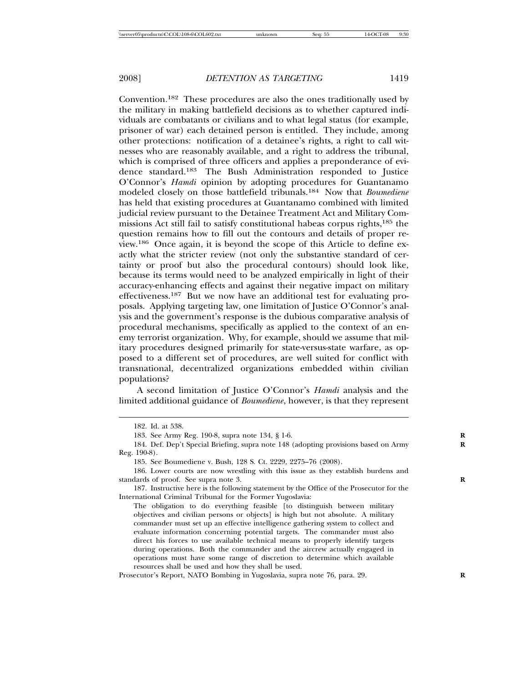Convention.<sup>182</sup> These procedures are also the ones traditionally used by the military in making battlefield decisions as to whether captured individuals are combatants or civilians and to what legal status (for example, prisoner of war) each detained person is entitled. They include, among other protections: notification of a detainee's rights, a right to call witnesses who are reasonably available, and a right to address the tribunal, which is comprised of three officers and applies a preponderance of evidence standard.<sup>183</sup> The Bush Administration responded to Justice O'Connor's *Hamdi* opinion by adopting procedures for Guantanamo modeled closely on those battlefield tribunals.<sup>184</sup> Now that *Boumediene* has held that existing procedures at Guantanamo combined with limited judicial review pursuant to the Detainee Treatment Act and Military Commissions Act still fail to satisfy constitutional habeas corpus rights,<sup>185</sup> the question remains how to fill out the contours and details of proper review.<sup>186</sup> Once again, it is beyond the scope of this Article to define exactly what the stricter review (not only the substantive standard of certainty or proof but also the procedural contours) should look like, because its terms would need to be analyzed empirically in light of their accuracy-enhancing effects and against their negative impact on military effectiveness.<sup>187</sup> But we now have an additional test for evaluating proposals. Applying targeting law, one limitation of Justice O'Connor's analysis and the government's response is the dubious comparative analysis of procedural mechanisms, specifically as applied to the context of an enemy terrorist organization. Why, for example, should we assume that military procedures designed primarily for state-versus-state warfare, as opposed to a different set of procedures, are well suited for conflict with transnational, decentralized organizations embedded within civilian populations?

A second limitation of Justice O'Connor's *Hamdi* analysis and the limited additional guidance of *Boumediene*, however, is that they represent

<sup>182.</sup> Id. at 538.

<sup>183.</sup> See Army Reg. 190-8, supra note 134, § 1-6. **R**

<sup>184.</sup> Def. Dep't Special Briefing, supra note 148 (adopting provisions based on Army **R** Reg. 190-8).

<sup>185.</sup> See Boumediene v. Bush, 128 S. Ct. 2229, 2275–76 (2008).

<sup>186.</sup> Lower courts are now wrestling with this issue as they establish burdens and standards of proof. See supra note 3.

<sup>187.</sup> Instructive here is the following statement by the Office of the Prosecutor for the International Criminal Tribunal for the Former Yugoslavia:

The obligation to do everything feasible [to distinguish between military objectives and civilian persons or objects] is high but not absolute. A military commander must set up an effective intelligence gathering system to collect and evaluate information concerning potential targets. The commander must also direct his forces to use available technical means to properly identify targets during operations. Both the commander and the aircrew actually engaged in operations must have some range of discretion to determine which available resources shall be used and how they shall be used.

Prosecutor's Report, NATO Bombing in Yugoslavia, supra note 76, para. 29. **R**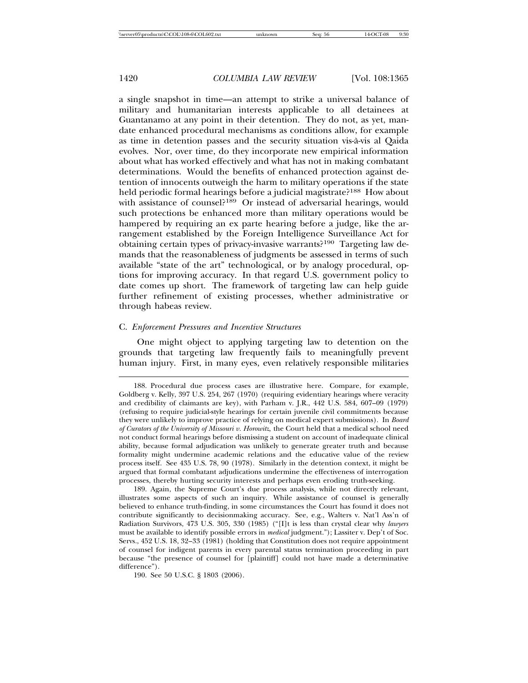a single snapshot in time—an attempt to strike a universal balance of military and humanitarian interests applicable to all detainees at Guantanamo at any point in their detention. They do not, as yet, mandate enhanced procedural mechanisms as conditions allow, for example as time in detention passes and the security situation vis-à-vis al Qaida evolves. Nor, over time, do they incorporate new empirical information about what has worked effectively and what has not in making combatant determinations. Would the benefits of enhanced protection against detention of innocents outweigh the harm to military operations if the state held periodic formal hearings before a judicial magistrate?<sup>188</sup> How about with assistance of counsel?<sup>189</sup> Or instead of adversarial hearings, would such protections be enhanced more than military operations would be hampered by requiring an ex parte hearing before a judge, like the arrangement established by the Foreign Intelligence Surveillance Act for obtaining certain types of privacy-invasive warrants?<sup>190</sup> Targeting law demands that the reasonableness of judgments be assessed in terms of such available "state of the art" technological, or by analogy procedural, options for improving accuracy. In that regard U.S. government policy to date comes up short. The framework of targeting law can help guide further refinement of existing processes, whether administrative or through habeas review.

#### C. *Enforcement Pressures and Incentive Structures*

One might object to applying targeting law to detention on the grounds that targeting law frequently fails to meaningfully prevent human injury. First, in many eyes, even relatively responsible militaries

190. See 50 U.S.C. § 1803 (2006).

<sup>188.</sup> Procedural due process cases are illustrative here. Compare, for example, Goldberg v. Kelly, 397 U.S. 254, 267 (1970) (requiring evidentiary hearings where veracity and credibility of claimants are key), with Parham v. J.R., 442 U.S. 584, 607–09 (1979) (refusing to require judicial-style hearings for certain juvenile civil commitments because they were unlikely to improve practice of relying on medical expert submissions). In *Board of Curators of the University of Missouri v. Horowitz,* the Court held that a medical school need not conduct formal hearings before dismissing a student on account of inadequate clinical ability, because formal adjudication was unlikely to generate greater truth and because formality might undermine academic relations and the educative value of the review process itself. See 435 U.S. 78, 90 (1978). Similarly in the detention context, it might be argued that formal combatant adjudications undermine the effectiveness of interrogation processes, thereby hurting security interests and perhaps even eroding truth-seeking.

<sup>189.</sup> Again, the Supreme Court's due process analysis, while not directly relevant, illustrates some aspects of such an inquiry. While assistance of counsel is generally believed to enhance truth-finding, in some circumstances the Court has found it does not contribute significantly to decisionmaking accuracy. See, e.g., Walters v. Nat'l Ass'n of Radiation Survivors, 473 U.S. 305, 330 (1985) ("[I]t is less than crystal clear why *lawyers* must be available to identify possible errors in *medical* judgment."); Lassiter v. Dep't of Soc. Servs., 452 U.S. 18, 32–33 (1981) (holding that Constitution does not require appointment of counsel for indigent parents in every parental status termination proceeding in part because "the presence of counsel for [plaintiff] could not have made a determinative difference").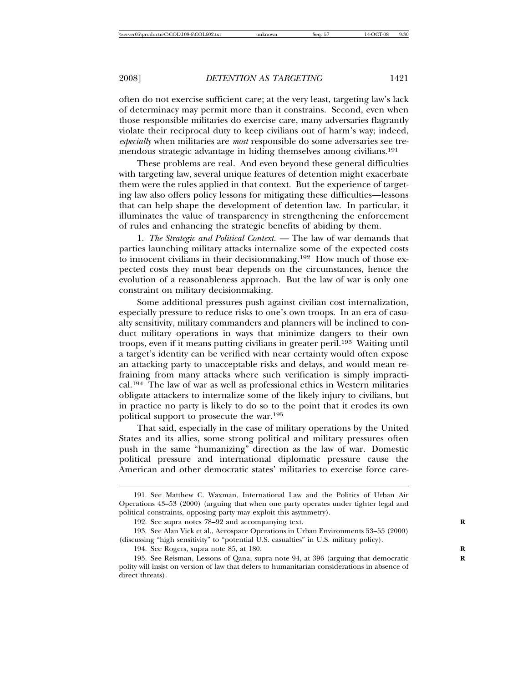often do not exercise sufficient care; at the very least, targeting law's lack of determinacy may permit more than it constrains. Second, even when those responsible militaries do exercise care, many adversaries flagrantly violate their reciprocal duty to keep civilians out of harm's way; indeed, *especially* when militaries are *most* responsible do some adversaries see tremendous strategic advantage in hiding themselves among civilians.<sup>191</sup>

These problems are real. And even beyond these general difficulties with targeting law, several unique features of detention might exacerbate them were the rules applied in that context. But the experience of targeting law also offers policy lessons for mitigating these difficulties—lessons that can help shape the development of detention law. In particular, it illuminates the value of transparency in strengthening the enforcement of rules and enhancing the strategic benefits of abiding by them.

1. *The Strategic and Political Context.* — The law of war demands that parties launching military attacks internalize some of the expected costs to innocent civilians in their decisionmaking.<sup>192</sup> How much of those expected costs they must bear depends on the circumstances, hence the evolution of a reasonableness approach. But the law of war is only one constraint on military decisionmaking.

Some additional pressures push against civilian cost internalization, especially pressure to reduce risks to one's own troops. In an era of casualty sensitivity, military commanders and planners will be inclined to conduct military operations in ways that minimize dangers to their own troops, even if it means putting civilians in greater peril.<sup>193</sup> Waiting until a target's identity can be verified with near certainty would often expose an attacking party to unacceptable risks and delays, and would mean refraining from many attacks where such verification is simply impractical.<sup>194</sup> The law of war as well as professional ethics in Western militaries obligate attackers to internalize some of the likely injury to civilians, but in practice no party is likely to do so to the point that it erodes its own political support to prosecute the war.<sup>195</sup>

That said, especially in the case of military operations by the United States and its allies, some strong political and military pressures often push in the same "humanizing" direction as the law of war. Domestic political pressure and international diplomatic pressure cause the American and other democratic states' militaries to exercise force care-

<sup>191.</sup> See Matthew C. Waxman, International Law and the Politics of Urban Air Operations 43–53 (2000) (arguing that when one party operates under tighter legal and political constraints, opposing party may exploit this asymmetry).

<sup>192.</sup> See supra notes 78–92 and accompanying text. **R**

<sup>193.</sup> See Alan Vick et al., Aerospace Operations in Urban Environments 53–55 (2000) (discussing "high sensitivity" to "potential U.S. casualties" in U.S. military policy).

<sup>194.</sup> See Rogers, supra note 85, at 180. **R**

<sup>195.</sup> See Reisman, Lessons of Qana, supra note 94, at 396 (arguing that democratic **R** polity will insist on version of law that defers to humanitarian considerations in absence of direct threats).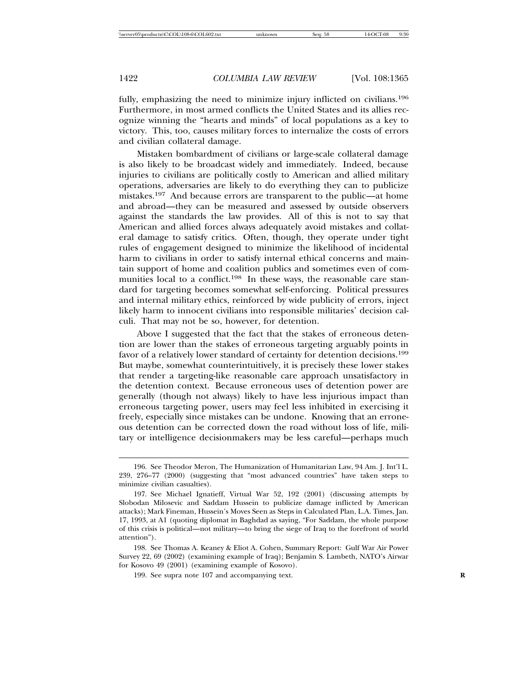fully, emphasizing the need to minimize injury inflicted on civilians.<sup>196</sup> Furthermore, in most armed conflicts the United States and its allies recognize winning the "hearts and minds" of local populations as a key to victory. This, too, causes military forces to internalize the costs of errors and civilian collateral damage.

Mistaken bombardment of civilians or large-scale collateral damage is also likely to be broadcast widely and immediately. Indeed, because injuries to civilians are politically costly to American and allied military operations, adversaries are likely to do everything they can to publicize mistakes.<sup>197</sup> And because errors are transparent to the public—at home and abroad—they can be measured and assessed by outside observers against the standards the law provides. All of this is not to say that American and allied forces always adequately avoid mistakes and collateral damage to satisfy critics. Often, though, they operate under tight rules of engagement designed to minimize the likelihood of incidental harm to civilians in order to satisfy internal ethical concerns and maintain support of home and coalition publics and sometimes even of communities local to a conflict.<sup>198</sup> In these ways, the reasonable care standard for targeting becomes somewhat self-enforcing. Political pressures and internal military ethics, reinforced by wide publicity of errors, inject likely harm to innocent civilians into responsible militaries' decision calculi. That may not be so, however, for detention.

Above I suggested that the fact that the stakes of erroneous detention are lower than the stakes of erroneous targeting arguably points in favor of a relatively lower standard of certainty for detention decisions.<sup>199</sup> But maybe, somewhat counterintuitively, it is precisely these lower stakes that render a targeting-like reasonable care approach unsatisfactory in the detention context. Because erroneous uses of detention power are generally (though not always) likely to have less injurious impact than erroneous targeting power, users may feel less inhibited in exercising it freely, especially since mistakes can be undone. Knowing that an erroneous detention can be corrected down the road without loss of life, military or intelligence decisionmakers may be less careful—perhaps much

<sup>196.</sup> See Theodor Meron, The Humanization of Humanitarian Law, 94 Am. J. Int'l L. 239, 276–77 (2000) (suggesting that "most advanced countries" have taken steps to minimize civilian casualties).

<sup>197.</sup> See Michael Ignatieff, Virtual War 52, 192 (2001) (discussing attempts by Slobodan Milosevic and Saddam Hussein to publicize damage inflicted by American attacks); Mark Fineman, Hussein's Moves Seen as Steps in Calculated Plan, L.A. Times, Jan. 17, 1993, at A1 (quoting diplomat in Baghdad as saying, "For Saddam, the whole purpose of this crisis is political—not military—to bring the siege of Iraq to the forefront of world attention").

<sup>198.</sup> See Thomas A. Keaney & Eliot A. Cohen, Summary Report: Gulf War Air Power Survey 22, 69 (2002) (examining example of Iraq); Benjamin S. Lambeth, NATO's Airwar for Kosovo 49 (2001) (examining example of Kosovo).

<sup>199.</sup> See supra note 107 and accompanying text.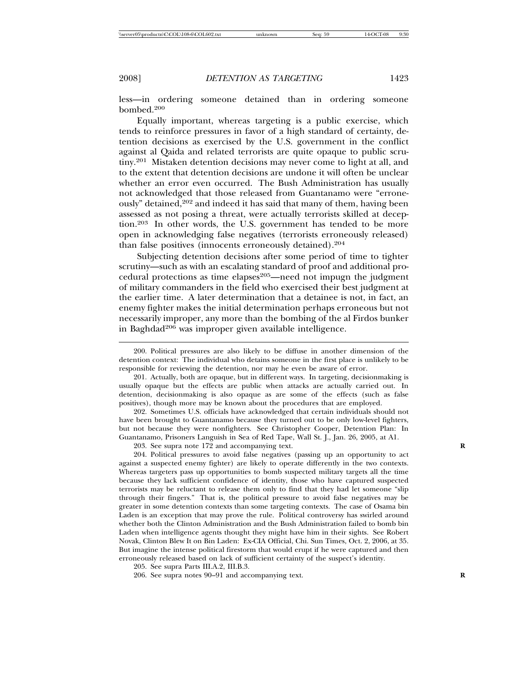less—in ordering someone detained than in ordering someone bombed.<sup>200</sup>

Equally important, whereas targeting is a public exercise, which tends to reinforce pressures in favor of a high standard of certainty, detention decisions as exercised by the U.S. government in the conflict against al Qaida and related terrorists are quite opaque to public scrutiny.201 Mistaken detention decisions may never come to light at all, and to the extent that detention decisions are undone it will often be unclear whether an error even occurred. The Bush Administration has usually not acknowledged that those released from Guantanamo were "erroneously" detained,<sup>202</sup> and indeed it has said that many of them, having been assessed as not posing a threat, were actually terrorists skilled at deception.<sup>203</sup> In other words, the U.S. government has tended to be more open in acknowledging false negatives (terrorists erroneously released) than false positives (innocents erroneously detained).<sup>204</sup>

Subjecting detention decisions after some period of time to tighter scrutiny—such as with an escalating standard of proof and additional procedural protections as time elapses $205$ —need not impugn the judgment of military commanders in the field who exercised their best judgment at the earlier time. A later determination that a detainee is not, in fact, an enemy fighter makes the initial determination perhaps erroneous but not necessarily improper, any more than the bombing of the al Firdos bunker in Baghdad<sup>206</sup> was improper given available intelligence.

200. Political pressures are also likely to be diffuse in another dimension of the detention context: The individual who detains someone in the first place is unlikely to be responsible for reviewing the detention, nor may he even be aware of error.

201. Actually, both are opaque, but in different ways. In targeting, decisionmaking is usually opaque but the effects are public when attacks are actually carried out. In detention, decisionmaking is also opaque as are some of the effects (such as false positives), though more may be known about the procedures that are employed.

202. Sometimes U.S. officials have acknowledged that certain individuals should not have been brought to Guantanamo because they turned out to be only low-level fighters, but not because they were nonfighters. See Christopher Cooper, Detention Plan: In Guantanamo, Prisoners Languish in Sea of Red Tape, Wall St. J., Jan. 26, 2005, at A1.

203. See supra note 172 and accompanying text. **R**

204. Political pressures to avoid false negatives (passing up an opportunity to act against a suspected enemy fighter) are likely to operate differently in the two contexts. Whereas targeters pass up opportunities to bomb suspected military targets all the time because they lack sufficient confidence of identity, those who have captured suspected terrorists may be reluctant to release them only to find that they had let someone "slip through their fingers." That is, the political pressure to avoid false negatives may be greater in some detention contexts than some targeting contexts. The case of Osama bin Laden is an exception that may prove the rule. Political controversy has swirled around whether both the Clinton Administration and the Bush Administration failed to bomb bin Laden when intelligence agents thought they might have him in their sights. See Robert Novak, Clinton Blew It on Bin Laden: Ex-CIA Official, Chi. Sun Times, Oct. 2, 2006, at 35. But imagine the intense political firestorm that would erupt if he were captured and then erroneously released based on lack of sufficient certainty of the suspect's identity.

205. See supra Parts III.A.2, III.B.3.

206. See supra notes 90–91 and accompanying text. **R**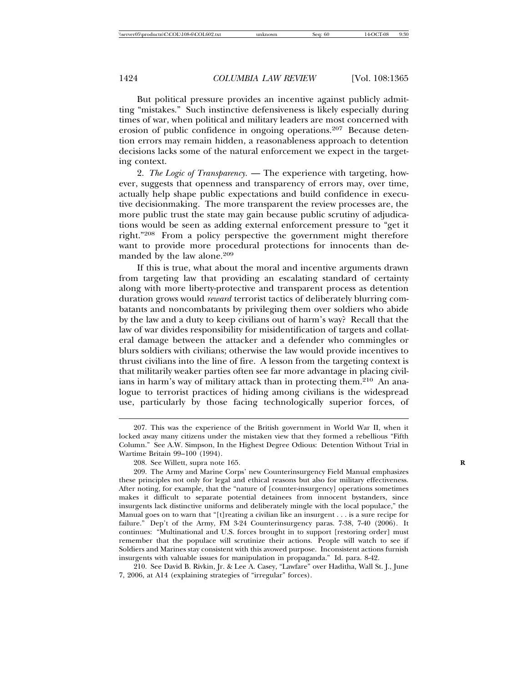But political pressure provides an incentive against publicly admitting "mistakes." Such instinctive defensiveness is likely especially during times of war, when political and military leaders are most concerned with erosion of public confidence in ongoing operations.<sup>207</sup> Because detention errors may remain hidden, a reasonableness approach to detention decisions lacks some of the natural enforcement we expect in the targeting context.

2. *The Logic of Transparency.* — The experience with targeting, however, suggests that openness and transparency of errors may, over time, actually help shape public expectations and build confidence in executive decisionmaking. The more transparent the review processes are, the more public trust the state may gain because public scrutiny of adjudications would be seen as adding external enforcement pressure to "get it right."<sup>208</sup> From a policy perspective the government might therefore want to provide more procedural protections for innocents than demanded by the law alone.<sup>209</sup>

If this is true, what about the moral and incentive arguments drawn from targeting law that providing an escalating standard of certainty along with more liberty-protective and transparent process as detention duration grows would *reward* terrorist tactics of deliberately blurring combatants and noncombatants by privileging them over soldiers who abide by the law and a duty to keep civilians out of harm's way? Recall that the law of war divides responsibility for misidentification of targets and collateral damage between the attacker and a defender who commingles or blurs soldiers with civilians; otherwise the law would provide incentives to thrust civilians into the line of fire. A lesson from the targeting context is that militarily weaker parties often see far more advantage in placing civilians in harm's way of military attack than in protecting them.<sup>210</sup> An analogue to terrorist practices of hiding among civilians is the widespread use, particularly by those facing technologically superior forces, of

210. See David B. Rivkin, Jr. & Lee A. Casey, "Lawfare" over Haditha, Wall St. J., June 7, 2006, at A14 (explaining strategies of "irregular" forces).

<sup>207.</sup> This was the experience of the British government in World War II, when it locked away many citizens under the mistaken view that they formed a rebellious "Fifth Column." See A.W. Simpson, In the Highest Degree Odious: Detention Without Trial in Wartime Britain 99–100 (1994).

<sup>208.</sup> See Willett, supra note 165. **R**

<sup>209.</sup> The Army and Marine Corps' new Counterinsurgency Field Manual emphasizes these principles not only for legal and ethical reasons but also for military effectiveness. After noting, for example, that the "nature of [counter-insurgency] operations sometimes makes it difficult to separate potential detainees from innocent bystanders, since insurgents lack distinctive uniforms and deliberately mingle with the local populace," the Manual goes on to warn that "[t]reating a civilian like an insurgent . . . is a sure recipe for failure." Dep't of the Army, FM 3-24 Counterinsurgency paras. 7-38, 7-40 (2006). It continues: "Multinational and U.S. forces brought in to support [restoring order] must remember that the populace will scrutinize their actions. People will watch to see if Soldiers and Marines stay consistent with this avowed purpose. Inconsistent actions furnish insurgents with valuable issues for manipulation in propaganda." Id. para. 8-42.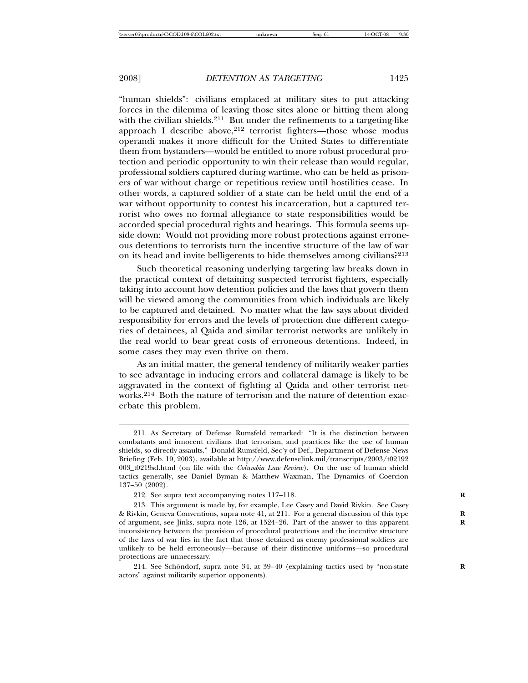"human shields": civilians emplaced at military sites to put attacking forces in the dilemma of leaving those sites alone or hitting them along with the civilian shields.<sup>211</sup> But under the refinements to a targeting-like approach I describe above, $2^{12}$  terrorist fighters—those whose modus operandi makes it more difficult for the United States to differentiate them from bystanders—would be entitled to more robust procedural protection and periodic opportunity to win their release than would regular, professional soldiers captured during wartime, who can be held as prisoners of war without charge or repetitious review until hostilities cease. In other words, a captured soldier of a state can be held until the end of a war without opportunity to contest his incarceration, but a captured terrorist who owes no formal allegiance to state responsibilities would be accorded special procedural rights and hearings. This formula seems upside down: Would not providing more robust protections against erroneous detentions to terrorists turn the incentive structure of the law of war on its head and invite belligerents to hide themselves among civilians?<sup>213</sup>

Such theoretical reasoning underlying targeting law breaks down in the practical context of detaining suspected terrorist fighters, especially taking into account how detention policies and the laws that govern them will be viewed among the communities from which individuals are likely to be captured and detained. No matter what the law says about divided responsibility for errors and the levels of protection due different categories of detainees, al Qaida and similar terrorist networks are unlikely in the real world to bear great costs of erroneous detentions. Indeed, in some cases they may even thrive on them.

As an initial matter, the general tendency of militarily weaker parties to see advantage in inducing errors and collateral damage is likely to be aggravated in the context of fighting al Qaida and other terrorist networks.<sup>214</sup> Both the nature of terrorism and the nature of detention exacerbate this problem.

<sup>211.</sup> As Secretary of Defense Rumsfeld remarked: "It is the distinction between combatants and innocent civilians that terrorism, and practices like the use of human shields, so directly assaults." Donald Rumsfeld, Sec'y of Def., Department of Defense News Briefing (Feb. 19, 2003), available at http://www.defenselink.mil/transcripts/2003/t02192 003\_t0219sd.html (on file with the *Columbia Law Review*). On the use of human shield tactics generally, see Daniel Byman & Matthew Waxman, The Dynamics of Coercion 137–50 (2002).

<sup>212.</sup> See supra text accompanying notes 117–118. **R**

<sup>213.</sup> This argument is made by, for example, Lee Casey and David Rivkin. See Casey & Rivkin, Geneva Conventions, supra note 41, at 211. For a general discussion of this type **R** of argument, see Jinks, supra note 126, at 1524–26. Part of the answer to this apparent inconsistency between the provision of procedural protections and the incentive structure of the laws of war lies in the fact that those detained as enemy professional soldiers are unlikely to be held erroneously—because of their distinctive uniforms—so procedural protections are unnecessary.

<sup>214.</sup> See Schöndorf, supra note 34, at 39–40 (explaining tactics used by "non-state actors" against militarily superior opponents).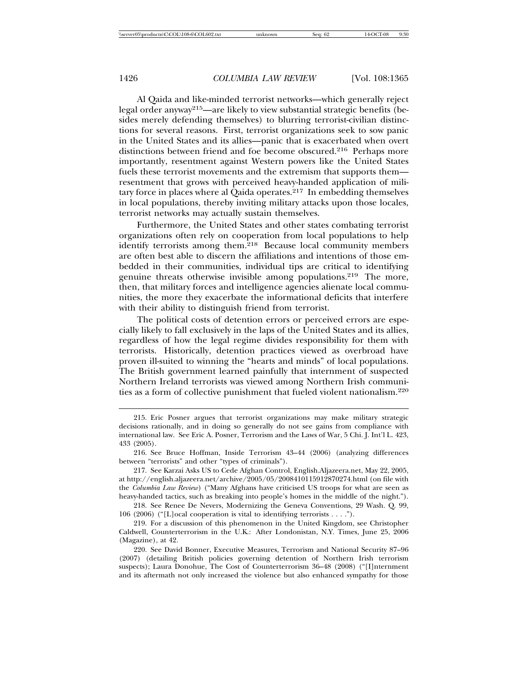Al Qaida and like-minded terrorist networks—which generally reject legal order anyway215—are likely to view substantial strategic benefits (besides merely defending themselves) to blurring terrorist-civilian distinctions for several reasons. First, terrorist organizations seek to sow panic in the United States and its allies—panic that is exacerbated when overt distinctions between friend and foe become obscured.<sup>216</sup> Perhaps more importantly, resentment against Western powers like the United States fuels these terrorist movements and the extremism that supports them resentment that grows with perceived heavy-handed application of military force in places where al Qaida operates. $217$  In embedding themselves in local populations, thereby inviting military attacks upon those locales, terrorist networks may actually sustain themselves.

Furthermore, the United States and other states combating terrorist organizations often rely on cooperation from local populations to help identify terrorists among them.<sup>218</sup> Because local community members are often best able to discern the affiliations and intentions of those embedded in their communities, individual tips are critical to identifying genuine threats otherwise invisible among populations.<sup>219</sup> The more, then, that military forces and intelligence agencies alienate local communities, the more they exacerbate the informational deficits that interfere with their ability to distinguish friend from terrorist.

The political costs of detention errors or perceived errors are especially likely to fall exclusively in the laps of the United States and its allies, regardless of how the legal regime divides responsibility for them with terrorists. Historically, detention practices viewed as overbroad have proven ill-suited to winning the "hearts and minds" of local populations. The British government learned painfully that internment of suspected Northern Ireland terrorists was viewed among Northern Irish communities as a form of collective punishment that fueled violent nationalism.<sup>220</sup>

<sup>215.</sup> Eric Posner argues that terrorist organizations may make military strategic decisions rationally, and in doing so generally do not see gains from compliance with international law. See Eric A. Posner, Terrorism and the Laws of War, 5 Chi. J. Int'l L. 423, 433 (2005).

<sup>216.</sup> See Bruce Hoffman, Inside Terrorism 43–44 (2006) (analyzing differences between "terrorists" and other "types of criminals").

<sup>217.</sup> See Karzai Asks US to Cede Afghan Control, English.Aljazeera.net, May 22, 2005, at http://english.aljazeera.net/archive/2005/05/2008410115912870274.html (on file with the *Columbia Law Review*) ("Many Afghans have criticised US troops for what are seen as heavy-handed tactics, such as breaking into people's homes in the middle of the night.").

<sup>218.</sup> See Renee De Nevers, Modernizing the Geneva Conventions, 29 Wash. Q. 99, 106 (2006) ("[L]ocal cooperation is vital to identifying terrorists . . . .").

<sup>219.</sup> For a discussion of this phenomenon in the United Kingdom, see Christopher Caldwell, Counterterrorism in the U.K.: After Londonistan, N.Y. Times, June 25, 2006 (Magazine), at 42.

<sup>220.</sup> See David Bonner, Executive Measures, Terrorism and National Security 87–96 (2007) (detailing British policies governing detention of Northern Irish terrorism suspects); Laura Donohue, The Cost of Counterterrorism 36–48 (2008) ("[I]nternment and its aftermath not only increased the violence but also enhanced sympathy for those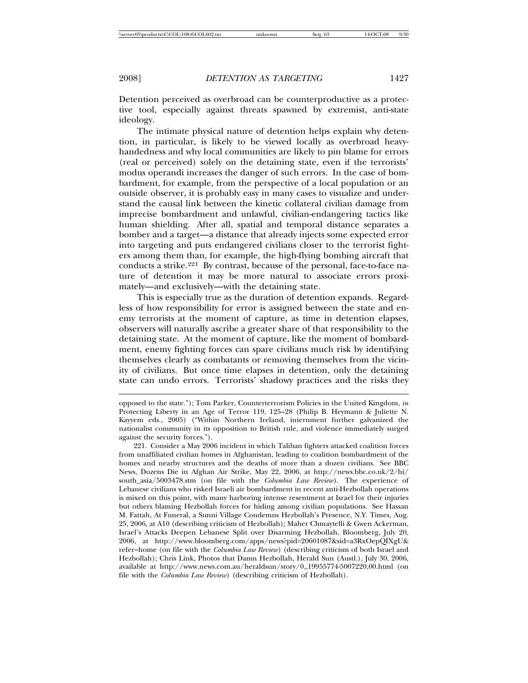Detention perceived as overbroad can be counterproductive as a protective tool, especially against threats spawned by extremist, anti-state ideology.

The intimate physical nature of detention helps explain why detention, in particular, is likely to be viewed locally as overbroad heavyhandedness and why local communities are likely to pin blame for errors (real or perceived) solely on the detaining state, even if the terrorists' modus operandi increases the danger of such errors. In the case of bombardment, for example, from the perspective of a local population or an outside observer, it is probably easy in many cases to visualize and understand the causal link between the kinetic collateral civilian damage from imprecise bombardment and unlawful, civilian-endangering tactics like human shielding. After all, spatial and temporal distance separates a bomber and a target—a distance that already injects some expected error into targeting and puts endangered civilians closer to the terrorist fighters among them than, for example, the high-flying bombing aircraft that conducts a strike.<sup>221</sup> By contrast, because of the personal, face-to-face nature of detention it may be more natural to associate errors proximately—and exclusively—with the detaining state.

This is especially true as the duration of detention expands. Regardless of how responsibility for error is assigned between the state and enemy terrorists at the moment of capture, as time in detention elapses, observers will naturally ascribe a greater share of that responsibility to the detaining state. At the moment of capture, like the moment of bombardment, enemy fighting forces can spare civilians much risk by identifying themselves clearly as combatants or removing themselves from the vicinity of civilians. But once time elapses in detention, only the detaining state can undo errors. Terrorists' shadowy practices and the risks they

opposed to the state."); Tom Parker, Counterterrorism Policies in the United Kingdom, *in* Protecting Liberty in an Age of Terror 119, 125–28 (Philip B. Heymann & Juliette N. Kayyem eds., 2005) ("Within Northern Ireland, internment further galvanized the nationalist community in its opposition to British rule, and violence immediately surged against the security forces.").

<sup>221.</sup> Consider a May 2006 incident in which Taliban fighters attacked coalition forces from unaffiliated civilian homes in Afghanistan, leading to coalition bombardment of the homes and nearby structures and the deaths of more than a dozen civilians. See BBC News, Dozens Die in Afghan Air Strike, May 22, 2006, at http://news.bbc.co.uk/2/hi/ south\_asia/5003478.stm (on file with the *Columbia Law Review*). The experience of Lebanese civilians who risked Israeli air bombardment in recent anti-Hezbollah operations is mixed on this point, with many harboring intense resentment at Israel for their injuries but others blaming Hezbollah forces for hiding among civilian populations. See Hassan M. Fattah, At Funeral, a Sunni Village Condemns Hezbollah's Presence, N.Y. Times, Aug. 25, 2006, at A10 (describing criticism of Hezbollah); Maher Chmaytelli & Gwen Ackerman, Israel's Attacks Deepen Lebanese Split over Disarming Hezbollah, Bloomberg, July 20, 2006, at http://www.bloomberg.com/apps/news?pid=20601087&sid=a3RxOepQIXgU& refer=home (on file with the *Columbia Law Review*) (describing criticism of both Israel and Hezbollah); Chris Link, Photos that Damn Hezbollah, Herald Sun (Austl.), July 30, 2006, available at http://www.news.com.au/heraldsun/story/0,,19955774-5007220,00.html (on file with the *Columbia Law Review*) (describing criticism of Hezbollah).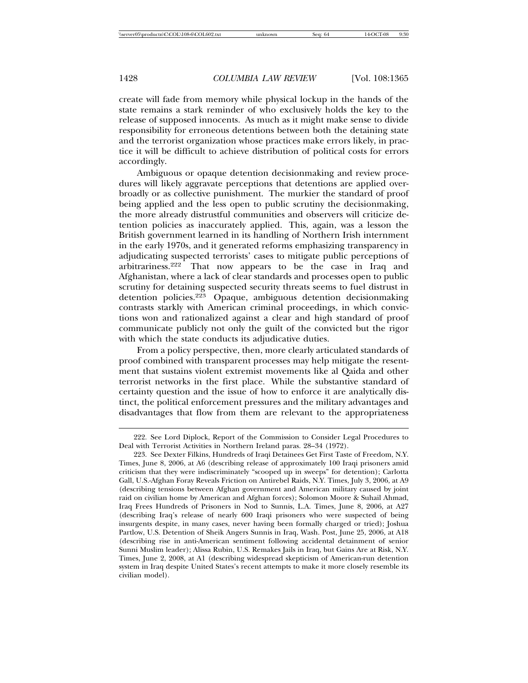create will fade from memory while physical lockup in the hands of the state remains a stark reminder of who exclusively holds the key to the release of supposed innocents. As much as it might make sense to divide responsibility for erroneous detentions between both the detaining state and the terrorist organization whose practices make errors likely, in practice it will be difficult to achieve distribution of political costs for errors accordingly.

Ambiguous or opaque detention decisionmaking and review procedures will likely aggravate perceptions that detentions are applied overbroadly or as collective punishment. The murkier the standard of proof being applied and the less open to public scrutiny the decisionmaking, the more already distrustful communities and observers will criticize detention policies as inaccurately applied. This, again, was a lesson the British government learned in its handling of Northern Irish internment in the early 1970s, and it generated reforms emphasizing transparency in adjudicating suspected terrorists' cases to mitigate public perceptions of arbitrariness.<sup>222</sup> That now appears to be the case in Iraq and Afghanistan, where a lack of clear standards and processes open to public scrutiny for detaining suspected security threats seems to fuel distrust in detention policies.<sup>223</sup> Opaque, ambiguous detention decisionmaking contrasts starkly with American criminal proceedings, in which convictions won and rationalized against a clear and high standard of proof communicate publicly not only the guilt of the convicted but the rigor with which the state conducts its adjudicative duties.

From a policy perspective, then, more clearly articulated standards of proof combined with transparent processes may help mitigate the resentment that sustains violent extremist movements like al Qaida and other terrorist networks in the first place. While the substantive standard of certainty question and the issue of how to enforce it are analytically distinct, the political enforcement pressures and the military advantages and disadvantages that flow from them are relevant to the appropriateness

<sup>222.</sup> See Lord Diplock, Report of the Commission to Consider Legal Procedures to Deal with Terrorist Activities in Northern Ireland paras. 28–34 (1972).

<sup>223.</sup> See Dexter Filkins, Hundreds of Iraqi Detainees Get First Taste of Freedom, N.Y. Times, June 8, 2006, at A6 (describing release of approximately 100 Iraqi prisoners amid criticism that they were indiscriminately "scooped up in sweeps" for detention); Carlotta Gall, U.S.-Afghan Foray Reveals Friction on Antirebel Raids, N.Y. Times, July 3, 2006, at A9 (describing tensions between Afghan government and American military caused by joint raid on civilian home by American and Afghan forces); Solomon Moore & Suhail Ahmad, Iraq Frees Hundreds of Prisoners in Nod to Sunnis, L.A. Times, June 8, 2006, at A27 (describing Iraq's release of nearly 600 Iraqi prisoners who were suspected of being insurgents despite, in many cases, never having been formally charged or tried); Joshua Partlow, U.S. Detention of Sheik Angers Sunnis in Iraq, Wash. Post, June 25, 2006, at A18 (describing rise in anti-American sentiment following accidental detainment of senior Sunni Muslim leader); Alissa Rubin, U.S. Remakes Jails in Iraq, but Gains Are at Risk, N.Y. Times, June 2, 2008, at A1 (describing widespread skepticism of American-run detention system in Iraq despite United States's recent attempts to make it more closely resemble its civilian model).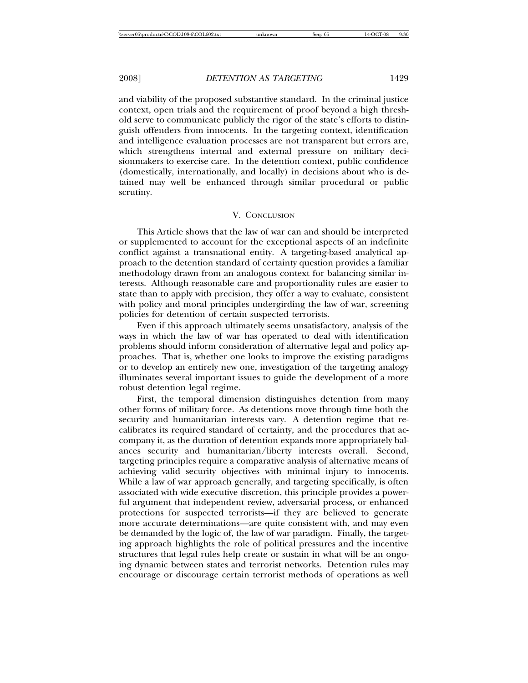and viability of the proposed substantive standard. In the criminal justice context, open trials and the requirement of proof beyond a high threshold serve to communicate publicly the rigor of the state's efforts to distinguish offenders from innocents. In the targeting context, identification and intelligence evaluation processes are not transparent but errors are, which strengthens internal and external pressure on military decisionmakers to exercise care. In the detention context, public confidence (domestically, internationally, and locally) in decisions about who is detained may well be enhanced through similar procedural or public scrutiny.

#### V. CONCLUSION

This Article shows that the law of war can and should be interpreted or supplemented to account for the exceptional aspects of an indefinite conflict against a transnational entity. A targeting-based analytical approach to the detention standard of certainty question provides a familiar methodology drawn from an analogous context for balancing similar interests. Although reasonable care and proportionality rules are easier to state than to apply with precision, they offer a way to evaluate, consistent with policy and moral principles undergirding the law of war, screening policies for detention of certain suspected terrorists.

Even if this approach ultimately seems unsatisfactory, analysis of the ways in which the law of war has operated to deal with identification problems should inform consideration of alternative legal and policy approaches. That is, whether one looks to improve the existing paradigms or to develop an entirely new one, investigation of the targeting analogy illuminates several important issues to guide the development of a more robust detention legal regime.

First, the temporal dimension distinguishes detention from many other forms of military force. As detentions move through time both the security and humanitarian interests vary. A detention regime that recalibrates its required standard of certainty, and the procedures that accompany it, as the duration of detention expands more appropriately balances security and humanitarian/liberty interests overall. Second, targeting principles require a comparative analysis of alternative means of achieving valid security objectives with minimal injury to innocents. While a law of war approach generally, and targeting specifically, is often associated with wide executive discretion, this principle provides a powerful argument that independent review, adversarial process, or enhanced protections for suspected terrorists—if they are believed to generate more accurate determinations—are quite consistent with, and may even be demanded by the logic of, the law of war paradigm. Finally, the targeting approach highlights the role of political pressures and the incentive structures that legal rules help create or sustain in what will be an ongoing dynamic between states and terrorist networks. Detention rules may encourage or discourage certain terrorist methods of operations as well